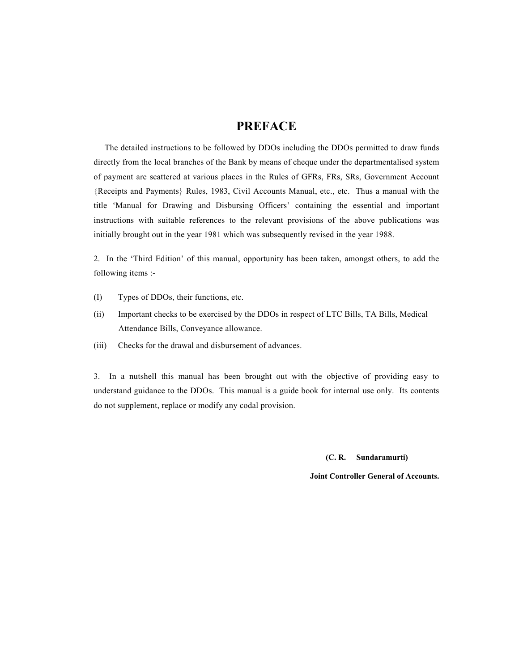#### **PREFACE**

 The detailed instructions to be followed by DDOs including the DDOs permitted to draw funds directly from the local branches of the Bank by means of cheque under the departmentalised system of payment are scattered at various places in the Rules of GFRs, FRs, SRs, Government Account {Receipts and Payments} Rules, 1983, Civil Accounts Manual, etc., etc. Thus a manual with the title 'Manual for Drawing and Disbursing Officers' containing the essential and important instructions with suitable references to the relevant provisions of the above publications was initially brought out in the year 1981 which was subsequently revised in the year 1988.

2. In the 'Third Edition' of this manual, opportunity has been taken, amongst others, to add the following items :-

- (I) Types of DDOs, their functions, etc.
- (ii) Important checks to be exercised by the DDOs in respect of LTC Bills, TA Bills, Medical Attendance Bills, Conveyance allowance.
- (iii) Checks for the drawal and disbursement of advances.

3. In a nutshell this manual has been brought out with the objective of providing easy to understand guidance to the DDOs. This manual is a guide book for internal use only. Its contents do not supplement, replace or modify any codal provision.

 **(C. R. Sundaramurti)** 

 **Joint Controller General of Accounts.**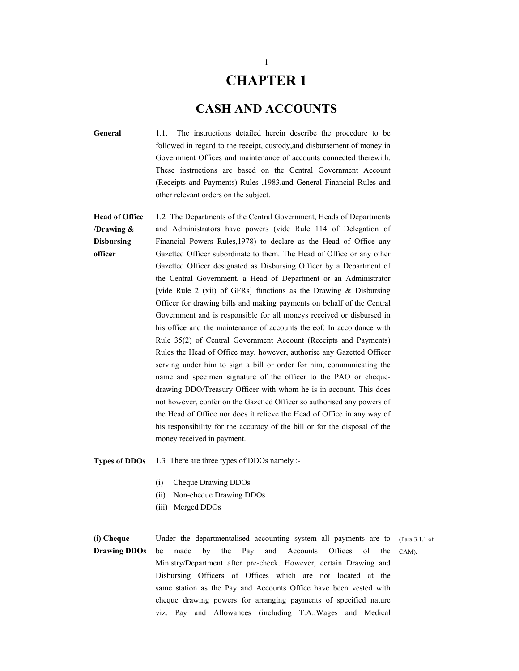### **CHAPTER 1**

#### **CASH AND ACCOUNTS**

- **General** 1.1. The instructions detailed herein describe the procedure to be followed in regard to the receipt, custody,and disbursement of money in Government Offices and maintenance of accounts connected therewith. These instructions are based on the Central Government Account (Receipts and Payments) Rules ,1983,and General Financial Rules and other relevant orders on the subject.
- **Head of Office /Drawing & Disbursing officer**  1.2 The Departments of the Central Government, Heads of Departments and Administrators have powers (vide Rule 114 of Delegation of Financial Powers Rules,1978) to declare as the Head of Office any Gazetted Officer subordinate to them. The Head of Office or any other Gazetted Officer designated as Disbursing Officer by a Department of the Central Government, a Head of Department or an Administrator [vide Rule 2 (xii) of GFRs] functions as the Drawing & Disbursing Officer for drawing bills and making payments on behalf of the Central Government and is responsible for all moneys received or disbursed in his office and the maintenance of accounts thereof. In accordance with Rule 35(2) of Central Government Account (Receipts and Payments) Rules the Head of Office may, however, authorise any Gazetted Officer serving under him to sign a bill or order for him, communicating the name and specimen signature of the officer to the PAO or chequedrawing DDO/Treasury Officer with whom he is in account. This does not however, confer on the Gazetted Officer so authorised any powers of the Head of Office nor does it relieve the Head of Office in any way of his responsibility for the accuracy of the bill or for the disposal of the money received in payment.
- **Types of DDOs** 1.3 There are three types of DDOs namely :-
	- (i) Cheque Drawing DDOs
	- (ii) Non-cheque Drawing DDOs
	- (iii) Merged DDOs

#### **(i) Cheque Drawing DDOs**  Under the departmentalised accounting system all payments are to be made by the Pay and Accounts Offices of the Ministry/Department after pre-check. However, certain Drawing and Disbursing Officers of Offices which are not located at the same station as the Pay and Accounts Office have been vested with cheque drawing powers for arranging payments of specified nature viz. Pay and Allowances (including T.A.,Wages and Medical (Para 3.1.1 of CAM).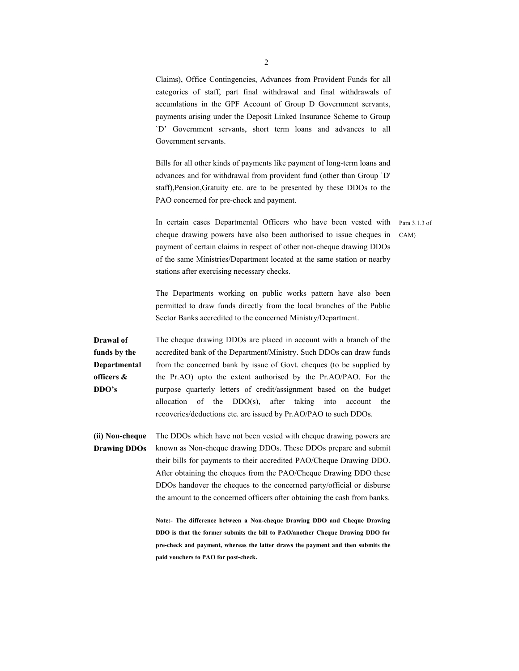Claims), Office Contingencies, Advances from Provident Funds for all categories of staff, part final withdrawal and final withdrawals of accumlations in the GPF Account of Group D Government servants, payments arising under the Deposit Linked Insurance Scheme to Group `D' Government servants, short term loans and advances to all Government servants.

Bills for all other kinds of payments like payment of long-term loans and advances and for withdrawal from provident fund (other than Group `D' staff),Pension,Gratuity etc. are to be presented by these DDOs to the PAO concerned for pre-check and payment.

In certain cases Departmental Officers who have been vested with Para 3.1.3 of cheque drawing powers have also been authorised to issue cheques in payment of certain claims in respect of other non-cheque drawing DDOs of the same Ministries/Department located at the same station or nearby stations after exercising necessary checks. CAM)

The Departments working on public works pattern have also been permitted to draw funds directly from the local branches of the Public Sector Banks accredited to the concerned Ministry/Department.

**Drawal of funds by the Departmental officers & DDO's**  The cheque drawing DDOs are placed in account with a branch of the accredited bank of the Department/Ministry. Such DDOs can draw funds from the concerned bank by issue of Govt. cheques (to be supplied by the Pr.AO) upto the extent authorised by the Pr.AO/PAO. For the purpose quarterly letters of credit/assignment based on the budget allocation of the DDO(s), after taking into account the recoveries/deductions etc. are issued by Pr.AO/PAO to such DDOs.

**(ii) Non-cheque Drawing DDOs**  The DDOs which have not been vested with cheque drawing powers are known as Non-cheque drawing DDOs. These DDOs prepare and submit their bills for payments to their accredited PAO/Cheque Drawing DDO. After obtaining the cheques from the PAO/Cheque Drawing DDO these DDOs handover the cheques to the concerned party/official or disburse the amount to the concerned officers after obtaining the cash from banks.

> **Note:- The difference between a Non-cheque Drawing DDO and Cheque Drawing DDO is that the former submits the bill to PAO/another Cheque Drawing DDO for pre-check and payment, whereas the latter draws the payment and then submits the paid vouchers to PAO for post-check.**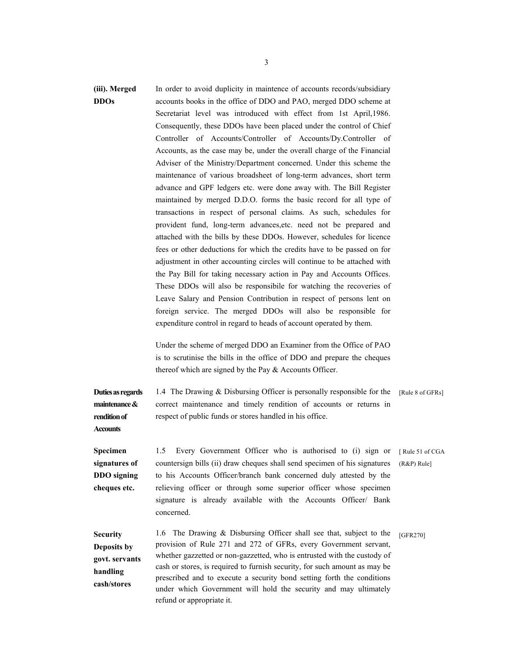#### **(iii). Merged DDOs**  In order to avoid duplicity in maintence of accounts records/subsidiary accounts books in the office of DDO and PAO, merged DDO scheme at Secretariat level was introduced with effect from 1st April,1986. Consequently, these DDOs have been placed under the control of Chief Controller of Accounts/Controller of Accounts/Dy.Controller of Accounts, as the case may be, under the overall charge of the Financial Adviser of the Ministry/Department concerned. Under this scheme the maintenance of various broadsheet of long-term advances, short term advance and GPF ledgers etc. were done away with. The Bill Register maintained by merged D.D.O. forms the basic record for all type of transactions in respect of personal claims. As such, schedules for provident fund, long-term advances,etc. need not be prepared and attached with the bills by these DDOs. However, schedules for licence fees or other deductions for which the credits have to be passed on for adjustment in other accounting circles will continue to be attached with the Pay Bill for taking necessary action in Pay and Accounts Offices. These DDOs will also be responsibile for watching the recoveries of Leave Salary and Pension Contribution in respect of persons lent on foreign service. The merged DDOs will also be responsible for expenditure control in regard to heads of account operated by them.

Under the scheme of merged DDO an Examiner from the Office of PAO is to scrutinise the bills in the office of DDO and prepare the cheques thereof which are signed by the Pay  $&$  Accounts Officer.

**Duties as regards maintenance & rendition of Accounts**  1.4 The Drawing & Disbursing Officer is personally responsible for the correct maintenance and timely rendition of accounts or returns in respect of public funds or stores handled in his office. [Rule 8 of GFRs] **Specimen signatures of DDO signing cheques etc.**  1.5 Every Government Officer who is authorised to (i) sign or [ Rule 51 of CGA countersign bills (ii) draw cheques shall send specimen of his signatures to his Accounts Officer/branch bank concerned duly attested by the relieving officer or through some superior officer whose specimen signature is already available with the Accounts Officer/ Bank concerned. (R&P) Rule] **Security**  1.6 The Drawing & Disbursing Officer shall see that, subject to the [GFR270]

**Deposits by govt. servants handling cash/stores**  provision of Rule 271 and 272 of GFRs, every Government servant, whether gazzetted or non-gazzetted, who is entrusted with the custody of cash or stores, is required to furnish security, for such amount as may be prescribed and to execute a security bond setting forth the conditions under which Government will hold the security and may ultimately refund or appropriate it.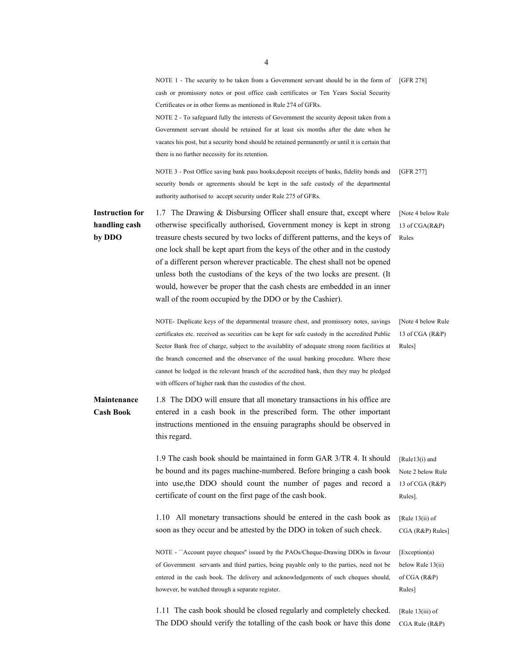|                                                   | NOTE 1 - The security to be taken from a Government servant should be in the form of<br>cash or promissory notes or post office cash certificates or Ten Years Social Security<br>Certificates or in other forms as mentioned in Rule 274 of GFRs.<br>NOTE 2 - To safeguard fully the interests of Government the security deposit taken from a<br>Government servant should be retained for at least six months after the date when he<br>vacates his post, but a security bond should be retained permanently or until it is certain that<br>there is no further necessity for its retention.           | [GFR 278]                                                                       |
|---------------------------------------------------|-----------------------------------------------------------------------------------------------------------------------------------------------------------------------------------------------------------------------------------------------------------------------------------------------------------------------------------------------------------------------------------------------------------------------------------------------------------------------------------------------------------------------------------------------------------------------------------------------------------|---------------------------------------------------------------------------------|
|                                                   | NOTE 3 - Post Office saving bank pass books, deposit receipts of banks, fidelity bonds and<br>security bonds or agreements should be kept in the safe custody of the departmental<br>authority authorised to accept security under Rule 275 of GFRs.                                                                                                                                                                                                                                                                                                                                                      | [GFR 277]                                                                       |
| <b>Instruction for</b><br>handling cash<br>by DDO | 1.7 The Drawing & Disbursing Officer shall ensure that, except where<br>otherwise specifically authorised, Government money is kept in strong<br>treasure chests secured by two locks of different patterns, and the keys of<br>one lock shall be kept apart from the keys of the other and in the custody<br>of a different person wherever practicable. The chest shall not be opened<br>unless both the custodians of the keys of the two locks are present. (It<br>would, however be proper that the cash chests are embedded in an inner<br>wall of the room occupied by the DDO or by the Cashier). | [Note 4 below Rule]<br>13 of CGA(R&P)<br>Rules                                  |
|                                                   | NOTE- Duplicate keys of the departmental treasure chest, and promissory notes, savings<br>certificates etc. received as securities can be kept for safe custody in the accredited Public<br>Sector Bank free of charge, subject to the availability of adequate strong room facilities at<br>the branch concerned and the observance of the usual banking procedure. Where these<br>cannot be lodged in the relevant branch of the accredited bank, then they may be pledged<br>with officers of higher rank than the custodies of the chest.                                                             | [Note 4 below Rule]<br>13 of CGA (R&P)<br>Rules]                                |
| <b>Maintenance</b><br><b>Cash Book</b>            | 1.8 The DDO will ensure that all monetary transactions in his office are<br>entered in a cash book in the prescribed form. The other important<br>instructions mentioned in the ensuing paragraphs should be observed in<br>this regard.                                                                                                                                                                                                                                                                                                                                                                  |                                                                                 |
|                                                   | 1.9 The cash book should be maintained in form GAR 3/TR 4. It should<br>be bound and its pages machine-numbered. Before bringing a cash book<br>into use, the DDO should count the number of pages and record a<br>certificate of count on the first page of the cash book.                                                                                                                                                                                                                                                                                                                               | [ $Rule13(i)$ and<br>Note 2 below Rule<br>13 of CGA (R&P)<br>Rules].            |
|                                                   | 1.10 All monetary transactions should be entered in the cash book as<br>soon as they occur and be attested by the DDO in token of such check.                                                                                                                                                                                                                                                                                                                                                                                                                                                             | [Rule $13(ii)$ of<br>CGA (R&P) Rules]                                           |
|                                                   | NOTE - "Account payee cheques" issued by the PAOs/Cheque-Drawing DDOs in favour<br>of Government servants and third parties, being payable only to the parties, need not be<br>entered in the cash book. The delivery and acknowledgements of such cheques should,<br>however, be watched through a separate register.                                                                                                                                                                                                                                                                                    | $\left[Exception(a)\right]$<br>below Rule $13(ii)$<br>of CGA $(R\&P)$<br>Rules] |
|                                                   | 1.11 The cash book should be closed regularly and completely checked.<br>The DDO should verify the totalling of the cash book or have this done                                                                                                                                                                                                                                                                                                                                                                                                                                                           | [Rule $13(iii)$ of<br>CGA Rule (R&P)                                            |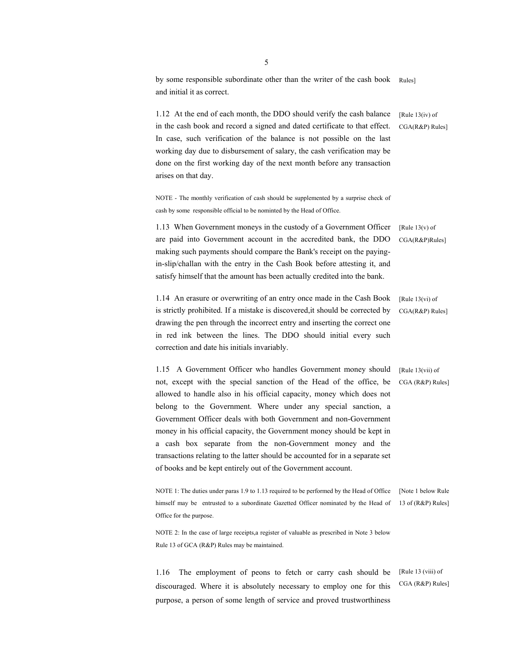by some responsible subordinate other than the writer of the cash book and initial it as correct. Rules]

1.12 At the end of each month, the DDO should verify the cash balance in the cash book and record a signed and dated certificate to that effect. In case, such verification of the balance is not possible on the last working day due to disbursement of salary, the cash verification may be done on the first working day of the next month before any transaction arises on that day.  $[Rule 13(iv) of$ CGA(R&P) Rules]

NOTE - The monthly verification of cash should be supplemented by a surprise check of cash by some responsible official to be nominted by the Head of Office.

1.13 When Government moneys in the custody of a Government Officer are paid into Government account in the accredited bank, the DDO making such payments should compare the Bank's receipt on the payingin-slip/challan with the entry in the Cash Book before attesting it, and satisfy himself that the amount has been actually credited into the bank. [Rule  $13(v)$  of CGA(R&P)Rules]

1.14 An erasure or overwriting of an entry once made in the Cash Book is strictly prohibited. If a mistake is discovered,it should be corrected by drawing the pen through the incorrect entry and inserting the correct one in red ink between the lines. The DDO should initial every such correction and date his initials invariably. [Rule 13(vi) of CGA(R&P) Rules]

1.15 A Government Officer who handles Government money should not, except with the special sanction of the Head of the office, be allowed to handle also in his official capacity, money which does not belong to the Government. Where under any special sanction, a Government Officer deals with both Government and non-Government money in his official capacity, the Government money should be kept in a cash box separate from the non-Government money and the transactions relating to the latter should be accounted for in a separate set of books and be kept entirely out of the Government account.

NOTE 1: The duties under paras 1.9 to 1.13 required to be performed by the Head of Office [Note 1 below Rule] himself may be entrusted to a subordinate Gazetted Officer nominated by the Head of 13 of (R&P) Rules] Office for the purpose.

NOTE 2: In the case of large receipts,a register of valuable as prescribed in Note 3 below Rule 13 of GCA (R&P) Rules may be maintained.

1.16 The employment of peons to fetch or carry cash should be discouraged. Where it is absolutely necessary to employ one for this purpose, a person of some length of service and proved trustworthiness [Rule 13 (viii) of CGA (R&P) Rules]

[Rule 13(vii) of CGA (R&P) Rules]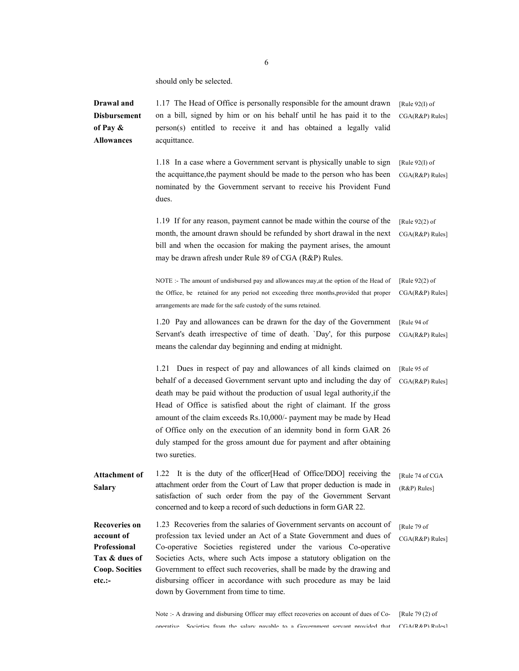should only be selected.

**Drawal and Disbursement of Pay & Allowances**  1.17 The Head of Office is personally responsible for the amount drawn on a bill, signed by him or on his behalf until he has paid it to the person(s) entitled to receive it and has obtained a legally valid acquittance. [Rule 92(I) of CGA(R&P) Rules] 1.18 In a case where a Government servant is physically unable to sign the acquittance,the payment should be made to the person who has been nominated by the Government servant to receive his Provident Fund dues. [Rule 92(I) of CGA(R&P) Rules] 1.19 If for any reason, payment cannot be made within the course of the month, the amount drawn should be refunded by short drawal in the next bill and when the occasion for making the payment arises, the amount may be drawn afresh under Rule 89 of CGA (R&P) Rules. [Rule 92(2) of CGA(R&P) Rules] NOTE :- The amount of undisbursed pay and allowances may,at the option of the Head of the Office, be retained for any period not exceeding three months,provided that proper arrangements are made for the safe custody of the sums retained. [Rule 92(2) of CGA(R&P) Rules] 1.20 Pay and allowances can be drawn for the day of the Government Servant's death irrespective of time of death. `Day', for this purpose means the calendar day beginning and ending at midnight. [Rule 94 of CGA(R&P) Rules] 1.21 Dues in respect of pay and allowances of all kinds claimed on behalf of a deceased Government servant upto and including the day of death may be paid without the production of usual legal authority,if the Head of Office is satisfied about the right of claimant. If the gross amount of the claim exceeds Rs.10,000/- payment may be made by Head of Office only on the execution of an idemnity bond in form GAR 26 duly stamped for the gross amount due for payment and after obtaining two sureties. [Rule 95 of CGA(R&P) Rules] **Attachment of Salary**  1.22 It is the duty of the officer[Head of Office/DDO] receiving the attachment order from the Court of Law that proper deduction is made in satisfaction of such order from the pay of the Government Servant concerned and to keep a record of such deductions in form GAR 22. [Rule 74 of CGA (R&P) Rules] **Recoveries on account of Professional Tax & dues of Coop. Socities etc.:-**  1.23 Recoveries from the salaries of Government servants on account of profession tax levied under an Act of a State Government and dues of Co-operative Societies registered under the various Co-operative Societies Acts, where such Acts impose a statutory obligation on the Government to effect such recoveries, shall be made by the drawing and disbursing officer in accordance with such procedure as may be laid down by Government from time to time. [Rule 79 of CGA(R&P) Rules]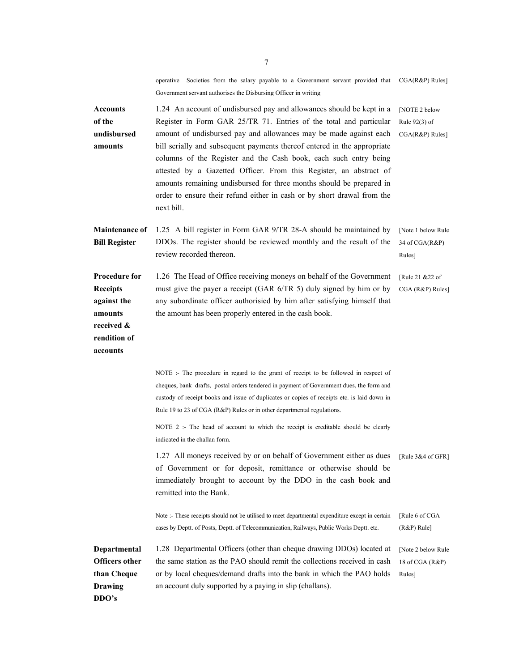operative Societies from the salary payable to a Government servant provided that Government servant authorises the Disbursing Officer in writing CGA(R&P) Rules]

**Accounts of the undisbursed amounts**  1.24 An account of undisbursed pay and allowances should be kept in a Register in Form GAR 25/TR 71. Entries of the total and particular amount of undisbursed pay and allowances may be made against each bill serially and subsequent payments thereof entered in the appropriate columns of the Register and the Cash book, each such entry being attested by a Gazetted Officer. From this Register, an abstract of amounts remaining undisbursed for three months should be prepared in order to ensure their refund either in cash or by short drawal from the next bill. [NOTE 2 below Rule 92(3) of CGA(R&P) Rules] **Maintenance of Bill Register**  1.25 A bill register in Form GAR 9/TR 28-A should be maintained by DDOs. The register should be reviewed monthly and the result of the review recorded thereon. [Note 1 below Rule 34 of CGA(R&P) Rules] **Procedure for Receipts against the amounts received & rendition of accounts**  1.26 The Head of Office receiving moneys on behalf of the Government must give the payer a receipt (GAR 6/TR 5) duly signed by him or by any subordinate officer authorisied by him after satisfying himself that the amount has been properly entered in the cash book. [Rule 21 &22 of CGA (R&P) Rules] NOTE :- The procedure in regard to the grant of receipt to be followed in respect of cheques, bank drafts, postal orders tendered in payment of Government dues, the form and custody of receipt books and issue of duplicates or copies of receipts etc. is laid down in Rule 19 to 23 of CGA (R&P) Rules or in other departmental regulations. NOTE 2 :- The head of account to which the receipt is creditable should be clearly indicated in the challan form. 1.27 All moneys received by or on behalf of Government either as dues of Government or for deposit, remittance or otherwise should be immediately brought to account by the DDO in the cash book and remitted into the Bank. [Rule 3&4 of GFR] Note :- These receipts should not be utilised to meet departmental expenditure except in certain cases by Deptt. of Posts, Deptt. of Telecommunication, Railways, Public Works Deptt. etc. [Rule 6 of CGA (R&P) Rule] **Departmental Officers other than Cheque Drawing DDO's**  1.28 Departmental Officers (other than cheque drawing DDOs) located at the same station as the PAO should remit the collections received in cash or by local cheques/demand drafts into the bank in which the PAO holds an account duly supported by a paying in slip (challans). [Note 2 below Rule 18 of CGA (R&P) Rules]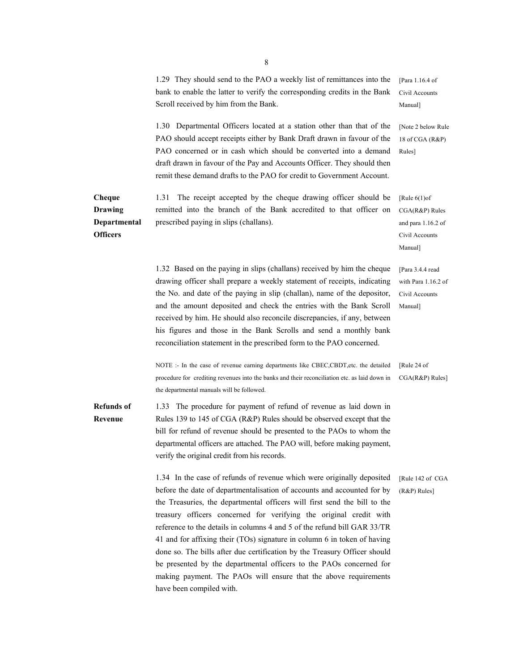|                                                             | 1.29 They should send to the PAO a weekly list of remittances into the<br>bank to enable the latter to verify the corresponding credits in the Bank<br>Scroll received by him from the Bank.                                                                                                                                                                                                                                                                                                                                                                                                                                                                                                                     | [Para 1.16.4 of<br>Civil Accounts<br>Manual]                                           |
|-------------------------------------------------------------|------------------------------------------------------------------------------------------------------------------------------------------------------------------------------------------------------------------------------------------------------------------------------------------------------------------------------------------------------------------------------------------------------------------------------------------------------------------------------------------------------------------------------------------------------------------------------------------------------------------------------------------------------------------------------------------------------------------|----------------------------------------------------------------------------------------|
|                                                             | 1.30 Departmental Officers located at a station other than that of the<br>PAO should accept receipts either by Bank Draft drawn in favour of the<br>PAO concerned or in cash which should be converted into a demand<br>draft drawn in favour of the Pay and Accounts Officer. They should then<br>remit these demand drafts to the PAO for credit to Government Account.                                                                                                                                                                                                                                                                                                                                        | [Note 2 below Rule<br>18 of CGA (R&P)<br>Rules]                                        |
| Cheque<br><b>Drawing</b><br>Departmental<br><b>Officers</b> | The receipt accepted by the cheque drawing officer should be<br>1.31<br>remitted into the branch of the Bank accredited to that officer on<br>prescribed paying in slips (challans).                                                                                                                                                                                                                                                                                                                                                                                                                                                                                                                             | [Rule $6(1)$ of<br>$CGA(R&P)$ Rules<br>and para 1.16.2 of<br>Civil Accounts<br>Manual] |
|                                                             | 1.32 Based on the paying in slips (challans) received by him the cheque<br>drawing officer shall prepare a weekly statement of receipts, indicating<br>the No. and date of the paying in slip (challan), name of the depositor,<br>and the amount deposited and check the entries with the Bank Scroll<br>received by him. He should also reconcile discrepancies, if any, between<br>his figures and those in the Bank Scrolls and send a monthly bank<br>reconciliation statement in the prescribed form to the PAO concerned.                                                                                                                                                                                 | [Para 3.4.4 read]<br>with Para 1.16.2 of<br>Civil Accounts<br>Manual]                  |
|                                                             | NOTE :- In the case of revenue earning departments like CBEC,CBDT, etc. the detailed<br>procedure for crediting revenues into the banks and their reconciliation etc. as laid down in<br>the departmental manuals will be followed.                                                                                                                                                                                                                                                                                                                                                                                                                                                                              | [Rule 24 of<br>CGA(R&P) Rules]                                                         |
| <b>Refunds</b> of<br>Revenue                                | 1.33 The procedure for payment of refund of revenue as laid down in<br>Rules 139 to 145 of CGA (R&P) Rules should be observed except that the<br>bill for refund of revenue should be presented to the PAOs to whom the<br>departmental officers are attached. The PAO will, before making payment,<br>verify the original credit from his records.                                                                                                                                                                                                                                                                                                                                                              |                                                                                        |
|                                                             | 1.34 In the case of refunds of revenue which were originally deposited<br>before the date of departmentalisation of accounts and accounted for by<br>the Treasuries, the departmental officers will first send the bill to the<br>treasury officers concerned for verifying the original credit with<br>reference to the details in columns 4 and 5 of the refund bill GAR 33/TR<br>41 and for affixing their (TOs) signature in column 6 in token of having<br>done so. The bills after due certification by the Treasury Officer should<br>be presented by the departmental officers to the PAOs concerned for<br>making payment. The PAOs will ensure that the above requirements<br>have been compiled with. | [Rule 142 of CGA<br>$(R&P)$ Rules]                                                     |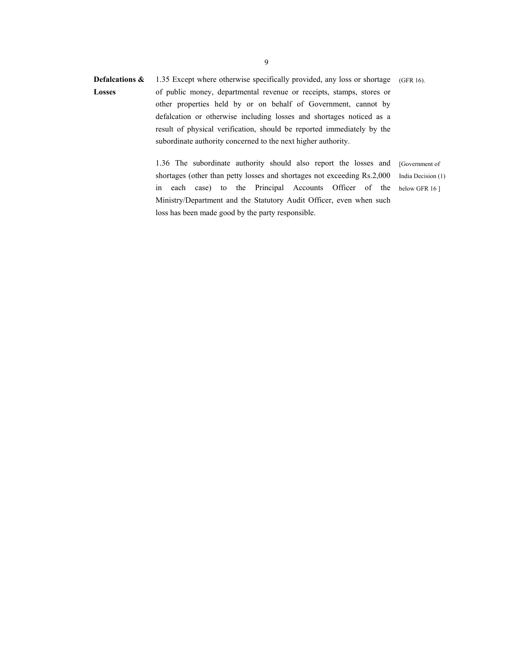**Defalcations & Losses**  1.35 Except where otherwise specifically provided, any loss or shortage of public money, departmental revenue or receipts, stamps, stores or other properties held by or on behalf of Government, cannot by defalcation or otherwise including losses and shortages noticed as a result of physical verification, should be reported immediately by the subordinate authority concerned to the next higher authority. (GFR 16).

> 1.36 The subordinate authority should also report the losses and shortages (other than petty losses and shortages not exceeding Rs.2,000 in each case) to the Principal Accounts Officer of the Ministry/Department and the Statutory Audit Officer, even when such loss has been made good by the party responsible.

[Government of India Decision (1) below GFR 16 ]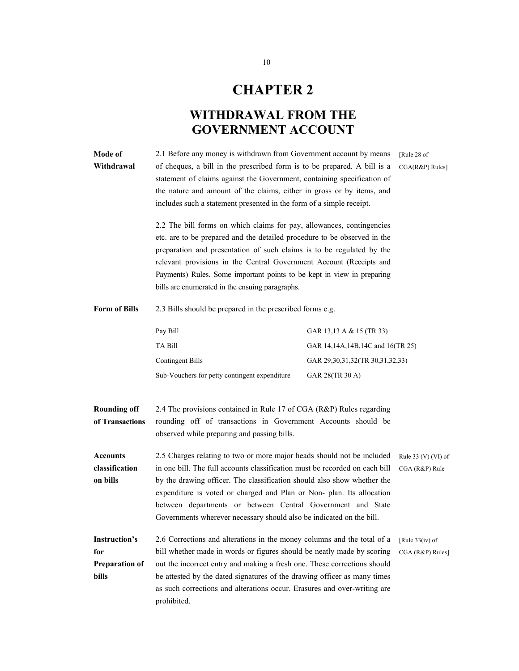# **CHAPTER 2**

## **WITHDRAWAL FROM THE GOVERNMENT ACCOUNT**

| Mode of<br>Withdrawal                                         | 2.1 Before any money is withdrawn from Government account by means<br>of cheques, a bill in the prescribed form is to be prepared. A bill is a<br>statement of claims against the Government, containing specification of<br>the nature and amount of the claims, either in gross or by items, and<br>includes such a statement presented in the form of a simple receipt.<br>2.2 The bill forms on which claims for pay, allowances, contingencies<br>etc. are to be prepared and the detailed procedure to be observed in the<br>preparation and presentation of such claims is to be regulated by the<br>relevant provisions in the Central Government Account (Receipts and<br>Payments) Rules. Some important points to be kept in view in preparing<br>bills are enumerated in the ensuing paragraphs. | [Rule 28 of<br>CGA(R&P) Rules]   |                                       |
|---------------------------------------------------------------|--------------------------------------------------------------------------------------------------------------------------------------------------------------------------------------------------------------------------------------------------------------------------------------------------------------------------------------------------------------------------------------------------------------------------------------------------------------------------------------------------------------------------------------------------------------------------------------------------------------------------------------------------------------------------------------------------------------------------------------------------------------------------------------------------------------|----------------------------------|---------------------------------------|
| <b>Form of Bills</b>                                          | 2.3 Bills should be prepared in the prescribed forms e.g.                                                                                                                                                                                                                                                                                                                                                                                                                                                                                                                                                                                                                                                                                                                                                    |                                  |                                       |
|                                                               | Pay Bill                                                                                                                                                                                                                                                                                                                                                                                                                                                                                                                                                                                                                                                                                                                                                                                                     | GAR 13,13 A & 15 (TR 33)         |                                       |
|                                                               | TA Bill                                                                                                                                                                                                                                                                                                                                                                                                                                                                                                                                                                                                                                                                                                                                                                                                      | GAR 14,14A,14B,14C and 16(TR 25) |                                       |
|                                                               | <b>Contingent Bills</b>                                                                                                                                                                                                                                                                                                                                                                                                                                                                                                                                                                                                                                                                                                                                                                                      | GAR 29,30,31,32(TR 30,31,32,33)  |                                       |
|                                                               | Sub-Vouchers for petty contingent expenditure                                                                                                                                                                                                                                                                                                                                                                                                                                                                                                                                                                                                                                                                                                                                                                | GAR 28(TR 30 A)                  |                                       |
|                                                               |                                                                                                                                                                                                                                                                                                                                                                                                                                                                                                                                                                                                                                                                                                                                                                                                              |                                  |                                       |
| <b>Rounding off</b><br>of Transactions                        | 2.4 The provisions contained in Rule 17 of CGA (R&P) Rules regarding<br>rounding off of transactions in Government Accounts should be<br>observed while preparing and passing bills.                                                                                                                                                                                                                                                                                                                                                                                                                                                                                                                                                                                                                         |                                  |                                       |
| <b>Accounts</b><br>classification<br>on bills                 | 2.5 Charges relating to two or more major heads should not be included<br>in one bill. The full accounts classification must be recorded on each bill<br>by the drawing officer. The classification should also show whether the<br>expenditure is voted or charged and Plan or Non-plan. Its allocation<br>between departments or between Central Government and State<br>Governments wherever necessary should also be indicated on the bill.                                                                                                                                                                                                                                                                                                                                                              |                                  | Rule 33 (V) (VI) of<br>CGA (R&P) Rule |
| <b>Instruction's</b><br>for<br><b>Preparation of</b><br>bills | 2.6 Corrections and alterations in the money columns and the total of a<br>bill whether made in words or figures should be neatly made by scoring<br>out the incorrect entry and making a fresh one. These corrections should<br>be attested by the dated signatures of the drawing officer as many times<br>as such corrections and alterations occur. Erasures and over-writing are<br>prohibited.                                                                                                                                                                                                                                                                                                                                                                                                         |                                  | [Rule $33(iv)$ of<br>CGA (R&P) Rules] |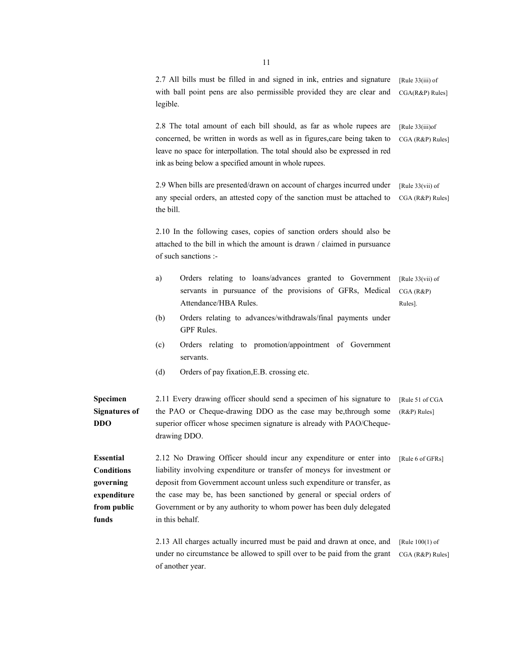|                                                                                           | legible.                                               | 2.7 All bills must be filled in and signed in ink, entries and signature<br>with ball point pens are also permissible provided they are clear and                                                                                                                                                                                                                        | [Rule $33(iii)$ of<br>CGA(R&P) Rules]      |
|-------------------------------------------------------------------------------------------|--------------------------------------------------------|--------------------------------------------------------------------------------------------------------------------------------------------------------------------------------------------------------------------------------------------------------------------------------------------------------------------------------------------------------------------------|--------------------------------------------|
|                                                                                           | ink as being below a specified amount in whole rupees. | 2.8 The total amount of each bill should, as far as whole rupees are<br>concerned, be written in words as well as in figures, care being taken to<br>leave no space for interpollation. The total should also be expressed in red                                                                                                                                        | [Rule $33(iii)$ of<br>CGA (R&P) Rules]     |
|                                                                                           | the bill.                                              | 2.9 When bills are presented/drawn on account of charges incurred under<br>any special orders, an attested copy of the sanction must be attached to                                                                                                                                                                                                                      | [Rule $33(vii)$ of<br>CGA (R&P) Rules]     |
|                                                                                           | of such sanctions :-                                   | 2.10 In the following cases, copies of sanction orders should also be<br>attached to the bill in which the amount is drawn / claimed in pursuance                                                                                                                                                                                                                        |                                            |
|                                                                                           | a)<br>Attendance/HBA Rules.                            | Orders relating to loans/advances granted to Government<br>servants in pursuance of the provisions of GFRs, Medical                                                                                                                                                                                                                                                      | [Rule $33(vii)$ of<br>CGA (R&P)<br>Rules]. |
|                                                                                           | (b)<br>GPF Rules.                                      | Orders relating to advances/withdrawals/final payments under                                                                                                                                                                                                                                                                                                             |                                            |
|                                                                                           | (c)<br>servants.                                       | Orders relating to promotion/appointment of Government                                                                                                                                                                                                                                                                                                                   |                                            |
|                                                                                           | (d)<br>Orders of pay fixation, E.B. crossing etc.      |                                                                                                                                                                                                                                                                                                                                                                          |                                            |
| Specimen<br><b>Signatures of</b><br><b>DDO</b>                                            | drawing DDO.                                           | 2.11 Every drawing officer should send a specimen of his signature to<br>the PAO or Cheque-drawing DDO as the case may be, through some<br>superior officer whose specimen signature is already with PAO/Cheque-                                                                                                                                                         | [Rule 51 of CGA<br>(R&P) Rules]            |
| <b>Essential</b><br><b>Conditions</b><br>governing<br>expenditure<br>from public<br>funds | in this behalf.                                        | 2.12 No Drawing Officer should incur any expenditure or enter into<br>liability involving expenditure or transfer of moneys for investment or<br>deposit from Government account unless such expenditure or transfer, as<br>the case may be, has been sanctioned by general or special orders of<br>Government or by any authority to whom power has been duly delegated | [Rule 6 of GFRs]                           |
|                                                                                           | of another year.                                       | 2.13 All charges actually incurred must be paid and drawn at once, and<br>under no circumstance be allowed to spill over to be paid from the grant                                                                                                                                                                                                                       | [Rule $100(1)$ of<br>CGA (R&P) Rules]      |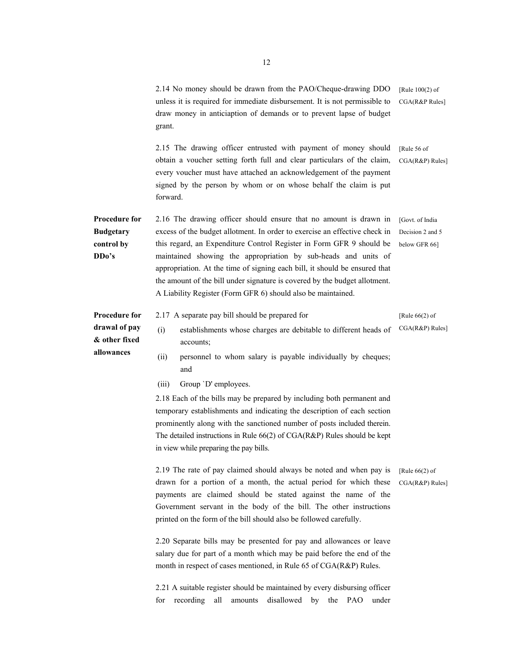|                                                                       | 2.14 No money should be drawn from the PAO/Cheque-drawing DDO<br>unless it is required for immediate disbursement. It is not permissible to<br>draw money in anticiaption of demands or to prevent lapse of budget<br>grant.                                                                                                                                                                                                                                                                                                                                                                                                                                                                                                                | [Rule $100(2)$ of<br>CGA(R&P Rules]                  |
|-----------------------------------------------------------------------|---------------------------------------------------------------------------------------------------------------------------------------------------------------------------------------------------------------------------------------------------------------------------------------------------------------------------------------------------------------------------------------------------------------------------------------------------------------------------------------------------------------------------------------------------------------------------------------------------------------------------------------------------------------------------------------------------------------------------------------------|------------------------------------------------------|
|                                                                       | 2.15 The drawing officer entrusted with payment of money should<br>obtain a voucher setting forth full and clear particulars of the claim,<br>every voucher must have attached an acknowledgement of the payment<br>signed by the person by whom or on whose behalf the claim is put<br>forward.                                                                                                                                                                                                                                                                                                                                                                                                                                            | [Rule 56 of<br>CGA(R&P) Rules]                       |
| Procedure for<br><b>Budgetary</b><br>control by<br>DD <sub>o</sub> 's | 2.16 The drawing officer should ensure that no amount is drawn in<br>excess of the budget allotment. In order to exercise an effective check in<br>this regard, an Expenditure Control Register in Form GFR 9 should be<br>maintained showing the appropriation by sub-heads and units of<br>appropriation. At the time of signing each bill, it should be ensured that<br>the amount of the bill under signature is covered by the budget allotment.<br>A Liability Register (Form GFR 6) should also be maintained.                                                                                                                                                                                                                       | [Govt. of India<br>Decision 2 and 5<br>below GFR 66] |
| <b>Procedure for</b><br>drawal of pay<br>& other fixed<br>allowances  | 2.17 A separate pay bill should be prepared for<br>(i)<br>establishments whose charges are debitable to different heads of<br>accounts;<br>(ii)<br>personnel to whom salary is payable individually by cheques;<br>and<br>Group 'D' employees.<br>(iii)<br>2.18 Each of the bills may be prepared by including both permanent and<br>temporary establishments and indicating the description of each section<br>prominently along with the sanctioned number of posts included therein.<br>The detailed instructions in Rule $66(2)$ of CGA(R&P) Rules should be kept<br>in view while preparing the pay bills.                                                                                                                             | [Rule $66(2)$ of<br>CGA(R&P) Rules]                  |
|                                                                       | 2.19 The rate of pay claimed should always be noted and when pay is<br>drawn for a portion of a month, the actual period for which these<br>payments are claimed should be stated against the name of the<br>Government servant in the body of the bill. The other instructions<br>printed on the form of the bill should also be followed carefully.<br>2.20 Separate bills may be presented for pay and allowances or leave<br>salary due for part of a month which may be paid before the end of the<br>month in respect of cases mentioned, in Rule 65 of CGA(R&P) Rules.<br>2.21 A suitable register should be maintained by every disbursing officer<br>recording<br>all<br>amounts<br>disallowed<br>the<br>PAO<br>for<br>by<br>under | [Rule $66(2)$ of<br>CGA(R&P) Rules]                  |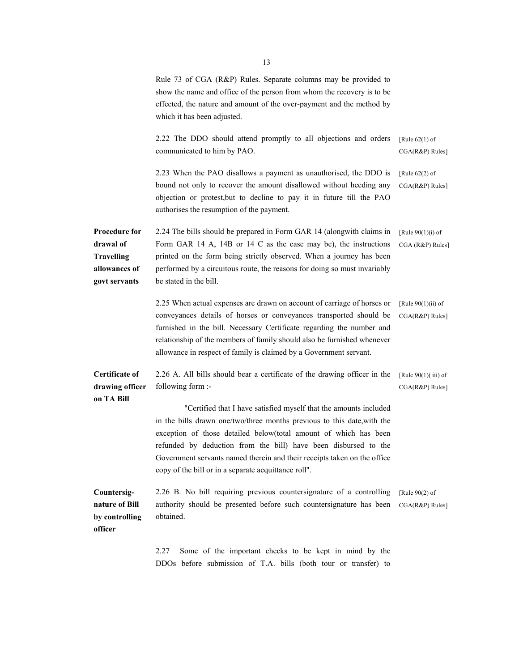|                                                                                          | Rule 73 of CGA (R&P) Rules. Separate columns may be provided to<br>show the name and office of the person from whom the recovery is to be<br>effected, the nature and amount of the over-payment and the method by<br>which it has been adjusted.                                                                                                                                                                       |                                           |
|------------------------------------------------------------------------------------------|-------------------------------------------------------------------------------------------------------------------------------------------------------------------------------------------------------------------------------------------------------------------------------------------------------------------------------------------------------------------------------------------------------------------------|-------------------------------------------|
|                                                                                          | 2.22 The DDO should attend promptly to all objections and orders<br>communicated to him by PAO.                                                                                                                                                                                                                                                                                                                         | [Rule $62(1)$ of<br>CGA(R&P) Rules]       |
|                                                                                          | 2.23 When the PAO disallows a payment as unauthorised, the DDO is<br>bound not only to recover the amount disallowed without heeding any<br>objection or protest, but to decline to pay it in future till the PAO<br>authorises the resumption of the payment.                                                                                                                                                          | [Rule $62(2)$ of<br>CGA(R&P) Rules]       |
| <b>Procedure for</b><br>drawal of<br><b>Travelling</b><br>allowances of<br>govt servants | 2.24 The bills should be prepared in Form GAR 14 (alongwith claims in<br>Form GAR 14 A, 14B or 14 C as the case may be), the instructions<br>printed on the form being strictly observed. When a journey has been<br>performed by a circuitous route, the reasons for doing so must invariably<br>be stated in the bill.                                                                                                | [Rule $90(1)(i)$ of<br>CGA (R&P) Rules]   |
|                                                                                          | 2.25 When actual expenses are drawn on account of carriage of horses or<br>conveyances details of horses or conveyances transported should be<br>furnished in the bill. Necessary Certificate regarding the number and<br>relationship of the members of family should also be furnished whenever<br>allowance in respect of family is claimed by a Government servant.                                                 | [Rule $90(1)(ii)$ of<br>CGA(R&P) Rules]   |
| <b>Certificate of</b><br>drawing officer                                                 | 2.26 A. All bills should bear a certificate of the drawing officer in the<br>following form :-                                                                                                                                                                                                                                                                                                                          | [Rule $90(1)$ (iii) of<br>CGA(R&P) Rules] |
| on TA Bill                                                                               | "Certified that I have satisfied myself that the amounts included<br>in the bills drawn one/two/three months previous to this date, with the<br>exception of those detailed below(total amount of which has been<br>refunded by deduction from the bill) have been disbursed to the<br>Government servants named therein and their receipts taken on the office<br>copy of the bill or in a separate acquittance roll". |                                           |
| Countersig-<br>nature of Bill<br>by controlling<br>officer                               | 2.26 B. No bill requiring previous countersignature of a controlling<br>authority should be presented before such countersignature has been<br>obtained.                                                                                                                                                                                                                                                                | [Rule $90(2)$ of<br>CGA(R&P) Rules]       |
|                                                                                          | 2.27<br>Some of the important checks to be kept in mind by the<br>DDOs before submission of T.A. bills (both tour or transfer) to                                                                                                                                                                                                                                                                                       |                                           |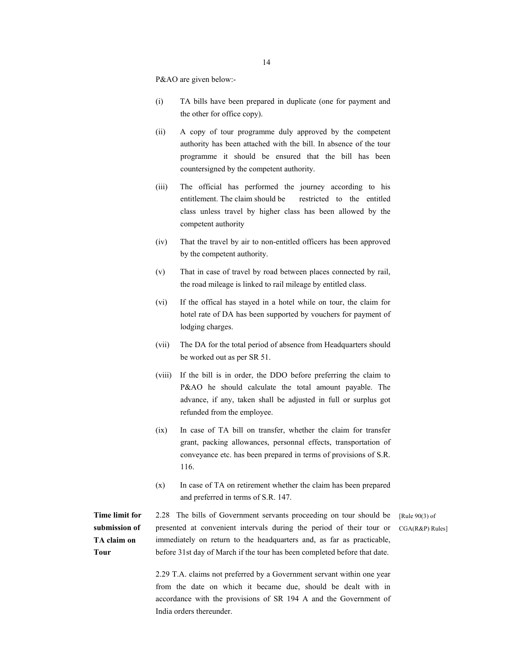P&AO are given below:-

- (i) TA bills have been prepared in duplicate (one for payment and the other for office copy).
- (ii) A copy of tour programme duly approved by the competent authority has been attached with the bill. In absence of the tour programme it should be ensured that the bill has been countersigned by the competent authority.
- (iii) The official has performed the journey according to his entitlement. The claim should be restricted to the entitled class unless travel by higher class has been allowed by the competent authority
- (iv) That the travel by air to non-entitled officers has been approved by the competent authority.
- (v) That in case of travel by road between places connected by rail, the road mileage is linked to rail mileage by entitled class.
- (vi) If the offical has stayed in a hotel while on tour, the claim for hotel rate of DA has been supported by vouchers for payment of lodging charges.
- (vii) The DA for the total period of absence from Headquarters should be worked out as per SR 51.
- (viii) If the bill is in order, the DDO before preferring the claim to P&AO he should calculate the total amount payable. The advance, if any, taken shall be adjusted in full or surplus got refunded from the employee.
- (ix) In case of TA bill on transfer, whether the claim for transfer grant, packing allowances, personnal effects, transportation of conveyance etc. has been prepared in terms of provisions of S.R. 116.
- (x) In case of TA on retirement whether the claim has been prepared and preferred in terms of S.R. 147.

**Time limit for submission of TA claim on Tour** 

2.28 The bills of Government servants proceeding on tour should be presented at convenient intervals during the period of their tour or immediately on return to the headquarters and, as far as practicable, before 31st day of March if the tour has been completed before that date.

[Rule 90(3) of CGA(R&P) Rules]

2.29 T.A. claims not preferred by a Government servant within one year from the date on which it became due, should be dealt with in accordance with the provisions of SR 194 A and the Government of India orders thereunder.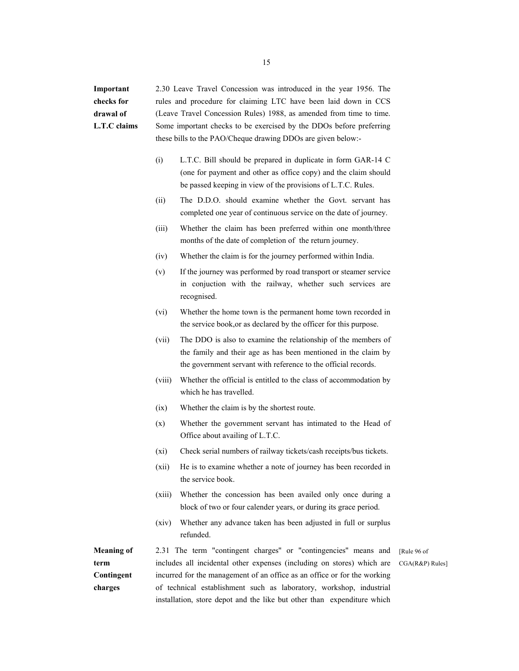**Important checks for drawal of L.T.C claims**  2.30 Leave Travel Concession was introduced in the year 1956. The rules and procedure for claiming LTC have been laid down in CCS (Leave Travel Concession Rules) 1988, as amended from time to time. Some important checks to be exercised by the DDOs before preferring these bills to the PAO/Cheque drawing DDOs are given below:-

- (i) L.T.C. Bill should be prepared in duplicate in form GAR-14 C (one for payment and other as office copy) and the claim should be passed keeping in view of the provisions of L.T.C. Rules.
- (ii) The D.D.O. should examine whether the Govt. servant has completed one year of continuous service on the date of journey.
- (iii) Whether the claim has been preferred within one month/three months of the date of completion of the return journey.
- (iv) Whether the claim is for the journey performed within India.
- (v) If the journey was performed by road transport or steamer service in conjuction with the railway, whether such services are recognised.
- (vi) Whether the home town is the permanent home town recorded in the service book,or as declared by the officer for this purpose.
- (vii) The DDO is also to examine the relationship of the members of the family and their age as has been mentioned in the claim by the government servant with reference to the official records.
- (viii) Whether the official is entitled to the class of accommodation by which he has travelled.
- (ix) Whether the claim is by the shortest route.
- (x) Whether the government servant has intimated to the Head of Office about availing of L.T.C.
- (xi) Check serial numbers of railway tickets/cash receipts/bus tickets.
- (xii) He is to examine whether a note of journey has been recorded in the service book.
- (xiii) Whether the concession has been availed only once during a block of two or four calender years, or during its grace period.
- (xiv) Whether any advance taken has been adjusted in full or surplus refunded.

**Meaning of term Contingent charges**  2.31 The term "contingent charges'' or "contingencies'' means and includes all incidental other expenses (including on stores) which are incurred for the management of an office as an office or for the working of technical establishment such as laboratory, workshop, industrial installation, store depot and the like but other than expenditure which [Rule 96 of

CGA(R&P) Rules]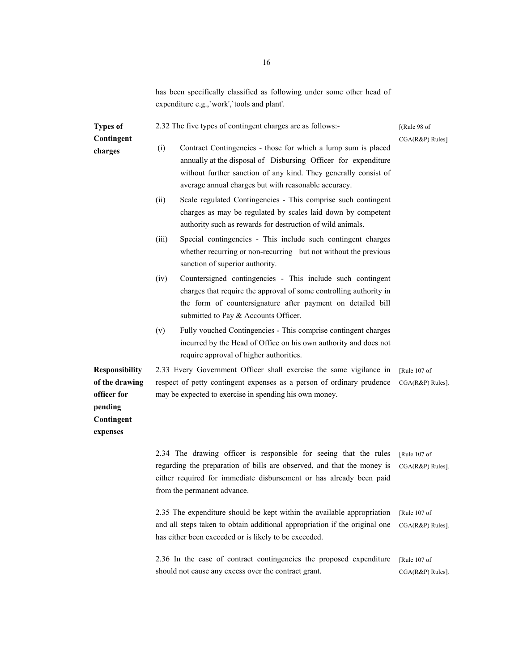has been specifically classified as following under some other head of expenditure e.g.,`work',`tools and plant'.

| <b>Types of</b>                                                                             | 2.32 The five types of contingent charges are as follows:-                                                                                                                                                                                                        | [(Rule 98 of                        |
|---------------------------------------------------------------------------------------------|-------------------------------------------------------------------------------------------------------------------------------------------------------------------------------------------------------------------------------------------------------------------|-------------------------------------|
| Contingent                                                                                  |                                                                                                                                                                                                                                                                   | CGA(R&P) Rules]                     |
| charges                                                                                     | (i)<br>Contract Contingencies - those for which a lump sum is placed<br>annually at the disposal of Disbursing Officer for expenditure<br>without further sanction of any kind. They generally consist of<br>average annual charges but with reasonable accuracy. |                                     |
|                                                                                             | Scale regulated Contingencies - This comprise such contingent<br>(ii)<br>charges as may be regulated by scales laid down by competent<br>authority such as rewards for destruction of wild animals.                                                               |                                     |
|                                                                                             | Special contingencies - This include such contingent charges<br>(iii)<br>whether recurring or non-recurring but not without the previous<br>sanction of superior authority.                                                                                       |                                     |
|                                                                                             | Countersigned contingencies - This include such contingent<br>(iv)<br>charges that require the approval of some controlling authority in<br>the form of countersignature after payment on detailed bill<br>submitted to Pay & Accounts Officer.                   |                                     |
|                                                                                             | Fully vouched Contingencies - This comprise contingent charges<br>(v)<br>incurred by the Head of Office on his own authority and does not<br>require approval of higher authorities.                                                                              |                                     |
| <b>Responsibility</b><br>of the drawing<br>officer for<br>pending<br>Contingent<br>expenses | 2.33 Every Government Officer shall exercise the same vigilance in<br>respect of petty contingent expenses as a person of ordinary prudence<br>may be expected to exercise in spending his own money.                                                             | [Rule 107 of<br>$CGA(R&P) Rules$ ]. |
|                                                                                             | 2.34 The drawing officer is responsible for seeing that the rules<br>regarding the preparation of bills are observed, and that the money is<br>either required for immediate disbursement or has already been paid<br>from the permanent advance.                 | [Rule 107 of<br>CGA(R&P) Rules].    |
|                                                                                             | 2.35 The expenditure should be kept within the available appropriation<br>and all steps taken to obtain additional appropriation if the original one<br>has either been exceeded or is likely to be exceeded.                                                     | [Rule 107 of<br>CGA(R&P) Rules].    |
|                                                                                             | 2.36 In the case of contract contingencies the proposed expenditure<br>should not cause any excess over the contract grant.                                                                                                                                       | [Rule 107 of<br>$CGA(R&P) Rules$ ]. |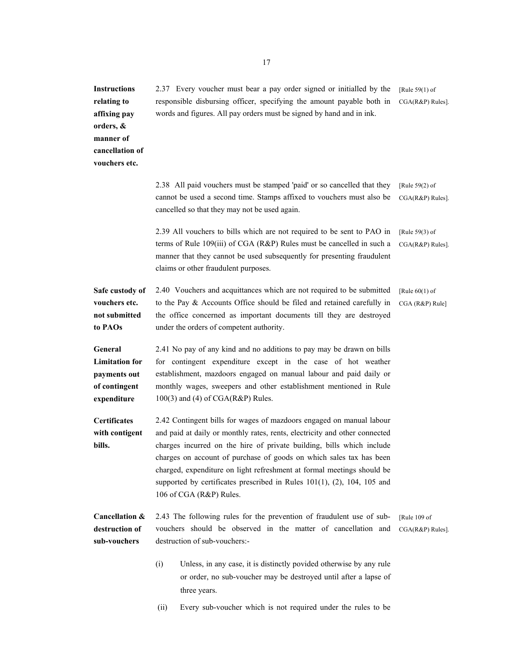**Instructions relating to affixing pay orders, & manner of cancellation of vouchers etc.**  2.37 Every voucher must bear a pay order signed or initialled by the responsible disbursing officer, specifying the amount payable both in words and figures. All pay orders must be signed by hand and in ink. [Rule 59(1) of CGA(R&P) Rules]. 2.38 All paid vouchers must be stamped 'paid' or so cancelled that they cannot be used a second time. Stamps affixed to vouchers must also be cancelled so that they may not be used again. [Rule 59(2) of CGA(R&P) Rules]. 2.39 All vouchers to bills which are not required to be sent to PAO in terms of Rule 109(iii) of CGA (R&P) Rules must be cancelled in such a manner that they cannot be used subsequently for presenting fraudulent claims or other fraudulent purposes. [Rule 59(3) of CGA(R&P) Rules]. **Safe custody of vouchers etc. not submitted to PAOs**  2.40 Vouchers and acquittances which are not required to be submitted to the Pay & Accounts Office should be filed and retained carefully in the office concerned as important documents till they are destroyed under the orders of competent authority. [Rule 60(1) of CGA (R&P) Rule] **General Limitation for payments out of contingent expenditure Certificates with contigent bills.**  2.41 No pay of any kind and no additions to pay may be drawn on bills for contingent expenditure except in the case of hot weather establishment, mazdoors engaged on manual labour and paid daily or monthly wages, sweepers and other establishment mentioned in Rule 100(3) and (4) of CGA(R&P) Rules. 2.42 Contingent bills for wages of mazdoors engaged on manual labour and paid at daily or monthly rates, rents, electricity and other connected charges incurred on the hire of private building, bills which include charges on account of purchase of goods on which sales tax has been charged, expenditure on light refreshment at formal meetings should be supported by certificates prescribed in Rules  $101(1)$ , (2), 104, 105 and 106 of CGA (R&P) Rules. **Cancellation & destruction of sub-vouchers**  2.43 The following rules for the prevention of fraudulent use of subvouchers should be observed in the matter of cancellation and destruction of sub-vouchers:- (i) Unless, in any case, it is distinctly povided otherwise by any rule or order, no sub-voucher may be destroyed until after a lapse of three years. [Rule 109 of CGA(R&P) Rules].

(ii) Every sub-voucher which is not required under the rules to be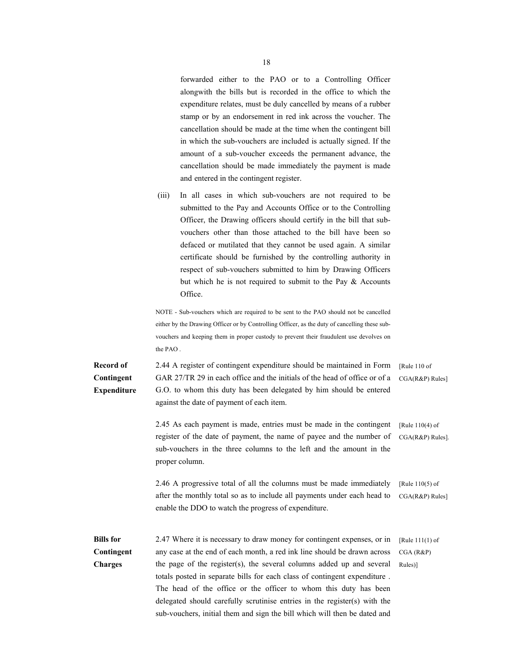forwarded either to the PAO or to a Controlling Officer alongwith the bills but is recorded in the office to which the expenditure relates, must be duly cancelled by means of a rubber stamp or by an endorsement in red ink across the voucher. The cancellation should be made at the time when the contingent bill in which the sub-vouchers are included is actually signed. If the amount of a sub-voucher exceeds the permanent advance, the cancellation should be made immediately the payment is made and entered in the contingent register.

 (iii) In all cases in which sub-vouchers are not required to be submitted to the Pay and Accounts Office or to the Controlling Officer, the Drawing officers should certify in the bill that subvouchers other than those attached to the bill have been so defaced or mutilated that they cannot be used again. A similar certificate should be furnished by the controlling authority in respect of sub-vouchers submitted to him by Drawing Officers but which he is not required to submit to the Pay & Accounts Office.

NOTE - Sub-vouchers which are required to be sent to the PAO should not be cancelled either by the Drawing Officer or by Controlling Officer, as the duty of cancelling these subvouchers and keeping them in proper custody to prevent their fraudulent use devolves on the PAO .

**Record of Contingent Expenditure**  2.44 A register of contingent expenditure should be maintained in Form GAR 27/TR 29 in each office and the initials of the head of office or of a G.O. to whom this duty has been delegated by him should be entered against the date of payment of each item. [Rule 110 of CGA(R&P) Rules]

> 2.45 As each payment is made, entries must be made in the contingent register of the date of payment, the name of payee and the number of sub-vouchers in the three columns to the left and the amount in the proper column. [Rule 110(4) of CGA(R&P) Rules].

> 2.46 A progressive total of all the columns must be made immediately after the monthly total so as to include all payments under each head to enable the DDO to watch the progress of expenditure. [Rule 110(5) of CGA(R&P) Rules]

**Bills for Contingent Charges**  2.47 Where it is necessary to draw money for contingent expenses, or in any case at the end of each month, a red ink line should be drawn across the page of the register(s), the several columns added up and several totals posted in separate bills for each class of contingent expenditure . The head of the office or the officer to whom this duty has been delegated should carefully scrutinise entries in the register(s) with the sub-vouchers, initial them and sign the bill which will then be dated and [Rule 111(1) of CGA (R&P) Rules)]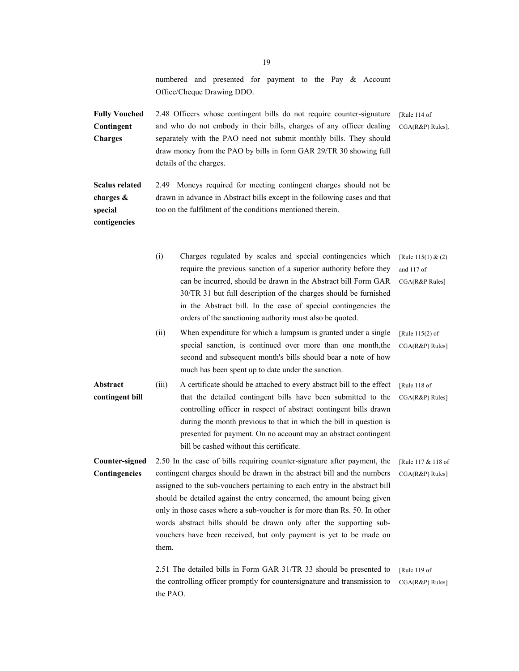|                                                               | numbered and presented for payment to the Pay & Account<br>Office/Cheque Drawing DDO.                                                                                                                                                                                                                                                                                                                                                                                                                                                          |                                                      |
|---------------------------------------------------------------|------------------------------------------------------------------------------------------------------------------------------------------------------------------------------------------------------------------------------------------------------------------------------------------------------------------------------------------------------------------------------------------------------------------------------------------------------------------------------------------------------------------------------------------------|------------------------------------------------------|
| <b>Fully Vouched</b><br>Contingent<br>Charges                 | 2.48 Officers whose contingent bills do not require counter-signature<br>and who do not embody in their bills, charges of any officer dealing<br>separately with the PAO need not submit monthly bills. They should<br>draw money from the PAO by bills in form GAR 29/TR 30 showing full<br>details of the charges.                                                                                                                                                                                                                           | [Rule 114 of<br>$CGA(R&P) Rules$ ].                  |
| <b>Scalus related</b><br>charges &<br>special<br>contigencies | 2.49 Moneys required for meeting contingent charges should not be<br>drawn in advance in Abstract bills except in the following cases and that<br>too on the fulfilment of the conditions mentioned therein.                                                                                                                                                                                                                                                                                                                                   |                                                      |
|                                                               | (i)<br>Charges regulated by scales and special contingencies which<br>require the previous sanction of a superior authority before they<br>can be incurred, should be drawn in the Abstract bill Form GAR<br>30/TR 31 but full description of the charges should be furnished<br>in the Abstract bill. In the case of special contingencies the<br>orders of the sanctioning authority must also be quoted.                                                                                                                                    | [Rule $115(1)$ & (2)<br>and 117 of<br>CGA(R&P Rules] |
|                                                               | When expenditure for which a lumpsum is granted under a single<br>(ii)<br>special sanction, is continued over more than one month, the<br>second and subsequent month's bills should bear a note of how<br>much has been spent up to date under the sanction.                                                                                                                                                                                                                                                                                  | [Rule $115(2)$ of<br>CGA(R&P) Rules]                 |
| Abstract<br>contingent bill                                   | (iii)<br>A certificate should be attached to every abstract bill to the effect<br>that the detailed contingent bills have been submitted to the<br>controlling officer in respect of abstract contingent bills drawn<br>during the month previous to that in which the bill in question is<br>presented for payment. On no account may an abstract contingent<br>bill be cashed without this certificate.                                                                                                                                      | [Rule 118 of<br>CGA(R&P) Rules]                      |
| Counter-signed<br>Contingencies                               | 2.50 In the case of bills requiring counter-signature after payment, the<br>contingent charges should be drawn in the abstract bill and the numbers<br>assigned to the sub-vouchers pertaining to each entry in the abstract bill<br>should be detailed against the entry concerned, the amount being given<br>only in those cases where a sub-voucher is for more than Rs. 50. In other<br>words abstract bills should be drawn only after the supporting sub-<br>vouchers have been received, but only payment is yet to be made on<br>them. | [Rule 117 & 118 of<br>CGA(R&P) Rules]                |
|                                                               | 2.51 The detailed bills in Form GAR 31/TR 33 should be presented to<br>the controlling officer promptly for countersignature and transmission to<br>the PAO.                                                                                                                                                                                                                                                                                                                                                                                   | [Rule 119 of<br>CGA(R&P) Rules]                      |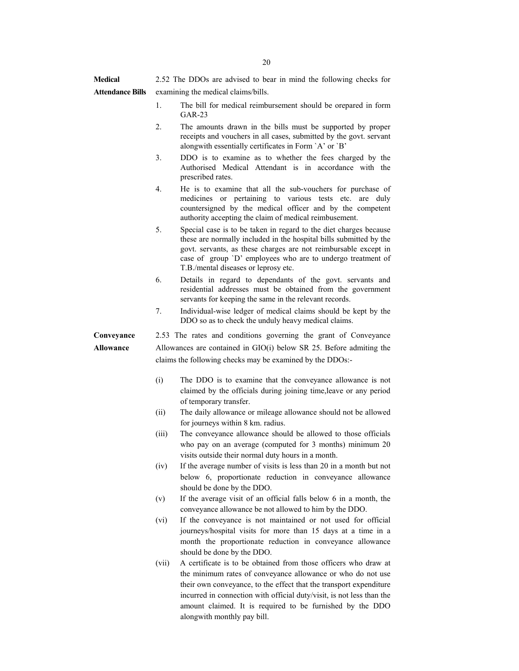**Medical Attendance Bills** 2.52 The DDOs are advised to bear in mind the following checks for examining the medical claims/bills.

- 1. The bill for medical reimbursement should be orepared in form GAR-23
- 2. The amounts drawn in the bills must be supported by proper receipts and vouchers in all cases, submitted by the govt. servant alongwith essentially certificates in Form `A' or `B'
- 3. DDO is to examine as to whether the fees charged by the Authorised Medical Attendant is in accordance with the prescribed rates.
- 4. He is to examine that all the sub-vouchers for purchase of medicines or pertaining to various tests etc. are duly countersigned by the medical officer and by the competent authority accepting the claim of medical reimbusement.
- 5. Special case is to be taken in regard to the diet charges because these are normally included in the hospital bills submitted by the govt. servants, as these charges are not reimbursable except in case of group `D' employees who are to undergo treatment of T.B./mental diseases or leprosy etc.
- 6. Details in regard to dependants of the govt. servants and residential addresses must be obtained from the government servants for keeping the same in the relevant records.
- 7. Individual-wise ledger of medical claims should be kept by the DDO so as to check the unduly heavy medical claims.

**Conveyance Allowance**  2.53 The rates and conditions governing the grant of Conveyance Allowances are contained in GIO(i) below SR 25. Before admiting the claims the following checks may be examined by the DDOs:-

- (i) The DDO is to examine that the conveyance allowance is not claimed by the officials during joining time,leave or any period of temporary transfer.
- (ii) The daily allowance or mileage allowance should not be allowed for journeys within 8 km. radius.
- (iii) The conveyance allowance should be allowed to those officials who pay on an average (computed for 3 months) minimum 20 visits outside their normal duty hours in a month.
- (iv) If the average number of visits is less than 20 in a month but not below 6, proportionate reduction in conveyance allowance should be done by the DDO.
- (v) If the average visit of an official falls below 6 in a month, the conveyance allowance be not allowed to him by the DDO.
- (vi) If the conveyance is not maintained or not used for official journeys/hospital visits for more than 15 days at a time in a month the proportionate reduction in conveyance allowance should be done by the DDO.
- (vii) A certificate is to be obtained from those officers who draw at the minimum rates of conveyance allowance or who do not use their own conveyance, to the effect that the transport expenditure incurred in connection with official duty/visit, is not less than the amount claimed. It is required to be furnished by the DDO alongwith monthly pay bill.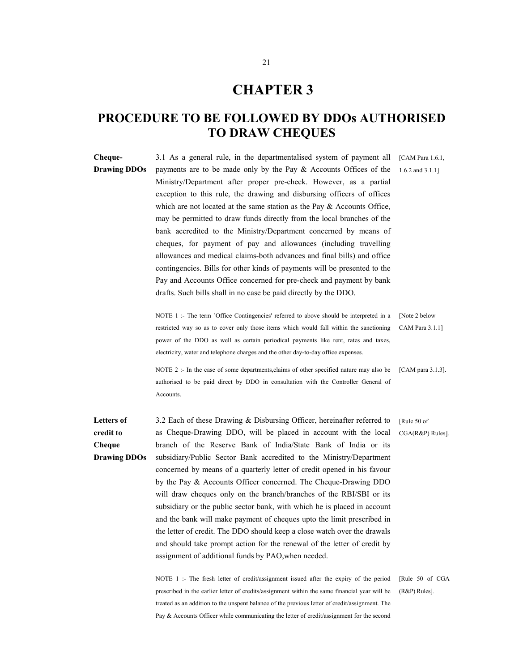### **CHAPTER 3**

### **PROCEDURE TO BE FOLLOWED BY DDOs AUTHORISED TO DRAW CHEQUES**

**Cheque-Drawing DDOs**  3.1 As a general rule, in the departmentalised system of payment all payments are to be made only by the Pay & Accounts Offices of the Ministry/Department after proper pre-check. However, as a partial exception to this rule, the drawing and disbursing officers of offices which are not located at the same station as the Pay  $\&$  Accounts Office, may be permitted to draw funds directly from the local branches of the bank accredited to the Ministry/Department concerned by means of cheques, for payment of pay and allowances (including travelling allowances and medical claims-both advances and final bills) and office contingencies. Bills for other kinds of payments will be presented to the Pay and Accounts Office concerned for pre-check and payment by bank drafts. Such bills shall in no case be paid directly by the DDO. [CAM Para 1.6.1, 1.6.2 and 3.1.1] NOTE 1 :- The term `Office Contingencies' referred to above should be interpreted in a restricted way so as to cover only those items which would fall within the sanctioning power of the DDO as well as certain periodical payments like rent, rates and taxes, electricity, water and telephone charges and the other day-to-day office expenses. [Note 2 below CAM Para 3.1.1] NOTE 2 :- In the case of some departments, claims of other specified nature may also be authorised to be paid direct by DDO in consultation with the Controller General of **Accounts** [CAM para 3.1.3]. **Letters of credit to Cheque Drawing DDOs**  3.2 Each of these Drawing & Disbursing Officer, hereinafter referred to as Cheque-Drawing DDO, will be placed in account with the local branch of the Reserve Bank of India/State Bank of India or its subsidiary/Public Sector Bank accredited to the Ministry/Department concerned by means of a quarterly letter of credit opened in his favour by the Pay & Accounts Officer concerned. The Cheque-Drawing DDO will draw cheques only on the branch/branches of the RBI/SBI or its subsidiary or the public sector bank, with which he is placed in account and the bank will make payment of cheques upto the limit prescribed in [Rule 50 of CGA(R&P) Rules].

> NOTE 1 :- The fresh letter of credit/assignment issued after the expiry of the period prescribed in the earlier letter of credits/assignment within the same financial year will be treated as an addition to the unspent balance of the previous letter of credit/assignment. The Pay & Accounts Officer while communicating the letter of credit/assignment for the second

the letter of credit. The DDO should keep a close watch over the drawals and should take prompt action for the renewal of the letter of credit by

assignment of additional funds by PAO,when needed.

[Rule 50 of CGA (R&P) Rules].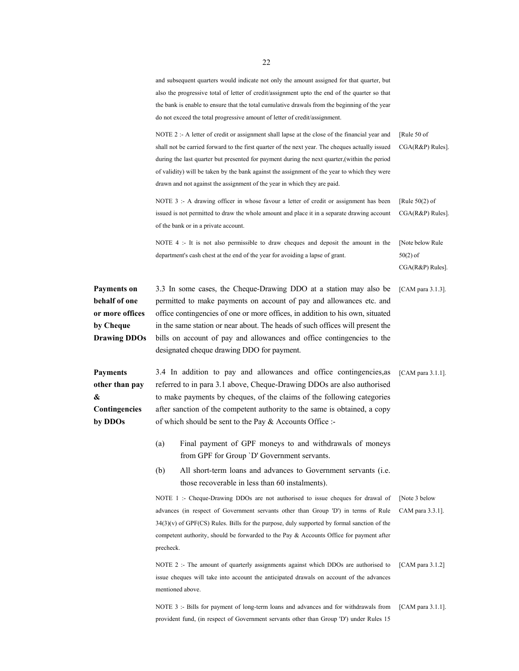and subsequent quarters would indicate not only the amount assigned for that quarter, but also the progressive total of letter of credit/assignment upto the end of the quarter so that the bank is enable to ensure that the total cumulative drawals from the beginning of the year do not exceed the total progressive amount of letter of credit/assignment.

NOTE 2 :- A letter of credit or assignment shall lapse at the close of the financial year and shall not be carried forward to the first quarter of the next year. The cheques actually issued during the last quarter but presented for payment during the next quarter,(within the period of validity) will be taken by the bank against the assignment of the year to which they were drawn and not against the assignment of the year in which they are paid. [Rule 50 of CGA(R&P) Rules].

NOTE 3 :- A drawing officer in whose favour a letter of credit or assignment has been issued is not permitted to draw the whole amount and place it in a separate drawing account of the bank or in a private account. [Rule 50(2) of CGA(R&P) Rules].

NOTE 4 :- It is not also permissible to draw cheques and deposit the amount in the department's cash chest at the end of the year for avoiding a lapse of grant. [Note below Rule 50(2) of

CGA(R&P) Rules].

**Payments on behalf of one or more offices by Cheque Drawing DDOs**  3.3 In some cases, the Cheque-Drawing DDO at a station may also be permitted to make payments on account of pay and allowances etc. and office contingencies of one or more offices, in addition to his own, situated in the same station or near about. The heads of such offices will present the bills on account of pay and allowances and office contingencies to the designated cheque drawing DDO for payment. [CAM para 3.1.3].

**Payments other than pay & Contingencies by DDOs** 

3.4 In addition to pay and allowances and office contingencies,as referred to in para 3.1 above, Cheque-Drawing DDOs are also authorised to make payments by cheques, of the claims of the following categories after sanction of the competent authority to the same is obtained, a copy of which should be sent to the Pay & Accounts Office :- [CAM para 3.1.1].

- (a) Final payment of GPF moneys to and withdrawals of moneys from GPF for Group `D' Government servants.
- (b) All short-term loans and advances to Government servants (i.e. those recoverable in less than 60 instalments).

NOTE 1 :- Cheque-Drawing DDOs are not authorised to issue cheques for drawal of advances (in respect of Government servants other than Group 'D') in terms of Rule 34(3)(v) of GPF(CS) Rules. Bills for the purpose, duly supported by formal sanction of the competent authority, should be forwarded to the Pay & Accounts Office for payment after precheck. [Note 3 below CAM para 3.3.1].

NOTE 2 :- The amount of quarterly assignments against which DDOs are authorised to issue cheques will take into account the anticipated drawals on account of the advances mentioned above. [CAM para 3.1.2]

NOTE 3 :- Bills for payment of long-term loans and advances and for withdrawals from provident fund, (in respect of Government servants other than Group 'D') under Rules 15 [CAM para 3.1.1].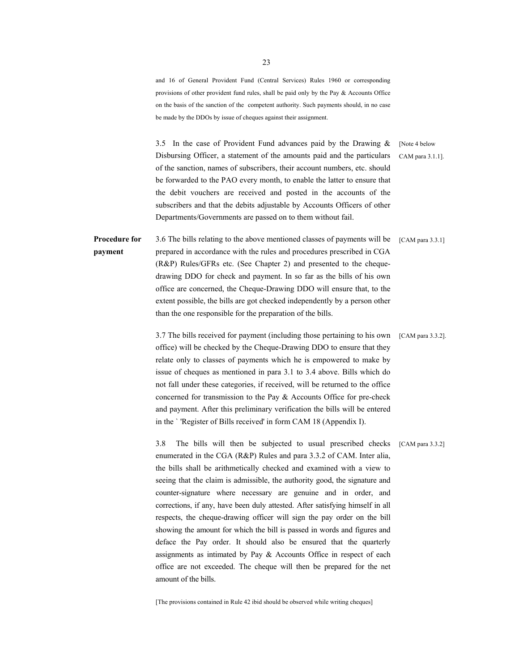and 16 of General Provident Fund (Central Services) Rules 1960 or corresponding provisions of other provident fund rules, shall be paid only by the Pay & Accounts Office on the basis of the sanction of the competent authority. Such payments should, in no case be made by the DDOs by issue of cheques against their assignment.

3.5 In the case of Provident Fund advances paid by the Drawing & Disbursing Officer, a statement of the amounts paid and the particulars of the sanction, names of subscribers, their account numbers, etc. should be forwarded to the PAO every month, to enable the latter to ensure that the debit vouchers are received and posted in the accounts of the subscribers and that the debits adjustable by Accounts Officers of other Departments/Governments are passed on to them without fail.

[Note 4 below CAM para 3.1.1].

**Procedure for payment**  3.6 The bills relating to the above mentioned classes of payments will be [CAM para 3.3.1] prepared in accordance with the rules and procedures prescribed in CGA (R&P) Rules/GFRs etc. (See Chapter 2) and presented to the chequedrawing DDO for check and payment. In so far as the bills of his own office are concerned, the Cheque-Drawing DDO will ensure that, to the extent possible, the bills are got checked independently by a person other than the one responsible for the preparation of the bills.

> 3.7 The bills received for payment (including those pertaining to his own [CAM para 3.3.2]. office) will be checked by the Cheque-Drawing DDO to ensure that they relate only to classes of payments which he is empowered to make by issue of cheques as mentioned in para 3.1 to 3.4 above. Bills which do not fall under these categories, if received, will be returned to the office concerned for transmission to the Pay & Accounts Office for pre-check and payment. After this preliminary verification the bills will be entered in the ` 'Register of Bills received' in form CAM 18 (Appendix I).

> 3.8 The bills will then be subjected to usual prescribed checks enumerated in the CGA (R&P) Rules and para 3.3.2 of CAM. Inter alia, the bills shall be arithmetically checked and examined with a view to seeing that the claim is admissible, the authority good, the signature and counter-signature where necessary are genuine and in order, and corrections, if any, have been duly attested. After satisfying himself in all respects, the cheque-drawing officer will sign the pay order on the bill showing the amount for which the bill is passed in words and figures and deface the Pay order. It should also be ensured that the quarterly assignments as intimated by Pay & Accounts Office in respect of each office are not exceeded. The cheque will then be prepared for the net amount of the bills. [CAM para 3.3.2]

[The provisions contained in Rule 42 ibid should be observed while writing cheques]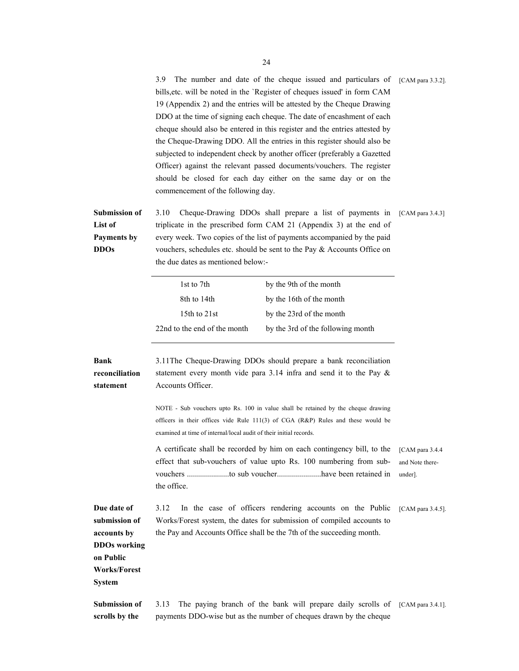|                                                               | The number and date of the cheque issued and particulars of<br>3.9<br>bills, etc. will be noted in the 'Register of cheques issued' in form CAM<br>19 (Appendix 2) and the entries will be attested by the Cheque Drawing<br>DDO at the time of signing each cheque. The date of encashment of each<br>cheque should also be entered in this register and the entries attested by<br>the Cheque-Drawing DDO. All the entries in this register should also be<br>subjected to independent check by another officer (preferably a Gazetted<br>Officer) against the relevant passed documents/vouchers. The register<br>should be closed for each day either on the same day or on the<br>commencement of the following day. |                                                                                                                                                                                                                                 |                     |  |
|---------------------------------------------------------------|---------------------------------------------------------------------------------------------------------------------------------------------------------------------------------------------------------------------------------------------------------------------------------------------------------------------------------------------------------------------------------------------------------------------------------------------------------------------------------------------------------------------------------------------------------------------------------------------------------------------------------------------------------------------------------------------------------------------------|---------------------------------------------------------------------------------------------------------------------------------------------------------------------------------------------------------------------------------|---------------------|--|
| <b>Submission of</b><br>List of<br>Payments by<br><b>DDOs</b> | 3.10<br>Cheque-Drawing DDOs shall prepare a list of payments in<br>triplicate in the prescribed form CAM 21 (Appendix 3) at the end of<br>every week. Two copies of the list of payments accompanied by the paid<br>vouchers, schedules etc. should be sent to the Pay & Accounts Office on<br>the due dates as mentioned below:-                                                                                                                                                                                                                                                                                                                                                                                         |                                                                                                                                                                                                                                 | [CAM para $3.4.3$ ] |  |
|                                                               | 1st to 7th<br>8th to 14th<br>15th to 21st<br>22nd to the end of the month                                                                                                                                                                                                                                                                                                                                                                                                                                                                                                                                                                                                                                                 | by the 9th of the month<br>by the 16th of the month<br>by the 23rd of the month<br>by the 3rd of the following month                                                                                                            |                     |  |
| <b>Bank</b><br>reconciliation<br>statement                    | Accounts Officer.                                                                                                                                                                                                                                                                                                                                                                                                                                                                                                                                                                                                                                                                                                         | 3.11The Cheque-Drawing DDOs should prepare a bank reconciliation<br>statement every month vide para 3.14 infra and send it to the Pay $\&$<br>NOTE - Sub vouchers upto Rs. 100 in value shall be retained by the cheque drawing |                     |  |
|                                                               | officers in their offices vide Rule $111(3)$ of CGA (R&P) Rules and these would be<br>examined at time of internal/local audit of their initial records.<br>A certificate shall be recorded by him on each contingency bill, to the<br>effect that sub-vouchers of value upto Rs. 100 numbering from sub-<br>the office.                                                                                                                                                                                                                                                                                                                                                                                                  |                                                                                                                                                                                                                                 |                     |  |

**Due date of submission of accounts by DDOs working on Public Works/Forest System**  3.12 In the case of officers rendering accounts on the Public [CAM para 3.4.5]. Works/Forest system, the dates for submission of compiled accounts to the Pay and Accounts Office shall be the 7th of the succeeding month. **Submission of scrolls by the**  3.13 The paying branch of the bank will prepare daily scrolls of [CAM para 3.4.1]. payments DDO-wise but as the number of cheques drawn by the cheque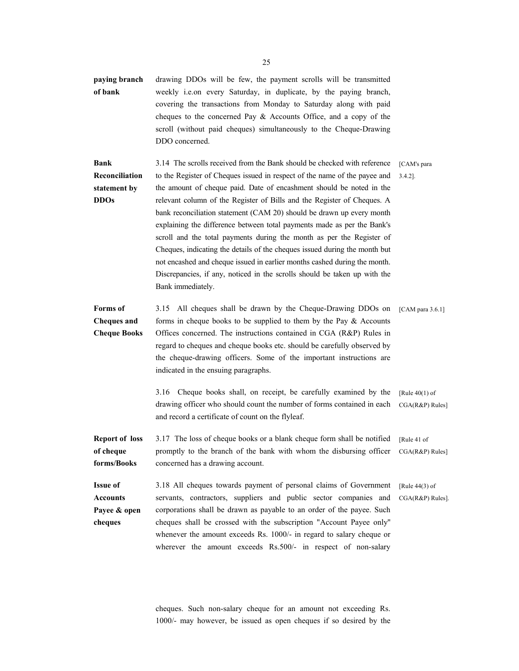**paying branch of bank**  drawing DDOs will be few, the payment scrolls will be transmitted weekly i.e.on every Saturday, in duplicate, by the paying branch, covering the transactions from Monday to Saturday along with paid cheques to the concerned Pay & Accounts Office, and a copy of the scroll (without paid cheques) simultaneously to the Cheque-Drawing DDO concerned.

**Bank Reconciliation statement by DDOs**  3.14 The scrolls received from the Bank should be checked with reference to the Register of Cheques issued in respect of the name of the payee and the amount of cheque paid. Date of encashment should be noted in the relevant column of the Register of Bills and the Register of Cheques. A bank reconciliation statement (CAM 20) should be drawn up every month explaining the difference between total payments made as per the Bank's scroll and the total payments during the month as per the Register of Cheques, indicating the details of the cheques issued during the month but not encashed and cheque issued in earlier months cashed during the month. Discrepancies, if any, noticed in the scrolls should be taken up with the Bank immediately. [CAM's para 3.4.2].

**Forms of Cheques and Cheque Books**  3.15 All cheques shall be drawn by the Cheque-Drawing DDOs on forms in cheque books to be supplied to them by the Pay  $\&$  Accounts Offices concerned. The instructions contained in CGA (R&P) Rules in regard to cheques and cheque books etc. should be carefully observed by the cheque-drawing officers. Some of the important instructions are indicated in the ensuing paragraphs. [CAM para 3.6.1]

> 3.16 Cheque books shall, on receipt, be carefully examined by the drawing officer who should count the number of forms contained in each and record a certificate of count on the flyleaf. [Rule 40(1) of CGA(R&P) Rules]

**Report of loss of cheque forms/Books**  3.17 The loss of cheque books or a blank cheque form shall be notified promptly to the branch of the bank with whom the disbursing officer concerned has a drawing account. [Rule 41 of CGA(R&P) Rules]

**Issue of Accounts Payee & open cheques**  3.18 All cheques towards payment of personal claims of Government servants, contractors, suppliers and public sector companies and corporations shall be drawn as payable to an order of the payee. Such cheques shall be crossed with the subscription "Account Payee only'' whenever the amount exceeds Rs. 1000/- in regard to salary cheque or wherever the amount exceeds Rs.500/- in respect of non-salary [Rule 44(3) of CGA(R&P) Rules].

> cheques. Such non-salary cheque for an amount not exceeding Rs. 1000/- may however, be issued as open cheques if so desired by the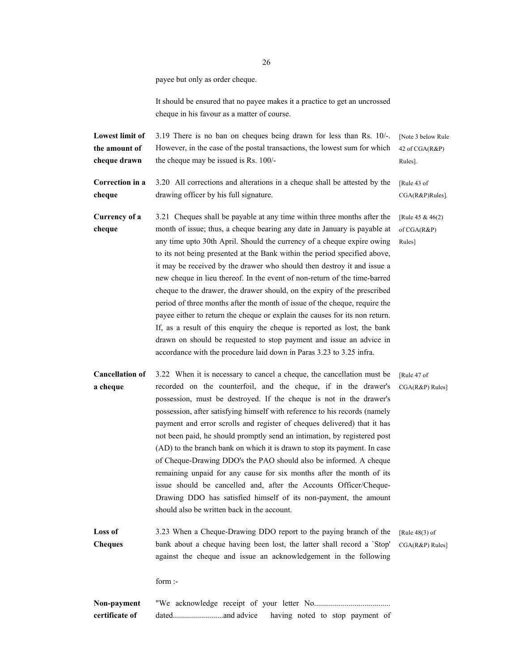payee but only as order cheque.

It should be ensured that no payee makes it a practice to get an uncrossed cheque in his favour as a matter of course.

**Lowest limit of the amount of cheque drawn**  3.19 There is no ban on cheques being drawn for less than Rs. 10/-. However, in the case of the postal transactions, the lowest sum for which the cheque may be issued is Rs. 100/- [Note 3 below Rule 42 of CGA(R&P) Rules].

**Correction in a cheque**  3.20 All corrections and alterations in a cheque shall be attested by the drawing officer by his full signature. [Rule 43 of CGA(R&P)Rules].

**Currency of a cheque**  3.21 Cheques shall be payable at any time within three months after the month of issue; thus, a cheque bearing any date in January is payable at any time upto 30th April. Should the currency of a cheque expire owing to its not being presented at the Bank within the period specified above, it may be received by the drawer who should then destroy it and issue a new cheque in lieu thereof. In the event of non-return of the time-barred cheque to the drawer, the drawer should, on the expiry of the prescribed period of three months after the month of issue of the cheque, require the payee either to return the cheque or explain the causes for its non return. If, as a result of this enquiry the cheque is reported as lost, the bank drawn on should be requested to stop payment and issue an advice in accordance with the procedure laid down in Paras 3.23 to 3.25 infra. [Rule 45 & 46(2) of CGA(R&P) Rules]

**Cancellation of a cheque**  3.22 When it is necessary to cancel a cheque, the cancellation must be recorded on the counterfoil, and the cheque, if in the drawer's possession, must be destroyed. If the cheque is not in the drawer's possession, after satisfying himself with reference to his records (namely payment and error scrolls and register of cheques delivered) that it has not been paid, he should promptly send an intimation, by registered post (AD) to the branch bank on which it is drawn to stop its payment. In case of Cheque-Drawing DDO's the PAO should also be informed. A cheque remaining unpaid for any cause for six months after the month of its issue should be cancelled and, after the Accounts Officer/Cheque-Drawing DDO has satisfied himself of its non-payment, the amount should also be written back in the account. [Rule 47 of CGA(R&P) Rules]

**Loss of Cheques**  3.23 When a Cheque-Drawing DDO report to the paying branch of the bank about a cheque having been lost, the latter shall record a `Stop' against the cheque and issue an acknowledgement in the following [Rule 48(3) of

CGA(R&P) Rules]

form :-

**Non-payment certificate of**  "We acknowledge receipt of your letter No...................................... dated.........................and advice having noted to stop payment of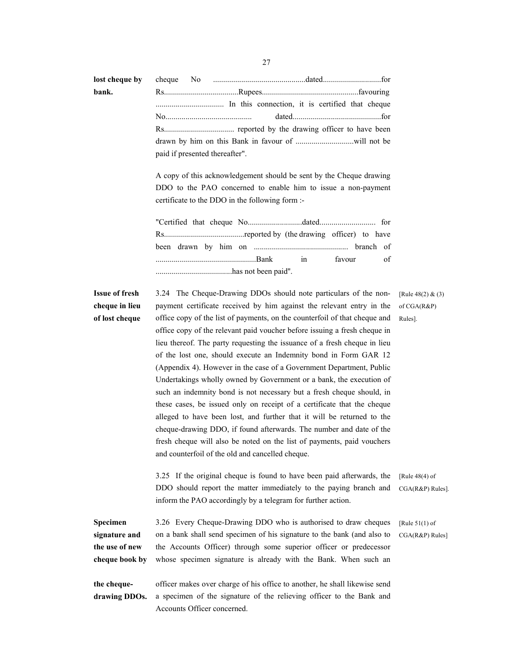| lost cheque by |  |                                |  |
|----------------|--|--------------------------------|--|
| bank.          |  |                                |  |
|                |  |                                |  |
|                |  |                                |  |
|                |  |                                |  |
|                |  |                                |  |
|                |  | paid if presented thereafter". |  |

A copy of this acknowledgement should be sent by the Cheque drawing DDO to the PAO concerned to enable him to issue a non-payment certificate to the DDO in the following form :-

|  | favour of |  |
|--|-----------|--|
|  |           |  |

#### **Issue of fresh cheque in lieu of lost cheque**

3.24 The Cheque-Drawing DDOs should note particulars of the nonpayment certificate received by him against the relevant entry in the office copy of the list of payments, on the counterfoil of that cheque and office copy of the relevant paid voucher before issuing a fresh cheque in lieu thereof. The party requesting the issuance of a fresh cheque in lieu of the lost one, should execute an Indemnity bond in Form GAR 12 (Appendix 4). However in the case of a Government Department, Public Undertakings wholly owned by Government or a bank, the execution of such an indemnity bond is not necessary but a fresh cheque should, in these cases, be issued only on receipt of a certificate that the cheque alleged to have been lost, and further that it will be returned to the cheque-drawing DDO, if found afterwards. The number and date of the fresh cheque will also be noted on the list of payments, paid vouchers and counterfoil of the old and cancelled cheque.

[Rule 48(2) & (3) of CGA(R&P) Rules].

3.25 If the original cheque is found to have been paid afterwards, the DDO should report the matter immediately to the paying branch and inform the PAO accordingly by a telegram for further action. [Rule 48(4) of CGA(R&P) Rules].

**Specimen signature and the use of new cheque book by**  3.26 Every Cheque-Drawing DDO who is authorised to draw cheques on a bank shall send specimen of his signature to the bank (and also to the Accounts Officer) through some superior officer or predecessor whose specimen signature is already with the Bank. When such an [Rule 51(1) of CGA(R&P) Rules]

**the chequedrawing DDOs.** officer makes over charge of his office to another, he shall likewise send a specimen of the signature of the relieving officer to the Bank and Accounts Officer concerned.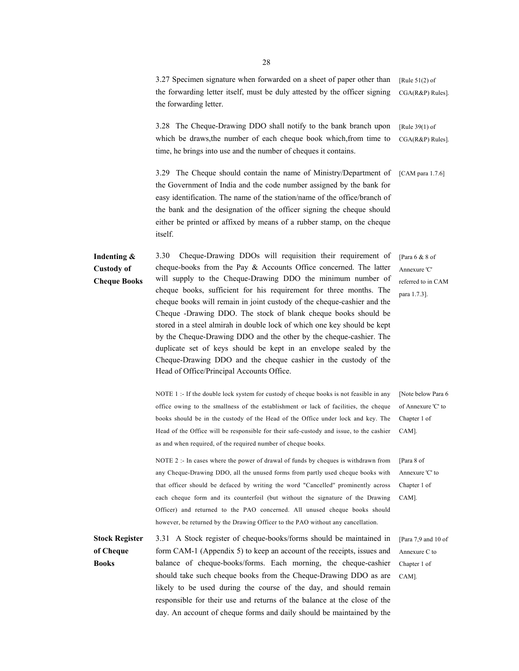3.27 Specimen signature when forwarded on a sheet of paper other than the forwarding letter itself, must be duly attested by the officer signing the forwarding letter. [Rule 51(2) of CGA(R&P) Rules].

3.28 The Cheque-Drawing DDO shall notify to the bank branch upon which be draws,the number of each cheque book which,from time to time, he brings into use and the number of cheques it contains. [Rule 39(1) of CGA(R&P) Rules].

3.29 The Cheque should contain the name of Ministry/Department of the Government of India and the code number assigned by the bank for easy identification. The name of the station/name of the office/branch of the bank and the designation of the officer signing the cheque should either be printed or affixed by means of a rubber stamp, on the cheque itself. [CAM para 1.7.6]

**Indenting & Custody of Cheque Books**  3.30 Cheque-Drawing DDOs will requisition their requirement of cheque-books from the Pay & Accounts Office concerned. The latter will supply to the Cheque-Drawing DDO the minimum number of cheque books, sufficient for his requirement for three months. The cheque books will remain in joint custody of the cheque-cashier and the Cheque -Drawing DDO. The stock of blank cheque books should be stored in a steel almirah in double lock of which one key should be kept by the Cheque-Drawing DDO and the other by the cheque-cashier. The duplicate set of keys should be kept in an envelope sealed by the Cheque-Drawing DDO and the cheque cashier in the custody of the Head of Office/Principal Accounts Office.

> NOTE 1 :- If the double lock system for custody of cheque books is not feasible in any office owing to the smallness of the establishment or lack of facilities, the cheque books should be in the custody of the Head of the Office under lock and key. The Head of the Office will be responsible for their safe-custody and issue, to the cashier as and when required, of the required number of cheque books.

[Note below Para 6 of Annexure 'C' to Chapter 1 of CAM].

NOTE 2 :- In cases where the power of drawal of funds by cheques is withdrawn from any Cheque-Drawing DDO, all the unused forms from partly used cheque books with that officer should be defaced by writing the word "Cancelled'' prominently across each cheque form and its counterfoil (but without the signature of the Drawing Officer) and returned to the PAO concerned. All unused cheque books should however, be returned by the Drawing Officer to the PAO without any cancellation.

**Stock Register of Cheque Books**  3.31 A Stock register of cheque-books/forms should be maintained in form CAM-1 (Appendix 5) to keep an account of the receipts, issues and balance of cheque-books/forms. Each morning, the cheque-cashier should take such cheque books from the Cheque-Drawing DDO as are likely to be used during the course of the day, and should remain responsible for their use and returns of the balance at the close of the day. An account of cheque forms and daily should be maintained by the

[Para 6 & 8 of Annexure 'C' referred to in CAM para 1.7.3].

Chapter 1 of CAM].

[Para 8 of Annexure 'C' to

[Para 7,9 and 10 of Annexure C to Chapter 1 of CAM].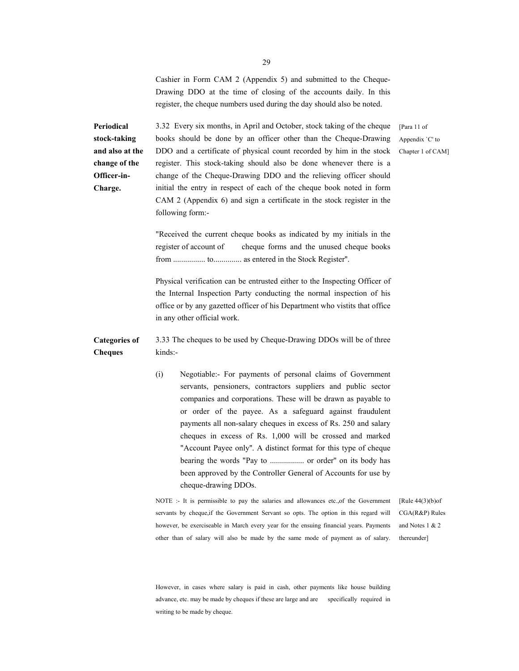Cashier in Form CAM 2 (Appendix 5) and submitted to the Cheque-Drawing DDO at the time of closing of the accounts daily. In this register, the cheque numbers used during the day should also be noted.

**Periodical stock-taking and also at the change of the Officer-in-Charge.**

3.32 Every six months, in April and October, stock taking of the cheque books should be done by an officer other than the Cheque-Drawing DDO and a certificate of physical count recorded by him in the stock register. This stock-taking should also be done whenever there is a change of the Cheque-Drawing DDO and the relieving officer should initial the entry in respect of each of the cheque book noted in form CAM 2 (Appendix 6) and sign a certificate in the stock register in the following form:-

[Para 11 of Appendix `C' to Chapter 1 of CAM]

"Received the current cheque books as indicated by my initials in the register of account of cheque forms and the unused cheque books from ................ to.............. as entered in the Stock Register''.

Physical verification can be entrusted either to the Inspecting Officer of the Internal Inspection Party conducting the normal inspection of his office or by any gazetted officer of his Department who vistits that office in any other official work.

**Categories of Cheques**  3.33 The cheques to be used by Cheque-Drawing DDOs will be of three kinds:-

> (i) Negotiable:- For payments of personal claims of Government servants, pensioners, contractors suppliers and public sector companies and corporations. These will be drawn as payable to or order of the payee. As a safeguard against fraudulent payments all non-salary cheques in excess of Rs. 250 and salary cheques in excess of Rs. 1,000 will be crossed and marked "Account Payee only''. A distinct format for this type of cheque bearing the words "Pay to ................. or order'' on its body has been approved by the Controller General of Accounts for use by cheque-drawing DDOs.

NOTE :- It is permissible to pay the salaries and allowances etc.,of the Government servants by cheque,if the Government Servant so opts. The option in this regard will however, be exerciseable in March every year for the ensuing financial years. Payments other than of salary will also be made by the same mode of payment as of salary.

[Rule 44(3)(b)of CGA(R&P) Rules and Notes 1 & 2 thereunder]

However, in cases where salary is paid in cash, other payments like house building advance, etc. may be made by cheques if these are large and are specifically required in writing to be made by cheque.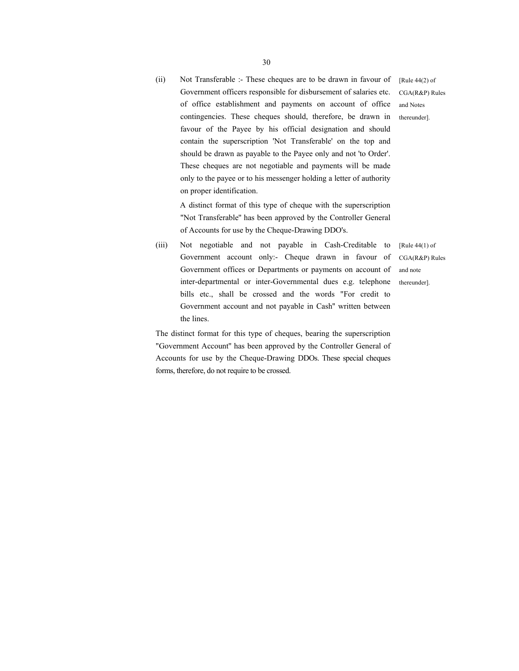(ii) Not Transferable :- These cheques are to be drawn in favour of Government officers responsible for disbursement of salaries etc. of office establishment and payments on account of office contingencies. These cheques should, therefore, be drawn in favour of the Payee by his official designation and should contain the superscription 'Not Transferable' on the top and should be drawn as payable to the Payee only and not 'to Order'. These cheques are not negotiable and payments will be made only to the payee or to his messenger holding a letter of authority on proper identification. [Rule 44(2) of CGA(R&P) Rules and Notes thereunder].

 A distinct format of this type of cheque with the superscription "Not Transferable'' has been approved by the Controller General of Accounts for use by the Cheque-Drawing DDO's.

(iii) Not negotiable and not payable in Cash-Creditable to Government account only:- Cheque drawn in favour of Government offices or Departments or payments on account of inter-departmental or inter-Governmental dues e.g. telephone bills etc., shall be crossed and the words "For credit to Government account and not payable in Cash'' written between the lines.

[Rule 44(1) of CGA(R&P) Rules and note thereunder].

The distinct format for this type of cheques, bearing the superscription "Government Account'' has been approved by the Controller General of Accounts for use by the Cheque-Drawing DDOs. These special cheques forms, therefore, do not require to be crossed.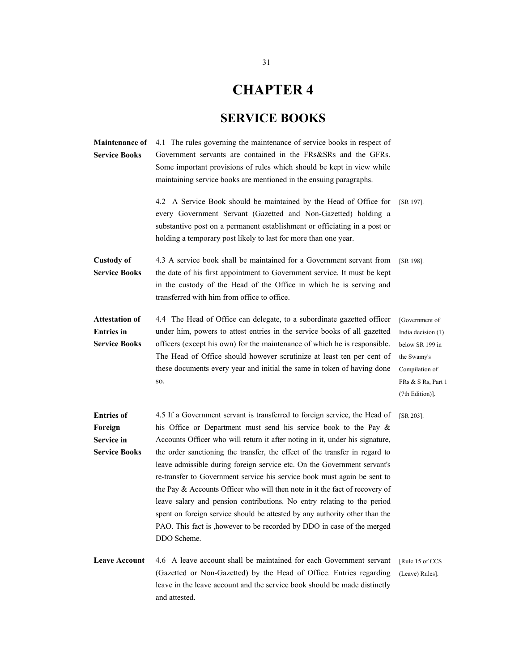# **CHAPTER 4**

## **SERVICE BOOKS**

| <b>Maintenance of</b><br><b>Service Books</b>                      | 4.1 The rules governing the maintenance of service books in respect of<br>Government servants are contained in the FRs&SRs and the GFRs.<br>Some important provisions of rules which should be kept in view while<br>maintaining service books are mentioned in the ensuing paragraphs.                                                                                                                                                                                                                                                                                                                                                                                                                                                                                                                        |                                                                                                                                   |
|--------------------------------------------------------------------|----------------------------------------------------------------------------------------------------------------------------------------------------------------------------------------------------------------------------------------------------------------------------------------------------------------------------------------------------------------------------------------------------------------------------------------------------------------------------------------------------------------------------------------------------------------------------------------------------------------------------------------------------------------------------------------------------------------------------------------------------------------------------------------------------------------|-----------------------------------------------------------------------------------------------------------------------------------|
|                                                                    | 4.2 A Service Book should be maintained by the Head of Office for<br>every Government Servant (Gazetted and Non-Gazetted) holding a<br>substantive post on a permanent establishment or officiating in a post or<br>holding a temporary post likely to last for more than one year.                                                                                                                                                                                                                                                                                                                                                                                                                                                                                                                            | [SR 197].                                                                                                                         |
| <b>Custody of</b><br><b>Service Books</b>                          | 4.3 A service book shall be maintained for a Government servant from<br>the date of his first appointment to Government service. It must be kept<br>in the custody of the Head of the Office in which he is serving and<br>transferred with him from office to office.                                                                                                                                                                                                                                                                                                                                                                                                                                                                                                                                         | [SR 198].                                                                                                                         |
| <b>Attestation of</b><br><b>Entries</b> in<br><b>Service Books</b> | 4.4 The Head of Office can delegate, to a subordinate gazetted officer<br>under him, powers to attest entries in the service books of all gazetted<br>officers (except his own) for the maintenance of which he is responsible.<br>The Head of Office should however scrutinize at least ten per cent of<br>these documents every year and initial the same in token of having done<br>SO.                                                                                                                                                                                                                                                                                                                                                                                                                     | [Government of<br>India decision (1)<br>below SR 199 in<br>the Swamy's<br>Compilation of<br>FRs & S Rs, Part 1<br>(7th Edition)]. |
| <b>Entries of</b><br>Foreign<br>Service in<br><b>Service Books</b> | 4.5 If a Government servant is transferred to foreign service, the Head of<br>his Office or Department must send his service book to the Pay $\&$<br>Accounts Officer who will return it after noting in it, under his signature,<br>the order sanctioning the transfer, the effect of the transfer in regard to<br>leave admissible during foreign service etc. On the Government servant's<br>re-transfer to Government service his service book must again be sent to<br>the Pay $\&$ Accounts Officer who will then note in it the fact of recovery of<br>leave salary and pension contributions. No entry relating to the period<br>spent on foreign service should be attested by any authority other than the<br>PAO. This fact is , however to be recorded by DDO in case of the merged<br>DDO Scheme. | $[SR 203]$ .                                                                                                                      |
| <b>Leave Account</b>                                               | 4.6 A leave account shall be maintained for each Government servant<br>(Gazetted or Non-Gazetted) by the Head of Office. Entries regarding<br>leave in the leave account and the service book should be made distinctly<br>and attested.                                                                                                                                                                                                                                                                                                                                                                                                                                                                                                                                                                       | [Rule 15 of CCS]<br>(Leave) Rules].                                                                                               |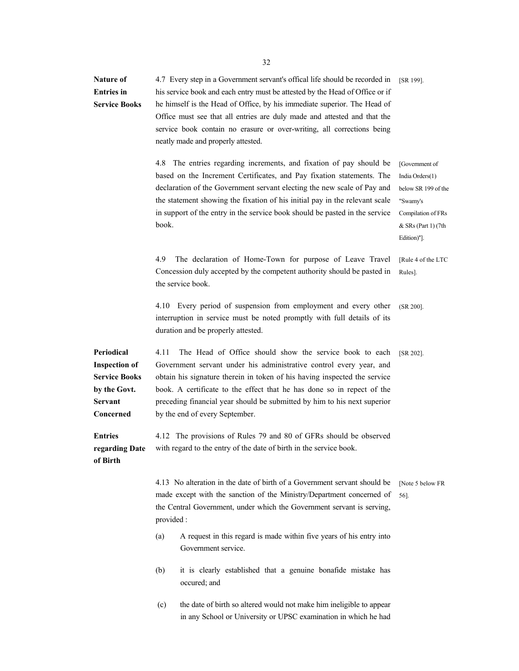| Nature of<br><b>Entries</b> in<br><b>Service Books</b>                                                    | 4.7 Every step in a Government servant's offical life should be recorded in<br>his service book and each entry must be attested by the Head of Office or if<br>he himself is the Head of Office, by his immediate superior. The Head of<br>Office must see that all entries are duly made and attested and that the<br>service book contain no erasure or over-writing, all corrections being<br>neatly made and properly attested. | [SR 199].                                                                                                                        |
|-----------------------------------------------------------------------------------------------------------|-------------------------------------------------------------------------------------------------------------------------------------------------------------------------------------------------------------------------------------------------------------------------------------------------------------------------------------------------------------------------------------------------------------------------------------|----------------------------------------------------------------------------------------------------------------------------------|
|                                                                                                           | 4.8 The entries regarding increments, and fixation of pay should be<br>based on the Increment Certificates, and Pay fixation statements. The<br>declaration of the Government servant electing the new scale of Pay and<br>the statement showing the fixation of his initial pay in the relevant scale<br>in support of the entry in the service book should be pasted in the service<br>book.                                      | [Government of<br>India Orders(1)<br>below SR 199 of the<br>"Swamy's<br>Compilation of FRs<br>& SRs (Part 1) (7th<br>Edition)"]. |
|                                                                                                           | 4.9<br>The declaration of Home-Town for purpose of Leave Travel<br>Concession duly accepted by the competent authority should be pasted in<br>the service book.                                                                                                                                                                                                                                                                     | [Rule 4 of the LTC<br>Rules].                                                                                                    |
|                                                                                                           | 4.10 Every period of suspension from employment and every other<br>interruption in service must be noted promptly with full details of its<br>duration and be properly attested.                                                                                                                                                                                                                                                    | $(SR 200)$ .                                                                                                                     |
| Periodical<br><b>Inspection of</b><br><b>Service Books</b><br>by the Govt.<br><b>Servant</b><br>Concerned | 4.11<br>The Head of Office should show the service book to each<br>Government servant under his administrative control every year, and<br>obtain his signature therein in token of his having inspected the service<br>book. A certificate to the effect that he has done so in repect of the<br>preceding financial year should be submitted by him to his next superior<br>by the end of every September.                         | $[SR 202]$ .                                                                                                                     |
| <b>Entries</b><br>regarding Date<br>of Birth                                                              | 4.12 The provisions of Rules 79 and 80 of GFRs should be observed<br>with regard to the entry of the date of birth in the service book.                                                                                                                                                                                                                                                                                             |                                                                                                                                  |
|                                                                                                           | 4.13 No alteration in the date of birth of a Government servant should be<br>made except with the sanction of the Ministry/Department concerned of<br>the Central Government, under which the Government servant is serving,<br>provided:                                                                                                                                                                                           | [Note 5 below FR<br>56].                                                                                                         |
|                                                                                                           | A request in this regard is made within five years of his entry into<br>(a)<br>Government service.                                                                                                                                                                                                                                                                                                                                  |                                                                                                                                  |
|                                                                                                           | it is clearly established that a genuine bonafide mistake has<br>(b)<br>occured; and                                                                                                                                                                                                                                                                                                                                                |                                                                                                                                  |
|                                                                                                           | (c)<br>the date of birth so altered would not make him ineligible to appear<br>in any School or University or UPSC examination in which he had                                                                                                                                                                                                                                                                                      |                                                                                                                                  |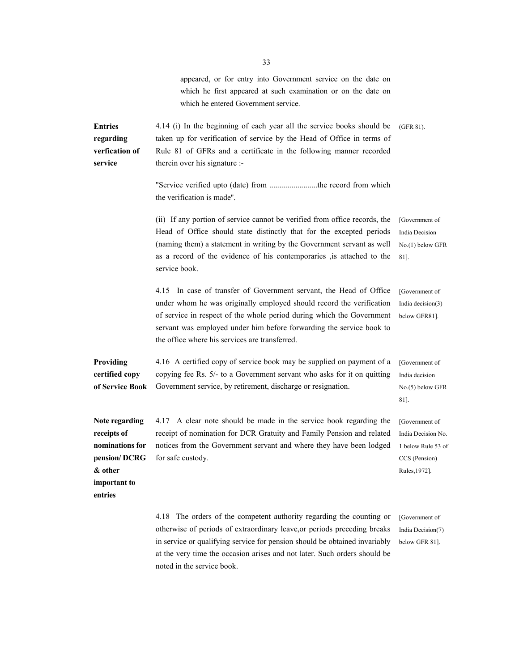appeared, or for entry into Government service on the date on which he first appeared at such examination or on the date on which he entered Government service.

**Entries regarding verfication of service**  4.14 (i) In the beginning of each year all the service books should be taken up for verification of service by the Head of Office in terms of Rule 81 of GFRs and a certificate in the following manner recorded therein over his signature :- "Service verified upto (date) from ........................the record from which the verification is made''. (GFR 81). (ii) If any portion of service cannot be verified from office records, the Head of Office should state distinctly that for the excepted periods (naming them) a statement in writing by the Government servant as well [Government of India Decision No.(1) below GFR

> service book. 4.15 In case of transfer of Government servant, the Head of Office under whom he was originally employed should record the verification of service in respect of the whole period during which the Government servant was employed under him before forwarding the service book to below GFR81].

as a record of the evidence of his contemporaries ,is attached to the

[Government of India decision(3)

81].

**Providing certified copy of Service Book**  4.16 A certified copy of service book may be supplied on payment of a copying fee Rs. 5/- to a Government servant who asks for it on quitting Government service, by retirement, discharge or resignation. [Government of India decision No.(5) below GFR

the office where his services are transferred.

4.17 A clear note should be made in the service book regarding the receipt of nomination for DCR Gratuity and Family Pension and related notices from the Government servant and where they have been lodged for safe custody.

[Government of India Decision No. 1 below Rule 53 of CCS (Pension)

Rules,1972].

81].

**& other important to entries** 

**Note regarding receipts of nominations for pension/ DCRG** 

> 4.18 The orders of the competent authority regarding the counting or otherwise of periods of extraordinary leave,or periods preceding breaks in service or qualifying service for pension should be obtained invariably at the very time the occasion arises and not later. Such orders should be noted in the service book.

[Government of India Decision(7) below GFR 81].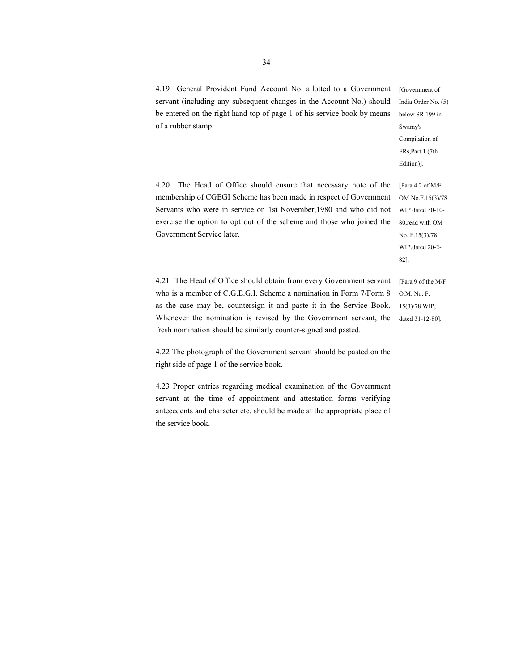4.19 General Provident Fund Account No. allotted to a Government servant (including any subsequent changes in the Account No.) should be entered on the right hand top of page 1 of his service book by means of a rubber stamp.

[Government of India Order No. (5) below SR 199 in Swamy's Compilation of FRs,Part 1 (7th Edition)].

4.20 The Head of Office should ensure that necessary note of the membership of CGEGI Scheme has been made in respect of Government Servants who were in service on 1st November,1980 and who did not exercise the option to opt out of the scheme and those who joined the Government Service later.

[Para 4.2 of M/F OM No.F.15(3)/78 WIP dated 30-10- 80,read with OM No..F.15(3)/78 WIP,dated 20-2- 82].

4.21 The Head of Office should obtain from every Government servant who is a member of C.G.E.G.I. Scheme a nomination in Form 7/Form 8 as the case may be, countersign it and paste it in the Service Book. Whenever the nomination is revised by the Government servant, the fresh nomination should be similarly counter-signed and pasted.

[Para 9 of the M/F O.M. No. F. 15(3)/78 WIP, dated 31-12-80].

4.22 The photograph of the Government servant should be pasted on the right side of page 1 of the service book.

4.23 Proper entries regarding medical examination of the Government servant at the time of appointment and attestation forms verifying antecedents and character etc. should be made at the appropriate place of the service book.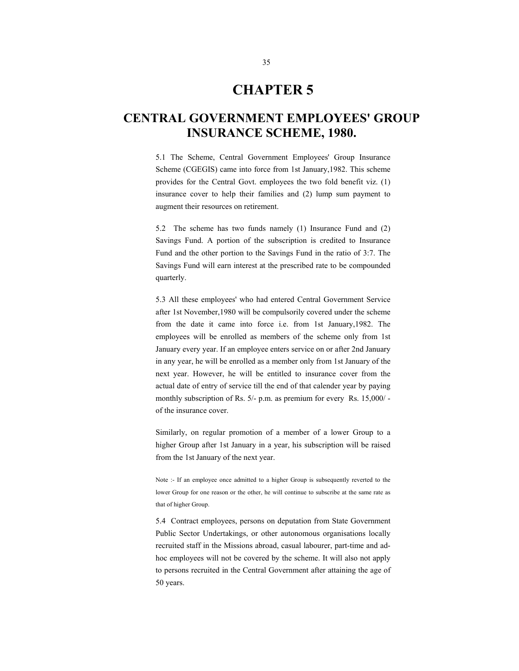### **CHAPTER 5**

### **CENTRAL GOVERNMENT EMPLOYEES' GROUP INSURANCE SCHEME, 1980.**

5.1 The Scheme, Central Government Employees' Group Insurance Scheme (CGEGIS) came into force from 1st January,1982. This scheme provides for the Central Govt. employees the two fold benefit viz. (1) insurance cover to help their families and (2) lump sum payment to augment their resources on retirement.

5.2 The scheme has two funds namely (1) Insurance Fund and (2) Savings Fund. A portion of the subscription is credited to Insurance Fund and the other portion to the Savings Fund in the ratio of 3:7. The Savings Fund will earn interest at the prescribed rate to be compounded quarterly.

5.3 All these employees' who had entered Central Government Service after 1st November,1980 will be compulsorily covered under the scheme from the date it came into force i.e. from 1st January,1982. The employees will be enrolled as members of the scheme only from 1st January every year. If an employee enters service on or after 2nd January in any year, he will be enrolled as a member only from 1st January of the next year. However, he will be entitled to insurance cover from the actual date of entry of service till the end of that calender year by paying monthly subscription of Rs. 5/- p.m. as premium for every Rs. 15,000/ of the insurance cover.

Similarly, on regular promotion of a member of a lower Group to a higher Group after 1st January in a year, his subscription will be raised from the 1st January of the next year.

Note :- If an employee once admitted to a higher Group is subsequently reverted to the lower Group for one reason or the other, he will continue to subscribe at the same rate as that of higher Group.

5.4 Contract employees, persons on deputation from State Government Public Sector Undertakings, or other autonomous organisations locally recruited staff in the Missions abroad, casual labourer, part-time and adhoc employees will not be covered by the scheme. It will also not apply to persons recruited in the Central Government after attaining the age of 50 years.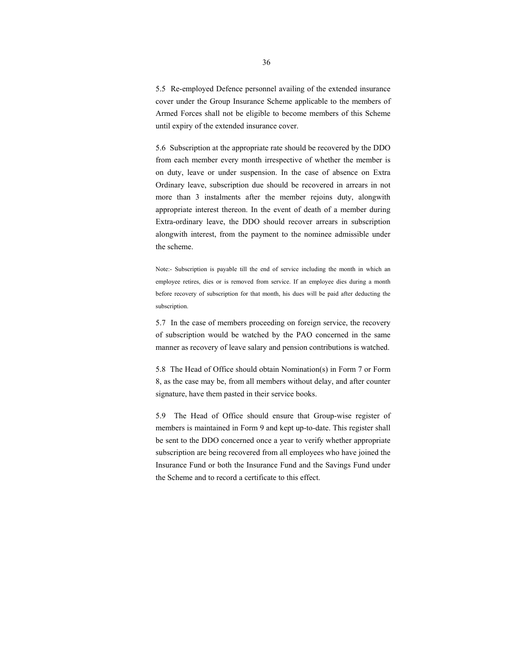5.5 Re-employed Defence personnel availing of the extended insurance cover under the Group Insurance Scheme applicable to the members of Armed Forces shall not be eligible to become members of this Scheme until expiry of the extended insurance cover.

5.6 Subscription at the appropriate rate should be recovered by the DDO from each member every month irrespective of whether the member is on duty, leave or under suspension. In the case of absence on Extra Ordinary leave, subscription due should be recovered in arrears in not more than 3 instalments after the member rejoins duty, alongwith appropriate interest thereon. In the event of death of a member during Extra-ordinary leave, the DDO should recover arrears in subscription alongwith interest, from the payment to the nominee admissible under the scheme.

Note:- Subscription is payable till the end of service including the month in which an employee retires, dies or is removed from service. If an employee dies during a month before recovery of subscription for that month, his dues will be paid after deducting the subscription.

5.7 In the case of members proceeding on foreign service, the recovery of subscription would be watched by the PAO concerned in the same manner as recovery of leave salary and pension contributions is watched.

5.8 The Head of Office should obtain Nomination(s) in Form 7 or Form 8, as the case may be, from all members without delay, and after counter signature, have them pasted in their service books.

5.9 The Head of Office should ensure that Group-wise register of members is maintained in Form 9 and kept up-to-date. This register shall be sent to the DDO concerned once a year to verify whether appropriate subscription are being recovered from all employees who have joined the Insurance Fund or both the Insurance Fund and the Savings Fund under the Scheme and to record a certificate to this effect.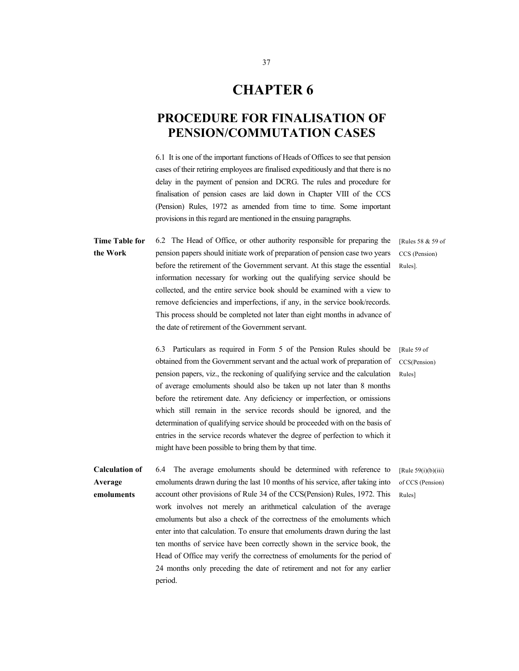### **CHAPTER 6**

#### **PROCEDURE FOR FINALISATION OF PENSION/COMMUTATION CASES**

6.1 It is one of the important functions of Heads of Offices to see that pension cases of their retiring employees are finalised expeditiously and that there is no delay in the payment of pension and DCRG. The rules and procedure for finalisation of pension cases are laid down in Chapter VIII of the CCS (Pension) Rules, 1972 as amended from time to time. Some important provisions in this regard are mentioned in the ensuing paragraphs.

**Time Table for the Work** 6.2 The Head of Office, or other authority responsible for preparing the pension papers should initiate work of preparation of pension case two years before the retirement of the Government servant. At this stage the essential information necessary for working out the qualifying service should be collected, and the entire service book should be examined with a view to remove deficiencies and imperfections, if any, in the service book/records. This process should be completed not later than eight months in advance of the date of retirement of the Government servant.

6.3 Particulars as required in Form 5 of the Pension Rules should be obtained from the Government servant and the actual work of preparation of pension papers, viz., the reckoning of qualifying service and the calculation of average emoluments should also be taken up not later than 8 months before the retirement date. Any deficiency or imperfection, or omissions which still remain in the service records should be ignored, and the determination of qualifying service should be proceeded with on the basis of entries in the service records whatever the degree of perfection to which it might have been possible to bring them by that time.

**Calculation of Average emoluments**  6.4 The average emoluments should be determined with reference to emoluments drawn during the last 10 months of his service, after taking into account other provisions of Rule 34 of the CCS(Pension) Rules, 1972. This work involves not merely an arithmetical calculation of the average emoluments but also a check of the correctness of the emoluments which enter into that calculation. To ensure that emoluments drawn during the last ten months of service have been correctly shown in the service book, the Head of Office may verify the correctness of emoluments for the period of 24 months only preceding the date of retirement and not for any earlier period.

[Rule 59 of CCS(Pension) Rules]

[Rules 58 & 59 of CCS (Pension) Rules].

[Rule 59(i)(b)(iii) of CCS (Pension) Rules]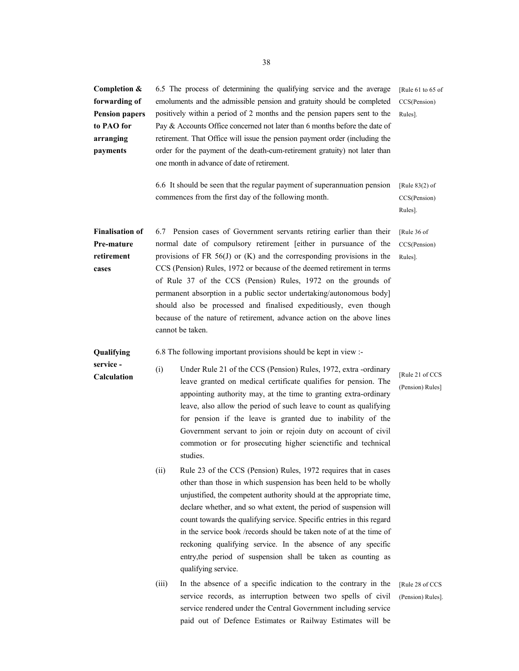**Completion & forwarding of Pension papers to PAO for arranging payments**  6.5 The process of determining the qualifying service and the average emoluments and the admissible pension and gratuity should be completed positively within a period of 2 months and the pension papers sent to the Pay & Accounts Office concerned not later than 6 months before the date of retirement. That Office will issue the pension payment order (including the order for the payment of the death-cum-retirement gratuity) not later than one month in advance of date of retirement. [Rule 61 to 65 of CCS(Pension) Rules].

> 6.6 It should be seen that the regular payment of superannuation pension commences from the first day of the following month.

6.7 Pension cases of Government servants retiring earlier than their

[Rule 83(2) of CCS(Pension) Rules].

[Rule 36 of CCS(Pension) Rules].

**Pre-mature retirement cases**  normal date of compulsory retirement [either in pursuance of the provisions of FR 56(J) or (K) and the corresponding provisions in the CCS (Pension) Rules, 1972 or because of the deemed retirement in terms of Rule 37 of the CCS (Pension) Rules, 1972 on the grounds of permanent absorption in a public sector undertaking/autonomous body] should also be processed and finalised expeditiously, even though because of the nature of retirement, advance action on the above lines cannot be taken.

**Qualifying**  6.8 The following important provisions should be kept in view :-

**Finalisation of** 

- **service Calculation**  (i) Under Rule 21 of the CCS (Pension) Rules, 1972, extra -ordinary leave granted on medical certificate qualifies for pension. The appointing authority may, at the time to granting extra-ordinary leave, also allow the period of such leave to count as qualifying for pension if the leave is granted due to inability of the Government servant to join or rejoin duty on account of civil commotion or for prosecuting higher scienctific and technical studies.
	- (ii) Rule 23 of the CCS (Pension) Rules, 1972 requires that in cases other than those in which suspension has been held to be wholly unjustified, the competent authority should at the appropriate time, declare whether, and so what extent, the period of suspension will count towards the qualifying service. Specific entries in this regard in the service book /records should be taken note of at the time of reckoning qualifying service. In the absence of any specific entry,the period of suspension shall be taken as counting as qualifying service.
	- (iii) In the absence of a specific indication to the contrary in the service records, as interruption between two spells of civil service rendered under the Central Government including service paid out of Defence Estimates or Railway Estimates will be

[Rule 21 of CCS (Pension) Rules]

[Rule 28 of CCS] (Pension) Rules].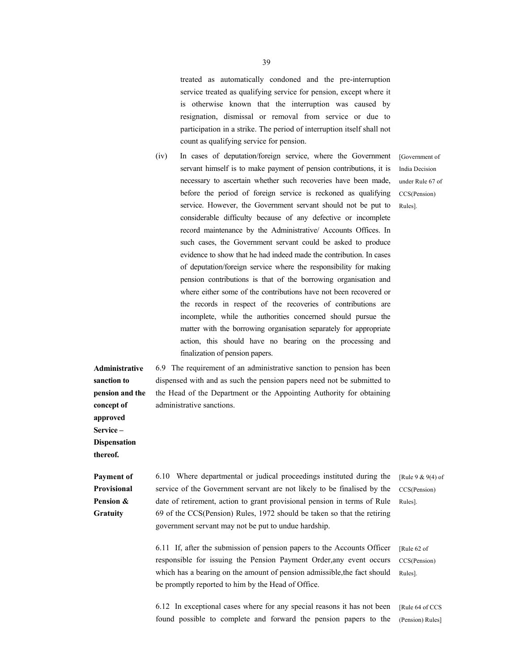treated as automatically condoned and the pre-interruption service treated as qualifying service for pension, except where it is otherwise known that the interruption was caused by resignation, dismissal or removal from service or due to participation in a strike. The period of interruption itself shall not count as qualifying service for pension.

(iv) In cases of deputation/foreign service, where the Government servant himself is to make payment of pension contributions, it is necessary to ascertain whether such recoveries have been made, before the period of foreign service is reckoned as qualifying service. However, the Government servant should not be put to considerable difficulty because of any defective or incomplete record maintenance by the Administrative/ Accounts Offices. In such cases, the Government servant could be asked to produce evidence to show that he had indeed made the contribution. In cases of deputation/foreign service where the responsibility for making pension contributions is that of the borrowing organisation and where either some of the contributions have not been recovered or the records in respect of the recoveries of contributions are incomplete, while the authorities concerned should pursue the matter with the borrowing organisation separately for appropriate action, this should have no bearing on the processing and finalization of pension papers.

**Administrative**  6.9 The requirement of an administrative sanction to pension has been dispensed with and as such the pension papers need not be submitted to the Head of the Department or the Appointing Authority for obtaining administrative sanctions.

**sanction to pension and the concept of approved Service – Dispensation thereof.**

**Payment of Provisional Pension & Gratuity** 

6.10 Where departmental or judical proceedings instituted during the service of the Government servant are not likely to be finalised by the date of retirement, action to grant provisional pension in terms of Rule 69 of the CCS(Pension) Rules, 1972 should be taken so that the retiring government servant may not be put to undue hardship.

[Rule 9 & 9(4) of CCS(Pension) Rules].

6.11 If, after the submission of pension papers to the Accounts Officer responsible for issuing the Pension Payment Order,any event occurs which has a bearing on the amount of pension admissible,the fact should be promptly reported to him by the Head of Office.

6.12 In exceptional cases where for any special reasons it has not been found possible to complete and forward the pension papers to the

[Government of India Decision under Rule 67 of CCS(Pension) Rules].

[Rule 62 of CCS(Pension) Rules].

[Rule 64 of CCS (Pension) Rules]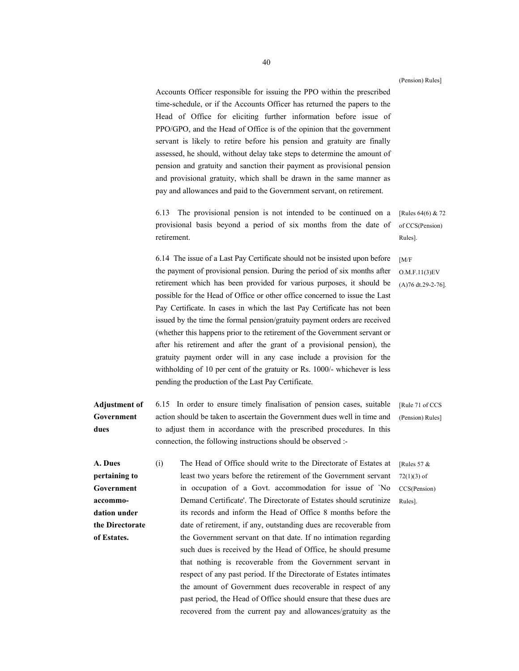(Pension) Rules]

Accounts Officer responsible for issuing the PPO within the prescribed time-schedule, or if the Accounts Officer has returned the papers to the Head of Office for eliciting further information before issue of PPO/GPO, and the Head of Office is of the opinion that the government servant is likely to retire before his pension and gratuity are finally assessed, he should, without delay take steps to determine the amount of pension and gratuity and sanction their payment as provisional pension and provisional gratuity, which shall be drawn in the same manner as pay and allowances and paid to the Government servant, on retirement.

6.13 The provisional pension is not intended to be continued on a provisional basis beyond a period of six months from the date of retirement.

6.14 The issue of a Last Pay Certificate should not be insisted upon before the payment of provisional pension. During the period of six months after retirement which has been provided for various purposes, it should be possible for the Head of Office or other office concerned to issue the Last Pay Certificate. In cases in which the last Pay Certificate has not been issued by the time the formal pension/gratuity payment orders are received (whether this happens prior to the retirement of the Government servant or after his retirement and after the grant of a provisional pension), the gratuity payment order will in any case include a provision for the withholding of 10 per cent of the gratuity or Rs. 1000/- whichever is less pending the production of the Last Pay Certificate.

**Adjustment of Government dues**  6.15 In order to ensure timely finalisation of pension cases, suitable action should be taken to ascertain the Government dues well in time and to adjust them in accordance with the prescribed procedures. In this connection, the following instructions should be observed :-

**A. Dues pertaining to Government accommodation under the Directorate of Estates.** 

(i) The Head of Office should write to the Directorate of Estates at least two years before the retirement of the Government servant in occupation of a Govt. accommodation for issue of `No Demand Certificate'. The Directorate of Estates should scrutinize its records and inform the Head of Office 8 months before the date of retirement, if any, outstanding dues are recoverable from the Government servant on that date. If no intimation regarding such dues is received by the Head of Office, he should presume that nothing is recoverable from the Government servant in respect of any past period. If the Directorate of Estates intimates the amount of Government dues recoverable in respect of any past period, the Head of Office should ensure that these dues are recovered from the current pay and allowances/gratuity as the

[Rules 64(6) & 72 of CCS(Pension) Rules].

O.M.F.11(3)EV (A)76 dt.29-2-76].

[M/F

[Rule 71 of CCS] (Pension) Rules]

[Rules 57  $\&$ 72(1)(3) of CCS(Pension) Rules].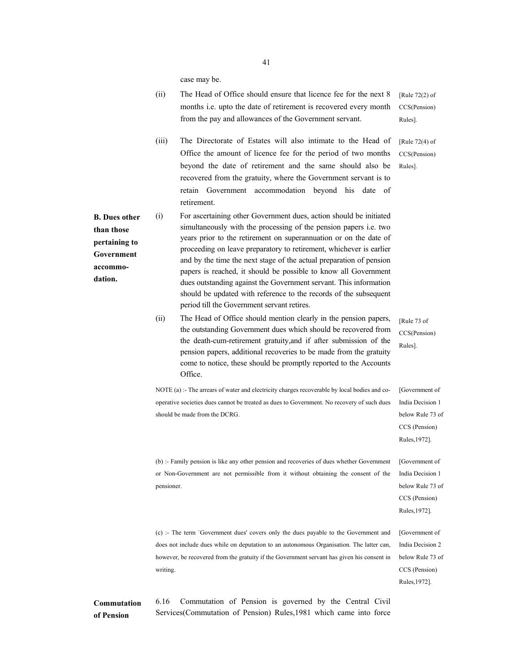case may be.

(ii) The Head of Office should ensure that licence fee for the next 8 months i.e. upto the date of retirement is recovered every month from the pay and allowances of the Government servant. [Rule 72(2) of CCS(Pension) Rules]. (iii) The Directorate of Estates will also intimate to the Head of Office the amount of licence fee for the period of two months beyond the date of retirement and the same should also be recovered from the gratuity, where the Government servant is to retain Government accommodation beyond his date of retirement. [Rule 72(4) of CCS(Pension) Rules]. **B. Dues other than those pertaining to Government accommodation.**  (i) For ascertaining other Government dues, action should be initiated simultaneously with the processing of the pension papers i.e. two years prior to the retirement on superannuation or on the date of proceeding on leave preparatory to retirement, whichever is earlier and by the time the next stage of the actual preparation of pension papers is reached, it should be possible to know all Government dues outstanding against the Government servant. This information should be updated with reference to the records of the subsequent period till the Government servant retires. (ii) The Head of Office should mention clearly in the pension papers, the outstanding Government dues which should be recovered from the death-cum-retirement gratuity,and if after submission of the pension papers, additional recoveries to be made from the gratuity come to notice, these should be promptly reported to the Accounts Office. [Rule 73 of CCS(Pension) Rules]. NOTE (a) :- The arrears of water and electricity charges recoverable by local bodies and cooperative societies dues cannot be treated as dues to Government. No recovery of such dues should be made from the DCRG. [Government of India Decision 1 below Rule 73 of CCS (Pension) Rules,1972]. (b) :- Family pension is like any other pension and recoveries of dues whether Government or Non-Government are not permissible from it without obtaining the consent of the pensioner. [Government of India Decision 1 below Rule 73 of CCS (Pension) Rules,1972]. (c) :- The term `Government dues' covers only the dues payable to the Government and does not include dues while on deputation to an autonomous Organisation. The latter can, however, be recovered from the gratuity if the Government servant has given his consent in writing. [Government of India Decision 2 below Rule 73 of CCS (Pension) Rules,1972]. **Commutation**  6.16 Commutation of Pension is governed by the Central Civil Services(Commutation of Pension) Rules,1981 which came into force

**of Pension**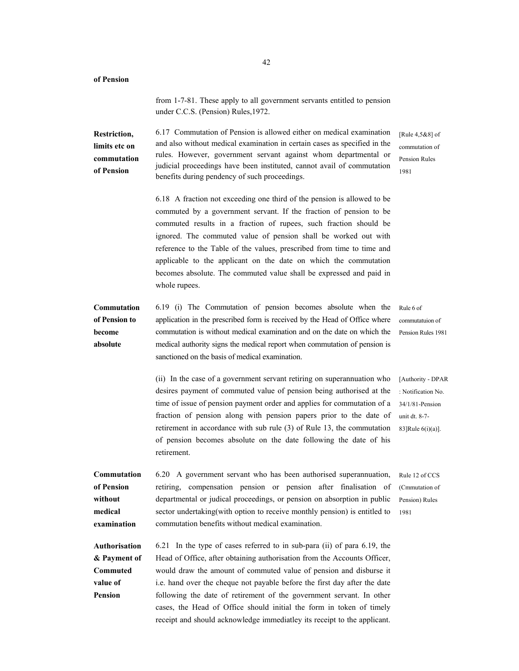**of Pension**  from 1-7-81. These apply to all government servants entitled to pension under C.C.S. (Pension) Rules,1972. **Restriction, limits etc on commutation of Pension**  6.17 Commutation of Pension is allowed either on medical examination and also without medical examination in certain cases as specified in the rules. However, government servant against whom departmental or judicial proceedings have been instituted, cannot avail of commutation benefits during pendency of such proceedings. [Rule 4,5&8] of commutation of Pension Rules 1981 6.18 A fraction not exceeding one third of the pension is allowed to be commuted by a government servant. If the fraction of pension to be commuted results in a fraction of rupees, such fraction should be ignored. The commuted value of pension shall be worked out with reference to the Table of the values, prescribed from time to time and applicable to the applicant on the date on which the commutation becomes absolute. The commuted value shall be expressed and paid in whole rupees. **Commutation of Pension to become absolute** 6.19 (i) The Commutation of pension becomes absolute when the application in the prescribed form is received by the Head of Office where commutation is without medical examination and on the date on which the medical authority signs the medical report when commutation of pension is sanctioned on the basis of medical examination. Rule 6 of commutatuion of Pension Rules 1981 (ii) In the case of a government servant retiring on superannuation who desires payment of commuted value of pension being authorised at the time of issue of pension payment order and applies for commutation of a fraction of pension along with pension papers prior to the date of retirement in accordance with sub rule (3) of Rule 13, the commutation of pension becomes absolute on the date following the date of his retirement. [Authority - DPAR : Notification No. 34/1/81-Pension unit dt. 8-7- 83]Rule 6(i)(a)]. **Commutation of Pension without medical examination**  6.20 A government servant who has been authorised superannuation, retiring, compensation pension or pension after finalisation of departmental or judical proceedings, or pension on absorption in public sector undertaking(with option to receive monthly pension) is entitled to commutation benefits without medical examination. Rule 12 of CCS (Cmmutation of Pension) Rules 1981 **Authorisation & Payment of Commuted value of Pension**  6.21 In the type of cases referred to in sub-para (ii) of para 6.19, the Head of Office, after obtaining authorisation from the Accounts Officer, would draw the amount of commuted value of pension and disburse it i.e. hand over the cheque not payable before the first day after the date following the date of retirement of the government servant. In other cases, the Head of Office should initial the form in token of timely receipt and should acknowledge immediatley its receipt to the applicant.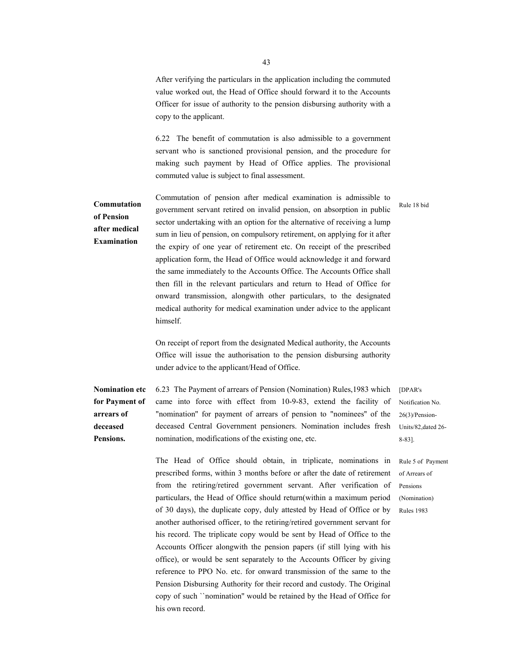After verifying the particulars in the application including the commuted value worked out, the Head of Office should forward it to the Accounts Officer for issue of authority to the pension disbursing authority with a copy to the applicant.

6.22 The benefit of commutation is also admissible to a government servant who is sanctioned provisional pension, and the procedure for making such payment by Head of Office applies. The provisional commuted value is subject to final assessment.

#### **Commutation of Pension after medical Examination**

Commutation of pension after medical examination is admissible to government servant retired on invalid pension, on absorption in public sector undertaking with an option for the alternative of receiving a lump sum in lieu of pension, on compulsory retirement, on applying for it after the expiry of one year of retirement etc. On receipt of the prescribed application form, the Head of Office would acknowledge it and forward the same immediately to the Accounts Office. The Accounts Office shall then fill in the relevant particulars and return to Head of Office for onward transmission, alongwith other particulars, to the designated medical authority for medical examination under advice to the applicant himself.

On receipt of report from the designated Medical authority, the Accounts Office will issue the authorisation to the pension disbursing authority under advice to the applicant/Head of Office.

**Nomination etc for Payment of arrears of deceased Pensions.** 6.23 The Payment of arrears of Pension (Nomination) Rules,1983 which came into force with effect from 10-9-83, extend the facility of "nomination'' for payment of arrears of pension to "nominees'' of the deceased Central Government pensioners. Nomination includes fresh nomination, modifications of the existing one, etc. [DPAR's

> The Head of Office should obtain, in triplicate, nominations in prescribed forms, within 3 months before or after the date of retirement from the retiring/retired government servant. After verification of particulars, the Head of Office should return(within a maximum period of 30 days), the duplicate copy, duly attested by Head of Office or by another authorised officer, to the retiring/retired government servant for his record. The triplicate copy would be sent by Head of Office to the Accounts Officer alongwith the pension papers (if still lying with his office), or would be sent separately to the Accounts Officer by giving reference to PPO No. etc. for onward transmission of the same to the Pension Disbursing Authority for their record and custody. The Original copy of such ``nomination'' would be retained by the Head of Office for his own record.

Notification No. 26(3)/Pension-Units/82,dated 26- 8-83].

Rule 5 of Payment of Arrears of Pensions (Nomination) Rules 1983

# Rule 18 bid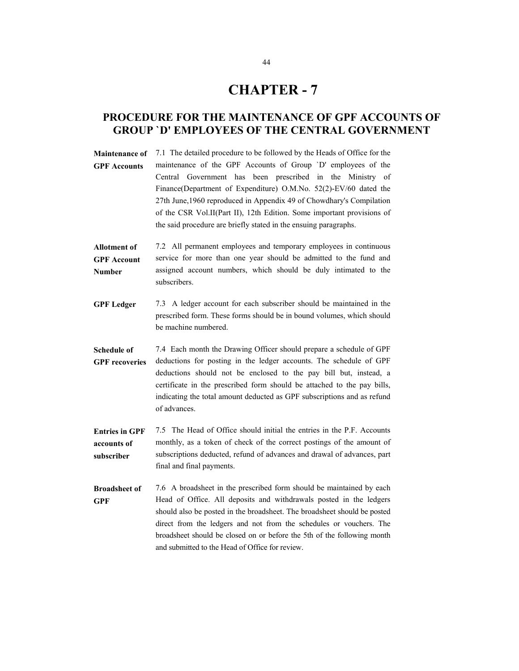### **CHAPTER - 7**

#### **PROCEDURE FOR THE MAINTENANCE OF GPF ACCOUNTS OF GROUP `D' EMPLOYEES OF THE CENTRAL GOVERNMENT**

**Maintenance of GPF Accounts**  7.1 The detailed procedure to be followed by the Heads of Office for the maintenance of the GPF Accounts of Group `D' employees of the Central Government has been prescribed in the Ministry of Finance(Department of Expenditure) O.M.No. 52(2)-EV/60 dated the 27th June,1960 reproduced in Appendix 49 of Chowdhary's Compilation of the CSR Vol.II(Part II), 12th Edition. Some important provisions of the said procedure are briefly stated in the ensuing paragraphs.

- **Allotment of GPF Account Number**  7.2 All permanent employees and temporary employees in continuous service for more than one year should be admitted to the fund and assigned account numbers, which should be duly intimated to the subscribers.
- **GPF Ledger** 7.3 A ledger account for each subscriber should be maintained in the prescribed form. These forms should be in bound volumes, which should be machine numbered.
- **Schedule of GPF recoveries**  7.4 Each month the Drawing Officer should prepare a schedule of GPF deductions for posting in the ledger accounts. The schedule of GPF deductions should not be enclosed to the pay bill but, instead, a certificate in the prescribed form should be attached to the pay bills, indicating the total amount deducted as GPF subscriptions and as refund of advances.
- **Entries in GPF accounts of subscriber**  7.5 The Head of Office should initial the entries in the P.F. Accounts monthly, as a token of check of the correct postings of the amount of subscriptions deducted, refund of advances and drawal of advances, part final and final payments.
- **Broadsheet of GPF**  7.6 A broadsheet in the prescribed form should be maintained by each Head of Office. All deposits and withdrawals posted in the ledgers should also be posted in the broadsheet. The broadsheet should be posted direct from the ledgers and not from the schedules or vouchers. The broadsheet should be closed on or before the 5th of the following month and submitted to the Head of Office for review.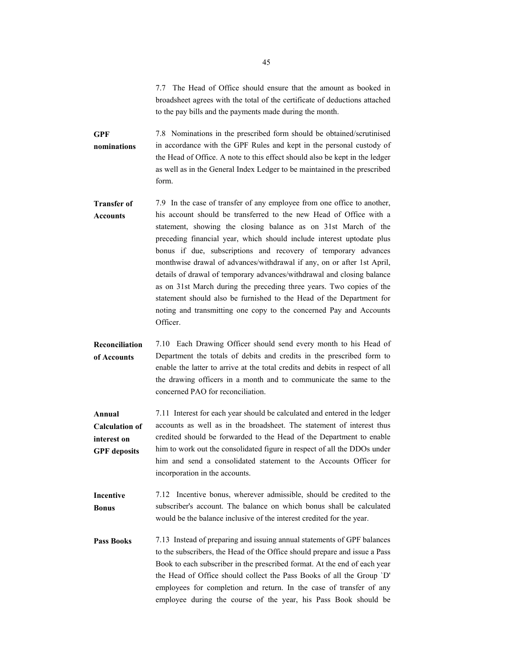7.7 The Head of Office should ensure that the amount as booked in broadsheet agrees with the total of the certificate of deductions attached to the pay bills and the payments made during the month.

- **GPF nominations**  7.8 Nominations in the prescribed form should be obtained/scrutinised in accordance with the GPF Rules and kept in the personal custody of the Head of Office. A note to this effect should also be kept in the ledger as well as in the General Index Ledger to be maintained in the prescribed form.
- **Transfer of Accounts** 7.9 In the case of transfer of any employee from one office to another, his account should be transferred to the new Head of Office with a statement, showing the closing balance as on 31st March of the preceding financial year, which should include interest uptodate plus bonus if due, subscriptions and recovery of temporary advances monthwise drawal of advances/withdrawal if any, on or after 1st April, details of drawal of temporary advances/withdrawal and closing balance as on 31st March during the preceding three years. Two copies of the statement should also be furnished to the Head of the Department for noting and transmitting one copy to the concerned Pay and Accounts Officer.
- **Reconciliation of Accounts**  7.10 Each Drawing Officer should send every month to his Head of Department the totals of debits and credits in the prescribed form to enable the latter to arrive at the total credits and debits in respect of all the drawing officers in a month and to communicate the same to the concerned PAO for reconciliation.
- **Annual Calculation of interest on GPF deposits**  7.11 Interest for each year should be calculated and entered in the ledger accounts as well as in the broadsheet. The statement of interest thus credited should be forwarded to the Head of the Department to enable him to work out the consolidated figure in respect of all the DDOs under him and send a consolidated statement to the Accounts Officer for incorporation in the accounts.
- **Incentive Bonus**  7.12 Incentive bonus, wherever admissible, should be credited to the subscriber's account. The balance on which bonus shall be calculated would be the balance inclusive of the interest credited for the year.
- **Pass Books** 7.13 Instead of preparing and issuing annual statements of GPF balances to the subscribers, the Head of the Office should prepare and issue a Pass Book to each subscriber in the prescribed format. At the end of each year the Head of Office should collect the Pass Books of all the Group `D' employees for completion and return. In the case of transfer of any employee during the course of the year, his Pass Book should be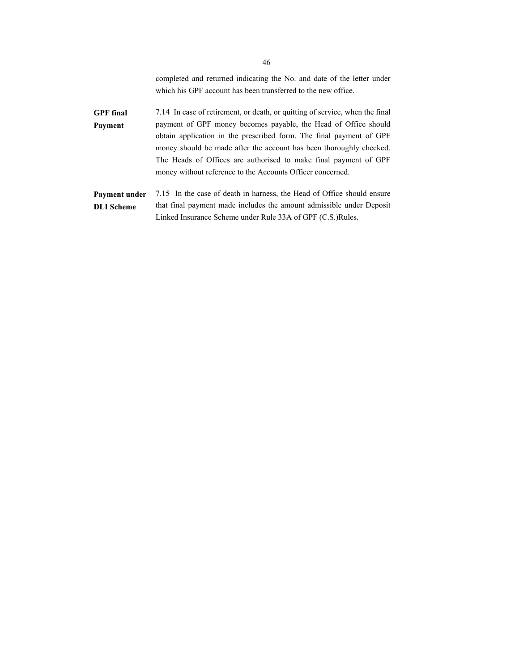completed and returned indicating the No. and date of the letter under which his GPF account has been transferred to the new office.

**GPF final Payment**  7.14 In case of retirement, or death, or quitting of service, when the final payment of GPF money becomes payable, the Head of Office should obtain application in the prescribed form. The final payment of GPF money should be made after the account has been thoroughly checked. The Heads of Offices are authorised to make final payment of GPF money without reference to the Accounts Officer concerned.

**Payment under DLI Scheme**  7.15 In the case of death in harness, the Head of Office should ensure that final payment made includes the amount admissible under Deposit Linked Insurance Scheme under Rule 33A of GPF (C.S.)Rules.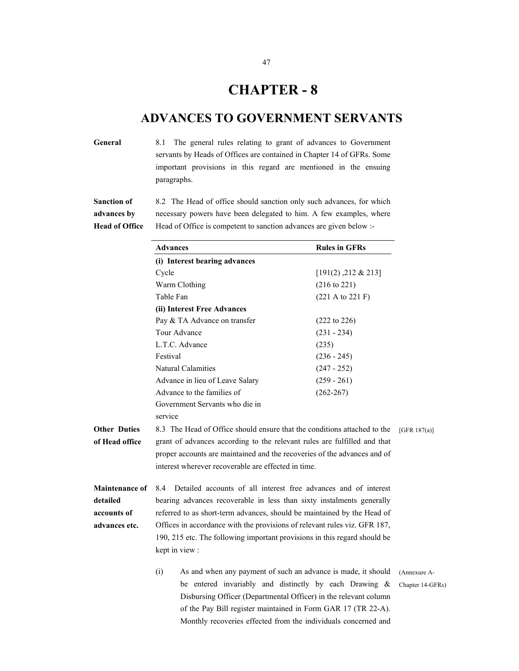### **CHAPTER - 8**

#### **ADVANCES TO GOVERNMENT SERVANTS**

General 8.1 The general rules relating to grant of advances to Government servants by Heads of Offices are contained in Chapter 14 of GFRs. Some important provisions in this regard are mentioned in the ensuing paragraphs.

**Sanction of advances by Head of Office**  8.2 The Head of office should sanction only such advances, for which necessary powers have been delegated to him. A few examples, where Head of Office is competent to sanction advances are given below :-

|                       | <b>Advances</b>                                                          |                                                                           | <b>Rules in GFRs</b>                |                  |  |  |  |  |  |  |
|-----------------------|--------------------------------------------------------------------------|---------------------------------------------------------------------------|-------------------------------------|------------------|--|--|--|--|--|--|
|                       |                                                                          | (i) Interest bearing advances                                             |                                     |                  |  |  |  |  |  |  |
|                       | Cycle                                                                    |                                                                           | [191(2), 212 & 213]                 |                  |  |  |  |  |  |  |
|                       |                                                                          | Warm Clothing                                                             | $(216 \text{ to } 221)$             |                  |  |  |  |  |  |  |
|                       | Table Fan                                                                |                                                                           | $(221 \text{ A to } 221 \text{ F})$ |                  |  |  |  |  |  |  |
|                       |                                                                          | (ii) Interest Free Advances                                               |                                     |                  |  |  |  |  |  |  |
|                       |                                                                          | Pay & TA Advance on transfer                                              | (222 to 226)                        |                  |  |  |  |  |  |  |
|                       |                                                                          | Tour Advance                                                              | $(231 - 234)$                       |                  |  |  |  |  |  |  |
|                       |                                                                          | L.T.C. Advance                                                            | (235)                               |                  |  |  |  |  |  |  |
|                       | Festival                                                                 |                                                                           | $(236 - 245)$                       |                  |  |  |  |  |  |  |
|                       |                                                                          | <b>Natural Calamities</b>                                                 | $(247 - 252)$                       |                  |  |  |  |  |  |  |
|                       |                                                                          | Advance in lieu of Leave Salary                                           | $(259 - 261)$                       |                  |  |  |  |  |  |  |
|                       |                                                                          | Advance to the families of                                                | $(262 - 267)$                       |                  |  |  |  |  |  |  |
|                       |                                                                          | Government Servants who die in                                            |                                     |                  |  |  |  |  |  |  |
|                       | service                                                                  |                                                                           |                                     |                  |  |  |  |  |  |  |
| <b>Other Duties</b>   |                                                                          | 8.3 The Head of Office should ensure that the conditions attached to the  |                                     | [GFR $187(a)$ ]  |  |  |  |  |  |  |
| of Head office        | grant of advances according to the relevant rules are fulfilled and that |                                                                           |                                     |                  |  |  |  |  |  |  |
|                       |                                                                          | proper accounts are maintained and the recoveries of the advances and of  |                                     |                  |  |  |  |  |  |  |
|                       | interest wherever recoverable are effected in time.                      |                                                                           |                                     |                  |  |  |  |  |  |  |
| <b>Maintenance of</b> | 8.4                                                                      | Detailed accounts of all interest free advances and of interest           |                                     |                  |  |  |  |  |  |  |
| detailed              |                                                                          | bearing advances recoverable in less than sixty instalments generally     |                                     |                  |  |  |  |  |  |  |
| accounts of           |                                                                          | referred to as short-term advances, should be maintained by the Head of   |                                     |                  |  |  |  |  |  |  |
| advances etc.         |                                                                          | Offices in accordance with the provisions of relevant rules viz. GFR 187, |                                     |                  |  |  |  |  |  |  |
|                       |                                                                          | 190, 215 etc. The following important provisions in this regard should be |                                     |                  |  |  |  |  |  |  |
|                       |                                                                          | kept in view :                                                            |                                     |                  |  |  |  |  |  |  |
|                       | (i)                                                                      | (Annexure A-                                                              |                                     |                  |  |  |  |  |  |  |
|                       |                                                                          | be entered invariably and distinctly by each Drawing $\&$                 |                                     | Chapter 14-GFRs) |  |  |  |  |  |  |
|                       |                                                                          | Disbursing Officer (Departmental Officer) in the relevant column          |                                     |                  |  |  |  |  |  |  |
|                       |                                                                          | of the Pay Bill register maintained in Form GAR 17 (TR 22-A).             |                                     |                  |  |  |  |  |  |  |
|                       |                                                                          | Monthly recoveries effected from the individuals concerned and            |                                     |                  |  |  |  |  |  |  |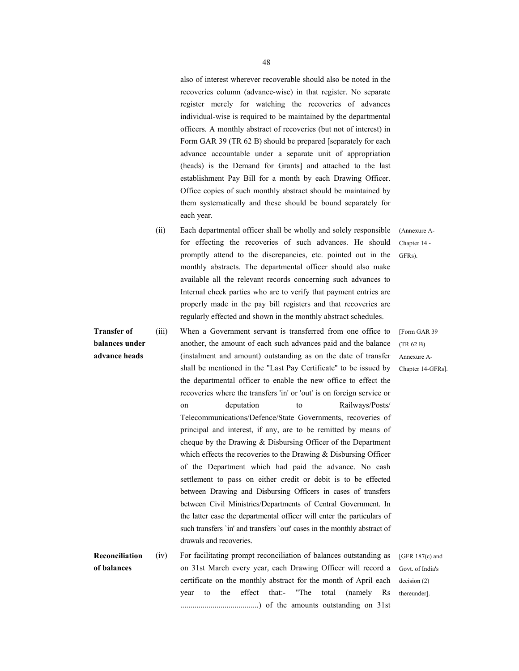also of interest wherever recoverable should also be noted in the recoveries column (advance-wise) in that register. No separate register merely for watching the recoveries of advances individual-wise is required to be maintained by the departmental officers. A monthly abstract of recoveries (but not of interest) in Form GAR 39 (TR 62 B) should be prepared [separately for each advance accountable under a separate unit of appropriation (heads) is the Demand for Grants] and attached to the last establishment Pay Bill for a month by each Drawing Officer. Office copies of such monthly abstract should be maintained by them systematically and these should be bound separately for each year.

- (ii) Each departmental officer shall be wholly and solely responsible for effecting the recoveries of such advances. He should promptly attend to the discrepancies, etc. pointed out in the monthly abstracts. The departmental officer should also make available all the relevant records concerning such advances to Internal check parties who are to verify that payment entries are properly made in the pay bill registers and that recoveries are regularly effected and shown in the monthly abstract schedules.
- **Transfer of balances under advance heads**  (iii) When a Government servant is transferred from one office to another, the amount of each such advances paid and the balance (instalment and amount) outstanding as on the date of transfer shall be mentioned in the "Last Pay Certificate'' to be issued by the departmental officer to enable the new office to effect the recoveries where the transfers 'in' or 'out' is on foreign service or on deputation to Railways/Posts/ Telecommunications/Defence/State Governments, recoveries of principal and interest, if any, are to be remitted by means of cheque by the Drawing & Disbursing Officer of the Department which effects the recoveries to the Drawing & Disbursing Officer of the Department which had paid the advance. No cash settlement to pass on either credit or debit is to be effected between Drawing and Disbursing Officers in cases of transfers between Civil Ministries/Departments of Central Government. In the latter case the departmental officer will enter the particulars of such transfers `in' and transfers `out' cases in the monthly abstract of drawals and recoveries.
- **Reconciliation of balances**  (iv) For facilitating prompt reconciliation of balances outstanding as on 31st March every year, each Drawing Officer will record a certificate on the monthly abstract for the month of April each year to the effect that:- "The total (namely Rs .......................................) of the amounts outstanding on 31st [GFR 187(c) and Govt. of India's decision (2) thereunder].

[Form GAR 39 (TR 62 B) Annexure A-Chapter 14-GFRs].

(Annexure A-Chapter 14 - GFRs).

48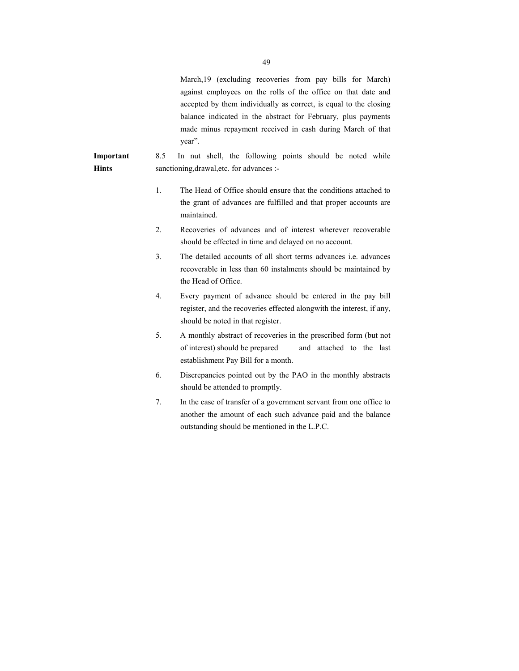|                    |     | March, 19 (excluding recoveries from pay bills for March)<br>against employees on the rolls of the office on that date and<br>accepted by them individually as correct, is equal to the closing<br>balance indicated in the abstract for February, plus payments<br>made minus repayment received in cash during March of that<br>year". |
|--------------------|-----|------------------------------------------------------------------------------------------------------------------------------------------------------------------------------------------------------------------------------------------------------------------------------------------------------------------------------------------|
| Important<br>Hints | 8.5 | In nut shell, the following points should be noted while<br>sanctioning, drawal, etc. for advances :-                                                                                                                                                                                                                                    |
|                    | 1.  | The Head of Office should ensure that the conditions attached to<br>the grant of advances are fulfilled and that proper accounts are<br>maintained.                                                                                                                                                                                      |
|                    | 2.  | Recoveries of advances and of interest wherever recoverable<br>should be effected in time and delayed on no account.                                                                                                                                                                                                                     |
|                    | 3.  | The detailed accounts of all short terms advances <i>i.e.</i> advances<br>recoverable in less than 60 instalments should be maintained by<br>the Head of Office.                                                                                                                                                                         |
|                    | 4.  | Every payment of advance should be entered in the pay bill<br>register, and the recoveries effected alongwith the interest, if any,<br>should be noted in that register.                                                                                                                                                                 |
|                    | 5.  | A monthly abstract of recoveries in the prescribed form (but not<br>of interest) should be prepared<br>and attached to the last<br>establishment Pay Bill for a month.                                                                                                                                                                   |
|                    | 6.  | Discrepancies pointed out by the PAO in the monthly abstracts<br>should be attended to promptly.                                                                                                                                                                                                                                         |

7. In the case of transfer of a government servant from one office to another the amount of each such advance paid and the balance outstanding should be mentioned in the L.P.C.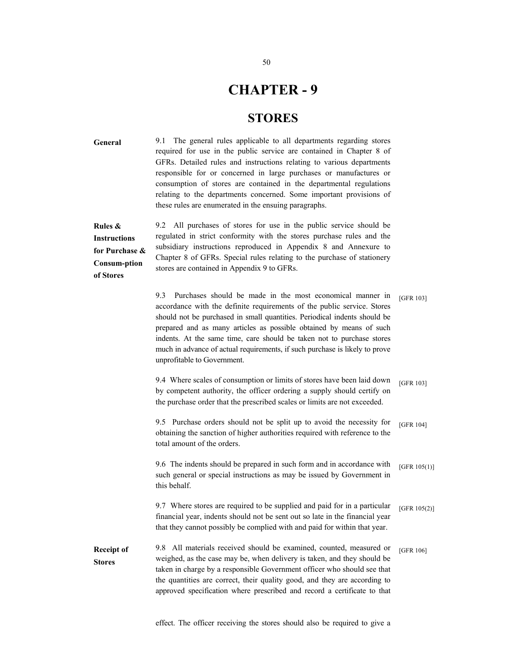### **CHAPTER - 9**

#### **STORES**

**General Rules & Instructions for Purchase & Consum-ption of Stores**  9.1 The general rules applicable to all departments regarding stores required for use in the public service are contained in Chapter 8 of GFRs. Detailed rules and instructions relating to various departments responsible for or concerned in large purchases or manufactures or consumption of stores are contained in the departmental regulations relating to the departments concerned. Some important provisions of these rules are enumerated in the ensuing paragraphs. 9.2 All purchases of stores for use in the public service should be regulated in strict conformity with the stores purchase rules and the subsidiary instructions reproduced in Appendix 8 and Annexure to Chapter 8 of GFRs. Special rules relating to the purchase of stationery stores are contained in Appendix 9 to GFRs. 9.3 Purchases should be made in the most economical manner in accordance with the definite requirements of the public service. Stores should not be purchased in small quantities. Periodical indents should be prepared and as many articles as possible obtained by means of such indents. At the same time, care should be taken not to purchase stores much in advance of actual requirements, if such purchase is likely to prove unprofitable to Government. [GFR 103] 9.4 Where scales of consumption or limits of stores have been laid down by competent authority, the officer ordering a supply should certify on the purchase order that the prescribed scales or limits are not exceeded. [GFR 103] 9.5 Purchase orders should not be split up to avoid the necessity for obtaining the sanction of higher authorities required with reference to the total amount of the orders. [GFR 104] 9.6 The indents should be prepared in such form and in accordance with such general or special instructions as may be issued by Government in this behalf. [GFR 105(1)] 9.7 Where stores are required to be supplied and paid for in a particular financial year, indents should not be sent out so late in the financial year that they cannot possibly be complied with and paid for within that year. [GFR 105(2)] **Receipt of Stores**  9.8 All materials received should be examined, counted, measured or weighed, as the case may be, when delivery is taken, and they should be taken in charge by a responsible Government officer who should see that the quantities are correct, their quality good, and they are according to approved specification where prescribed and record a certificate to that [GFR 106]

effect. The officer receiving the stores should also be required to give a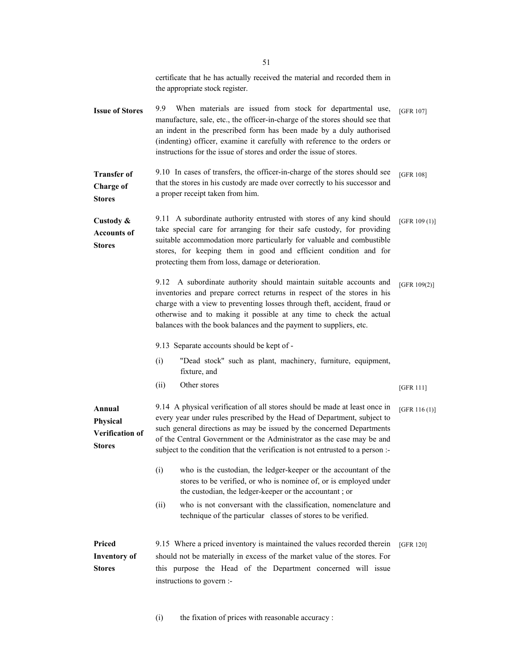|                                                  | certificate that he has actually received the material and recorded them in<br>the appropriate stock register.                                                                                                                                                                                                                                                                            |                  |
|--------------------------------------------------|-------------------------------------------------------------------------------------------------------------------------------------------------------------------------------------------------------------------------------------------------------------------------------------------------------------------------------------------------------------------------------------------|------------------|
| <b>Issue of Stores</b>                           | 9.9<br>When materials are issued from stock for departmental use,<br>manufacture, sale, etc., the officer-in-charge of the stores should see that<br>an indent in the prescribed form has been made by a duly authorised<br>(indenting) officer, examine it carefully with reference to the orders or<br>instructions for the issue of stores and order the issue of stores.              | [GFR 107]        |
| <b>Transfer of</b><br>Charge of<br><b>Stores</b> | 9.10 In cases of transfers, the officer-in-charge of the stores should see<br>that the stores in his custody are made over correctly to his successor and<br>a proper receipt taken from him.                                                                                                                                                                                             | <b>[GFR 108]</b> |
| Custody &<br><b>Accounts of</b><br><b>Stores</b> | 9.11 A subordinate authority entrusted with stores of any kind should<br>take special care for arranging for their safe custody, for providing<br>suitable accommodation more particularly for valuable and combustible<br>stores, for keeping them in good and efficient condition and for<br>protecting them from loss, damage or deterioration.                                        | [GFR $109(1)$ ]  |
|                                                  | A subordinate authority should maintain suitable accounts and<br>9.12<br>inventories and prepare correct returns in respect of the stores in his<br>charge with a view to preventing losses through theft, accident, fraud or<br>otherwise and to making it possible at any time to check the actual<br>balances with the book balances and the payment to suppliers, etc.                | [GFR $109(2)$ ]  |
|                                                  | 9.13 Separate accounts should be kept of -                                                                                                                                                                                                                                                                                                                                                |                  |
|                                                  |                                                                                                                                                                                                                                                                                                                                                                                           |                  |
|                                                  | (i)<br>"Dead stock" such as plant, machinery, furniture, equipment,<br>fixture, and                                                                                                                                                                                                                                                                                                       |                  |
|                                                  | Other stores<br>(ii)                                                                                                                                                                                                                                                                                                                                                                      | [GFR 111]        |
| Annual<br>Physical<br>Verification of<br>Stores  | 9.14 A physical verification of all stores should be made at least once in<br>every year under rules prescribed by the Head of Department, subject to<br>such general directions as may be issued by the concerned Departments<br>of the Central Government or the Administrator as the case may be and<br>subject to the condition that the verification is not entrusted to a person :- | [GFR 116(1)]     |
|                                                  | (i)<br>who is the custodian, the ledger-keeper or the accountant of the<br>stores to be verified, or who is nominee of, or is employed under<br>the custodian, the ledger-keeper or the accountant; or                                                                                                                                                                                    |                  |
|                                                  | who is not conversant with the classification, nomenclature and<br>(ii)<br>technique of the particular classes of stores to be verified.                                                                                                                                                                                                                                                  |                  |

(i) the fixation of prices with reasonable accuracy :

51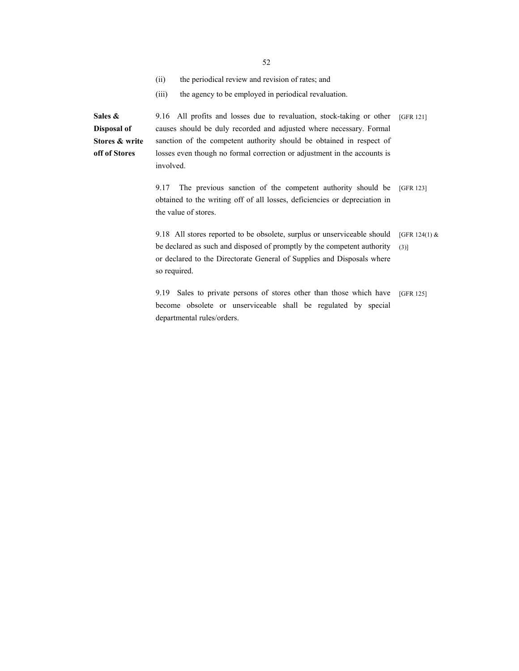52

- (ii) the periodical review and revision of rates; and
- (iii) the agency to be employed in periodical revaluation.

**Sales & Disposal of Stores & write off of Stores**  9.16 All profits and losses due to revaluation, stock-taking or other causes should be duly recorded and adjusted where necessary. Formal sanction of the competent authority should be obtained in respect of losses even though no formal correction or adjustment in the accounts is involved.

> 9.17 The previous sanction of the competent authority should be obtained to the writing off of all losses, deficiencies or depreciation in the value of stores. [GFR 123]

[GFR 121]

9.18 All stores reported to be obsolete, surplus or unserviceable should be declared as such and disposed of promptly by the competent authority or declared to the Directorate General of Supplies and Disposals where so required. [GFR 124(1) &  $(3)]$ 

9.19 Sales to private persons of stores other than those which have become obsolete or unserviceable shall be regulated by special departmental rules/orders. [GFR 125]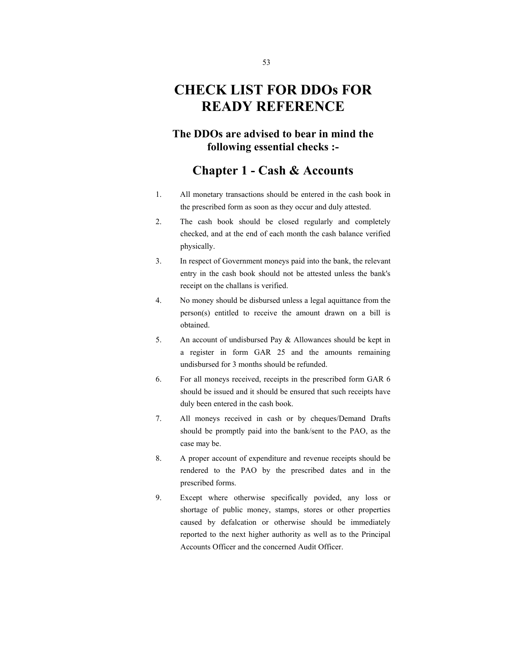## **CHECK LIST FOR DDOs FOR READY REFERENCE**

#### **The DDOs are advised to bear in mind the following essential checks :-**

#### **Chapter 1 - Cash & Accounts**

- 1. All monetary transactions should be entered in the cash book in the prescribed form as soon as they occur and duly attested.
- 2. The cash book should be closed regularly and completely checked, and at the end of each month the cash balance verified physically.
- 3. In respect of Government moneys paid into the bank, the relevant entry in the cash book should not be attested unless the bank's receipt on the challans is verified.
- 4. No money should be disbursed unless a legal aquittance from the person(s) entitled to receive the amount drawn on a bill is obtained.
- 5. An account of undisbursed Pay & Allowances should be kept in a register in form GAR 25 and the amounts remaining undisbursed for 3 months should be refunded.
- 6. For all moneys received, receipts in the prescribed form GAR 6 should be issued and it should be ensured that such receipts have duly been entered in the cash book.
- 7. All moneys received in cash or by cheques/Demand Drafts should be promptly paid into the bank/sent to the PAO, as the case may be.
- 8. A proper account of expenditure and revenue receipts should be rendered to the PAO by the prescribed dates and in the prescribed forms.
- 9. Except where otherwise specifically povided, any loss or shortage of public money, stamps, stores or other properties caused by defalcation or otherwise should be immediately reported to the next higher authority as well as to the Principal Accounts Officer and the concerned Audit Officer.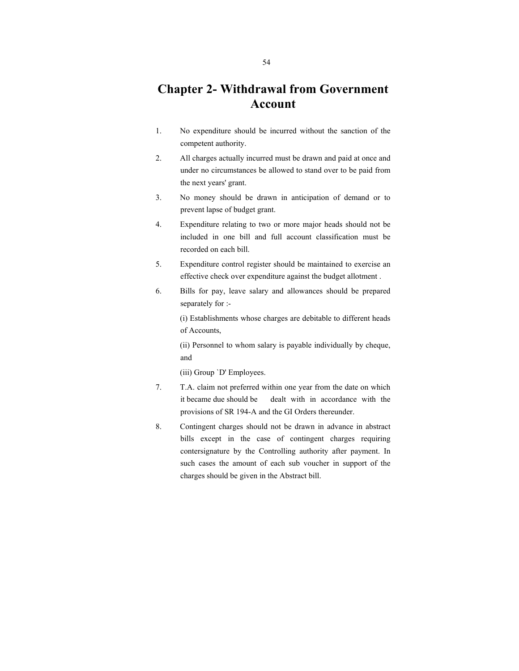### **Chapter 2- Withdrawal from Government Account**

- 1. No expenditure should be incurred without the sanction of the competent authority.
- 2. All charges actually incurred must be drawn and paid at once and under no circumstances be allowed to stand over to be paid from the next years' grant.
- 3. No money should be drawn in anticipation of demand or to prevent lapse of budget grant.
- 4. Expenditure relating to two or more major heads should not be included in one bill and full account classification must be recorded on each bill.
- 5. Expenditure control register should be maintained to exercise an effective check over expenditure against the budget allotment .
- 6. Bills for pay, leave salary and allowances should be prepared separately for :-

 (i) Establishments whose charges are debitable to different heads of Accounts,

 (ii) Personnel to whom salary is payable individually by cheque, and

(iii) Group `D' Employees.

- 7. T.A. claim not preferred within one year from the date on which it became due should be dealt with in accordance with the provisions of SR 194-A and the GI Orders thereunder.
- 8. Contingent charges should not be drawn in advance in abstract bills except in the case of contingent charges requiring contersignature by the Controlling authority after payment. In such cases the amount of each sub voucher in support of the charges should be given in the Abstract bill.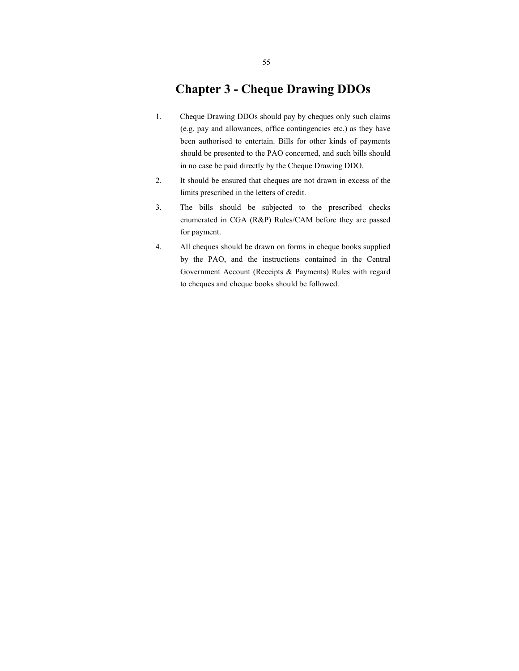#### **Chapter 3 - Cheque Drawing DDOs**

- 1. Cheque Drawing DDOs should pay by cheques only such claims (e.g. pay and allowances, office contingencies etc.) as they have been authorised to entertain. Bills for other kinds of payments should be presented to the PAO concerned, and such bills should in no case be paid directly by the Cheque Drawing DDO.
- 2. It should be ensured that cheques are not drawn in excess of the limits prescribed in the letters of credit.
- 3. The bills should be subjected to the prescribed checks enumerated in CGA (R&P) Rules/CAM before they are passed for payment.
- 4. All cheques should be drawn on forms in cheque books supplied by the PAO, and the instructions contained in the Central Government Account (Receipts & Payments) Rules with regard to cheques and cheque books should be followed.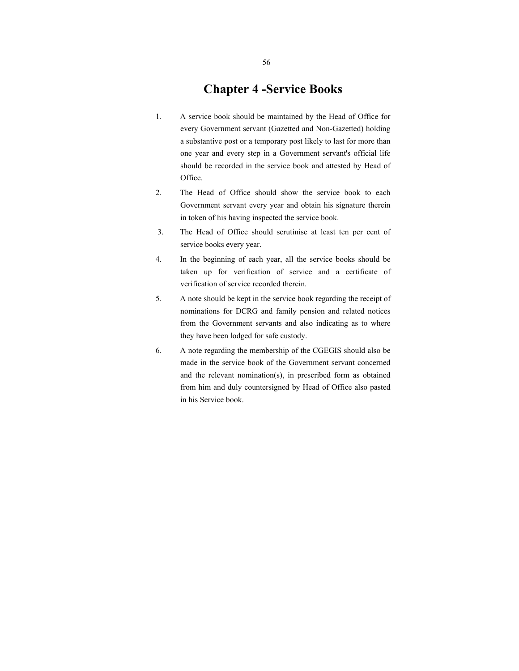#### **Chapter 4 -Service Books**

- 1. A service book should be maintained by the Head of Office for every Government servant (Gazetted and Non-Gazetted) holding a substantive post or a temporary post likely to last for more than one year and every step in a Government servant's official life should be recorded in the service book and attested by Head of Office.
- 2. The Head of Office should show the service book to each Government servant every year and obtain his signature therein in token of his having inspected the service book.
- 3. The Head of Office should scrutinise at least ten per cent of service books every year.
- 4. In the beginning of each year, all the service books should be taken up for verification of service and a certificate of verification of service recorded therein.
- 5. A note should be kept in the service book regarding the receipt of nominations for DCRG and family pension and related notices from the Government servants and also indicating as to where they have been lodged for safe custody.
- 6. A note regarding the membership of the CGEGIS should also be made in the service book of the Government servant concerned and the relevant nomination(s), in prescribed form as obtained from him and duly countersigned by Head of Office also pasted in his Service book.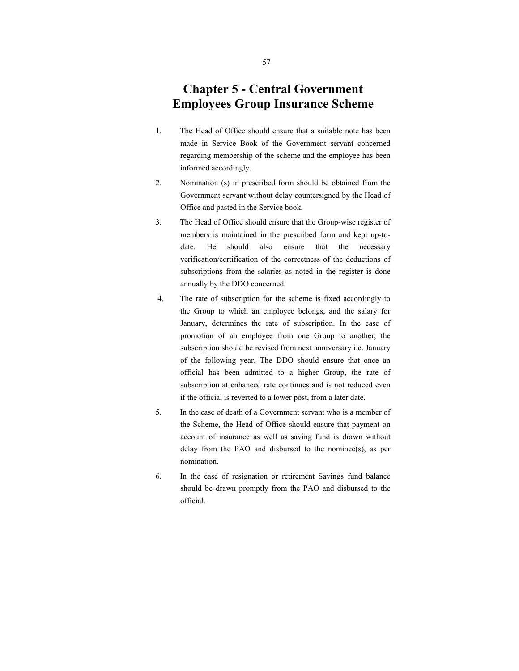### **Chapter 5 - Central Government Employees Group Insurance Scheme**

- 1. The Head of Office should ensure that a suitable note has been made in Service Book of the Government servant concerned regarding membership of the scheme and the employee has been informed accordingly.
- 2. Nomination (s) in prescribed form should be obtained from the Government servant without delay countersigned by the Head of Office and pasted in the Service book.
- 3. The Head of Office should ensure that the Group-wise register of members is maintained in the prescribed form and kept up-todate. He should also ensure that the necessary verification/certification of the correctness of the deductions of subscriptions from the salaries as noted in the register is done annually by the DDO concerned.
- 4. The rate of subscription for the scheme is fixed accordingly to the Group to which an employee belongs, and the salary for January, determines the rate of subscription. In the case of promotion of an employee from one Group to another, the subscription should be revised from next anniversary i.e. January of the following year. The DDO should ensure that once an official has been admitted to a higher Group, the rate of subscription at enhanced rate continues and is not reduced even if the official is reverted to a lower post, from a later date.
- 5. In the case of death of a Government servant who is a member of the Scheme, the Head of Office should ensure that payment on account of insurance as well as saving fund is drawn without delay from the PAO and disbursed to the nominee(s), as per nomination.
- 6. In the case of resignation or retirement Savings fund balance should be drawn promptly from the PAO and disbursed to the official.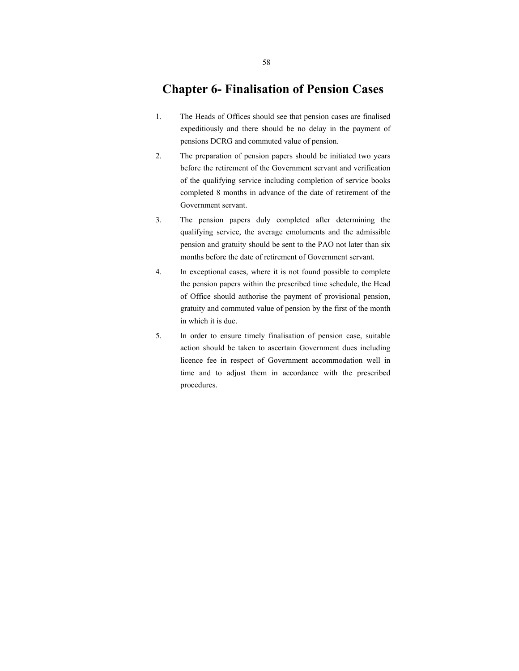#### **Chapter 6- Finalisation of Pension Cases**

- 1. The Heads of Offices should see that pension cases are finalised expeditiously and there should be no delay in the payment of pensions DCRG and commuted value of pension.
- 2. The preparation of pension papers should be initiated two years before the retirement of the Government servant and verification of the qualifying service including completion of service books completed 8 months in advance of the date of retirement of the Government servant.
- 3. The pension papers duly completed after determining the qualifying service, the average emoluments and the admissible pension and gratuity should be sent to the PAO not later than six months before the date of retirement of Government servant.
- 4. In exceptional cases, where it is not found possible to complete the pension papers within the prescribed time schedule, the Head of Office should authorise the payment of provisional pension, gratuity and commuted value of pension by the first of the month in which it is due.
- 5. In order to ensure timely finalisation of pension case, suitable action should be taken to ascertain Government dues including licence fee in respect of Government accommodation well in time and to adjust them in accordance with the prescribed procedures.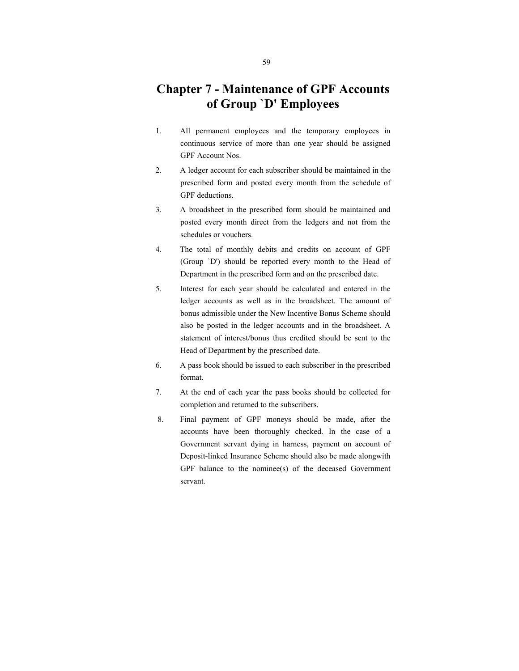### **Chapter 7 - Maintenance of GPF Accounts of Group `D' Employees**

- 1. All permanent employees and the temporary employees in continuous service of more than one year should be assigned GPF Account Nos.
- 2. A ledger account for each subscriber should be maintained in the prescribed form and posted every month from the schedule of GPF deductions.
- 3. A broadsheet in the prescribed form should be maintained and posted every month direct from the ledgers and not from the schedules or vouchers.
- 4. The total of monthly debits and credits on account of GPF (Group `D') should be reported every month to the Head of Department in the prescribed form and on the prescribed date.
- 5. Interest for each year should be calculated and entered in the ledger accounts as well as in the broadsheet. The amount of bonus admissible under the New Incentive Bonus Scheme should also be posted in the ledger accounts and in the broadsheet. A statement of interest/bonus thus credited should be sent to the Head of Department by the prescribed date.
- 6. A pass book should be issued to each subscriber in the prescribed format.
- 7. At the end of each year the pass books should be collected for completion and returned to the subscribers.
- 8. Final payment of GPF moneys should be made, after the accounts have been thoroughly checked. In the case of a Government servant dying in harness, payment on account of Deposit-linked Insurance Scheme should also be made alongwith GPF balance to the nominee(s) of the deceased Government servant.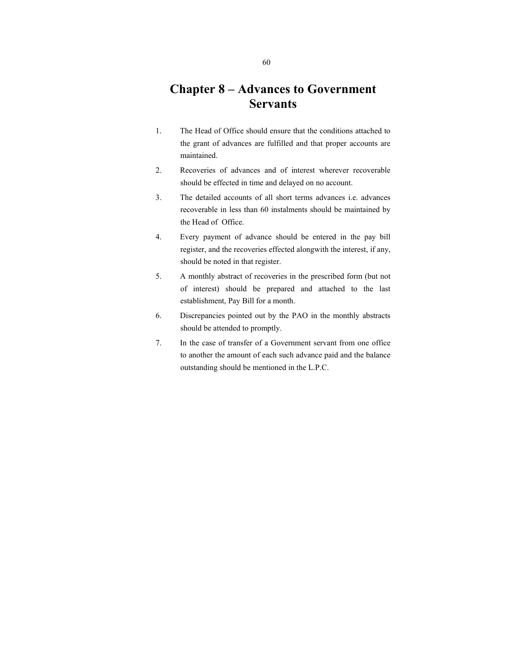### **Chapter 8 – Advances to Government Servants**

- 1. The Head of Office should ensure that the conditions attached to the grant of advances are fulfilled and that proper accounts are maintained.
- 2. Recoveries of advances and of interest wherever recoverable should be effected in time and delayed on no account.
- 3. The detailed accounts of all short terms advances i.e. advances recoverable in less than 60 instalments should be maintained by the Head of Office.
- 4. Every payment of advance should be entered in the pay bill register, and the recoveries effected alongwith the interest, if any, should be noted in that register.
- 5. A monthly abstract of recoveries in the prescribed form (but not of interest) should be prepared and attached to the last establishment, Pay Bill for a month.
- 6. Discrepancies pointed out by the PAO in the monthly abstracts should be attended to promptly.
- 7. In the case of transfer of a Government servant from one office to another the amount of each such advance paid and the balance outstanding should be mentioned in the L.P.C.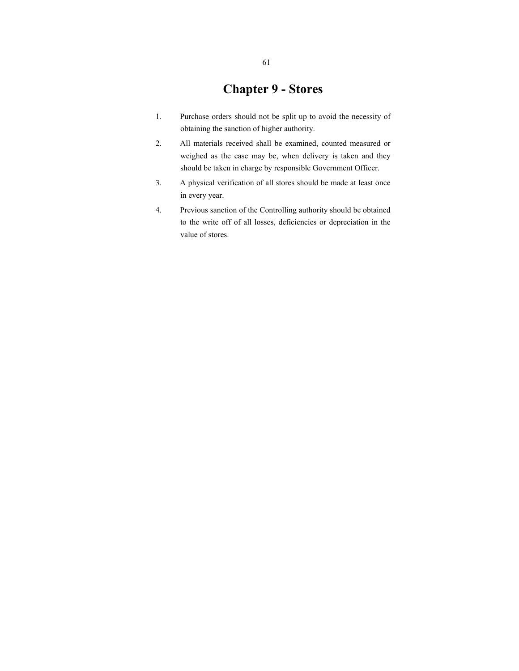### **Chapter 9 - Stores**

- 1. Purchase orders should not be split up to avoid the necessity of obtaining the sanction of higher authority.
- 2. All materials received shall be examined, counted measured or weighed as the case may be, when delivery is taken and they should be taken in charge by responsible Government Officer.
- 3. A physical verification of all stores should be made at least once in every year.
- 4. Previous sanction of the Controlling authority should be obtained to the write off of all losses, deficiencies or depreciation in the value of stores.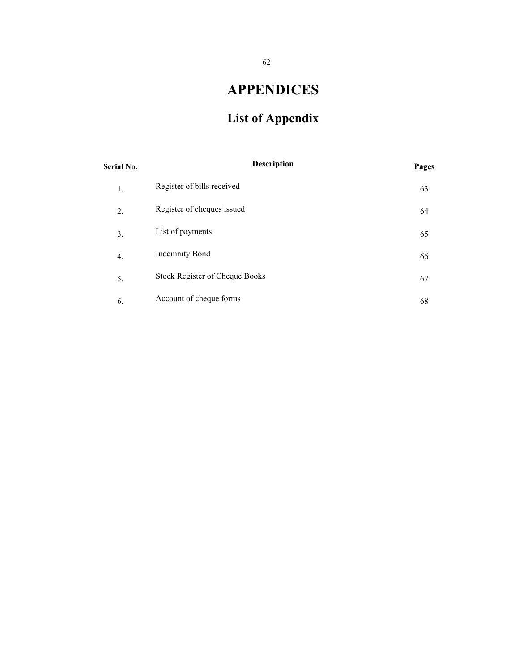# **APPENDICES**

# **List of Appendix**

| <b>Serial No.</b> | <b>Description</b>             | Pages |
|-------------------|--------------------------------|-------|
| 1.                | Register of bills received     | 63    |
| 2.                | Register of cheques issued     | 64    |
| 3.                | List of payments               | 65    |
| 4.                | <b>Indemnity Bond</b>          | 66    |
| 5.                | Stock Register of Cheque Books | 67    |
| 6.                | Account of cheque forms        | 68    |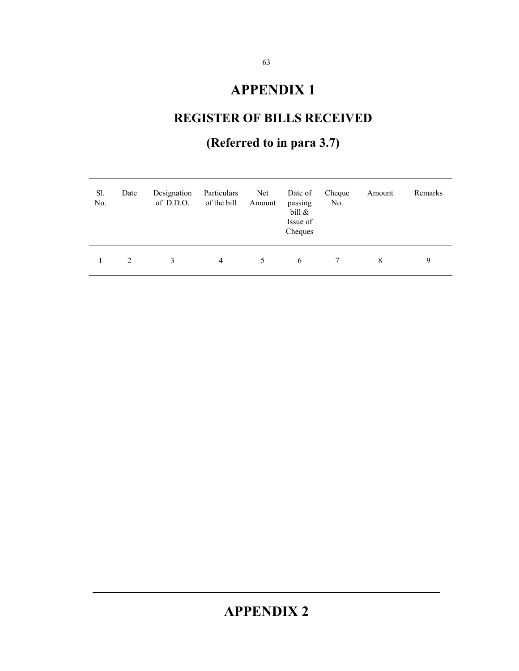# **APPENDIX 1**

# **REGISTER OF BILLS RECEIVED**

# **(Referred to in para 3.7)**

| Sl.<br>No. | Date | Designation<br>of D.D.O. | Particulars<br>of the bill | Net<br>Amount | Date of<br>passing<br>bill $\&$<br>Issue of<br>Cheques | Cheque<br>No. | Amount | Remarks |
|------------|------|--------------------------|----------------------------|---------------|--------------------------------------------------------|---------------|--------|---------|
|            | 2    | 3                        | 4                          | 5.            | 6                                                      |               | 8      | 9       |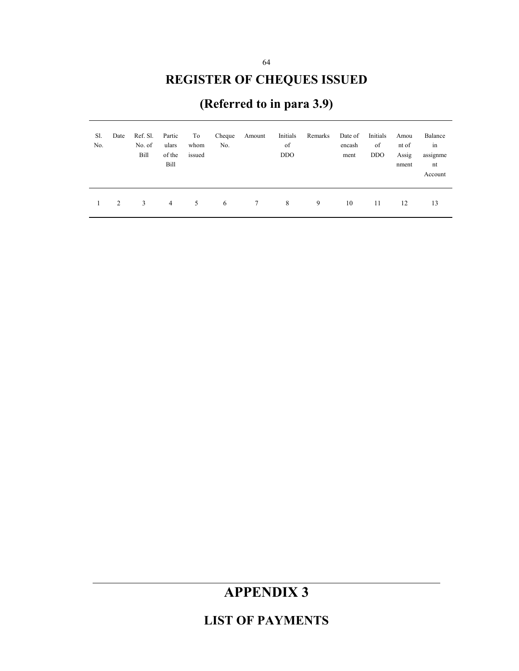# **REGISTER OF CHEQUES ISSUED**

# **(Referred to in para 3.9)**

| Sl.<br>No. | Date | Ref. Sl.<br>No. of<br>Bill | Partic<br>ulars<br>of the<br>Bill | To<br>whom<br>issued | Cheque<br>No. | Amount | Initials<br>of<br><b>DDO</b> | Remarks | Date of<br>encash<br>ment | Initials<br>of<br><b>DDO</b> | Amou<br>nt of<br>Assig<br>nment | Balance<br>in<br>assignme<br>nt<br>Account |
|------------|------|----------------------------|-----------------------------------|----------------------|---------------|--------|------------------------------|---------|---------------------------|------------------------------|---------------------------------|--------------------------------------------|
|            | 2    | 3                          | $\overline{4}$                    | 5                    | 6             | 7      | 8                            | 9       | 10                        | 11                           | 12                              | 13                                         |

# **APPENDIX 3**

**LIST OF PAYMENTS**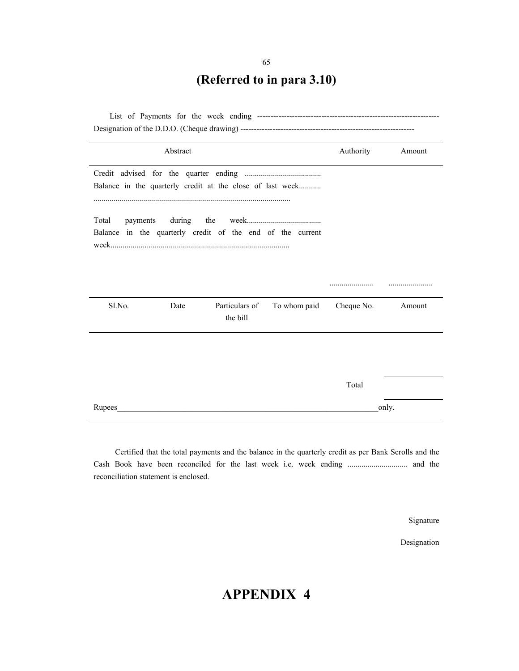# **(Referred to in para 3.10)**

|                   | Abstract   |                                                           |              | Authority  | Amount |  |  |
|-------------------|------------|-----------------------------------------------------------|--------------|------------|--------|--|--|
|                   |            | Balance in the quarterly credit at the close of last week |              |            |        |  |  |
| Total<br>payments | during the | Balance in the quarterly credit of the end of the current |              |            |        |  |  |
| Sl.No.            | Date       | Particulars of<br>the bill                                | To whom paid | Cheque No. | Amount |  |  |
|                   |            |                                                           |              | Total      |        |  |  |
| Rupees            |            |                                                           |              |            | only.  |  |  |

 Certified that the total payments and the balance in the quarterly credit as per Bank Scrolls and the Cash Book have been reconciled for the last week i.e. week ending .............................. and the reconciliation statement is enclosed.

Signature

Designation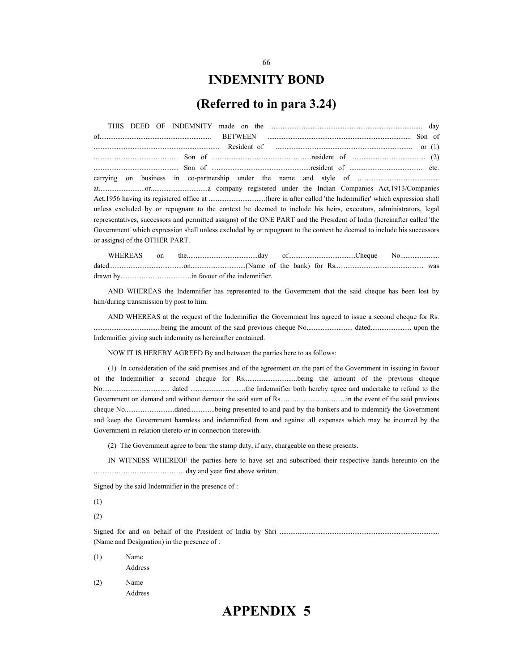#### **INDEMNITY BOND**

#### **(Referred to in para 3.24)**

| $\cdots$ Son of $\cdots$ and $\cdots$ resident of $\cdots$ (2)                                                         |
|------------------------------------------------------------------------------------------------------------------------|
|                                                                                                                        |
|                                                                                                                        |
|                                                                                                                        |
|                                                                                                                        |
| unless excluded by or repugnant to the context be deemed to include his heirs, executors, administrators, legal        |
| representatives, successors and permitted assigns) of the ONE PART and the President of India (hereinafter called 'the |
| Government' which expression shall unless excluded by or repugnant to the context be deemed to include his successors  |
| or assigns) of the OTHER PART.                                                                                         |

AND WHEREAS the Indemnifier has represented to the Government that the said cheque has been lost by him/during transmission by post to him.

AND WHEREAS at the request of the Indemnifier the Government has agreed to issue a second cheque for Rs. ......................................being the amount of the said previous cheque No.......................... dated....................... upon the Indemnifier giving such indemnity as hereinafter contained.

NOW IT IS HEREBY AGREED By and between the parties here to as follows:

(1) In consideration of the said premises and of the agreement on the part of the Government in issuing in favour of the Indemnifier a second cheque for Rs..............................being the amount of the previous cheque No...................................... dated ...............................the Indemnifier both hereby agree and undertake to refund to the Government on demand and without demour the said sum of Rs.....................................in the event of the said previous cheque No............................dated..............being presented to and paid by the bankers and to indemnify the Government and keep the Government harmless and indemnified from and against all expenses which may be incurred by the Government in relation thereto or in connection therewith.

(2) The Government agree to bear the stamp duty, if any, chargeable on these presents.

IN WITNESS WHEREOF the parties here to have set and subscribed their respective hands hereunto on the ....................................................day and year first above written.

Signed by the said Indemnifier in the presence of :

(1)

(2)

Signed for and on behalf of the President of India by Shri .......................................................................................... (Name and Designation) in the presence of :

- (1) Name Address
- (2) Name Address

#### 66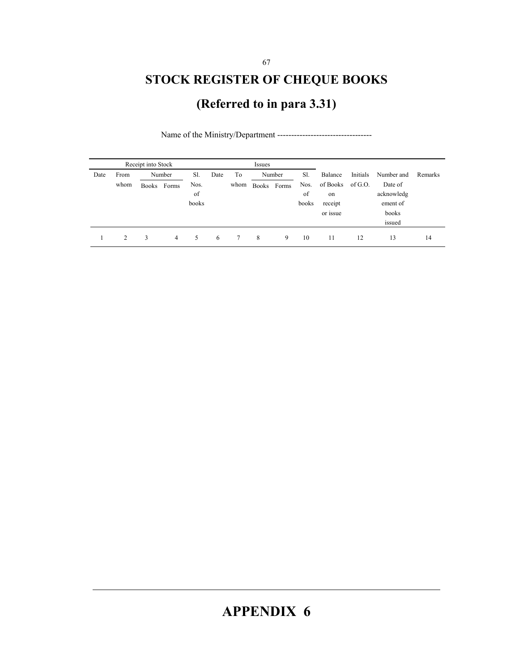# **STOCK REGISTER OF CHEQUE BOOKS**

# **(Referred to in para 3.31)**

|      |      | Receipt into Stock |        |       | Issues |      |              |        |       |          |          |            |         |
|------|------|--------------------|--------|-------|--------|------|--------------|--------|-------|----------|----------|------------|---------|
| Date | From |                    | Number | Sl.   | Date   | To   |              | Number | Sl.   | Balance  | Initials | Number and | Remarks |
|      | whom | Books              | Forms  | Nos.  |        | whom | <b>Books</b> | Forms  | Nos.  | of Books | of G.O.  | Date of    |         |
|      |      |                    |        | of    |        |      |              |        | of    | on       |          | acknowledg |         |
|      |      |                    |        | books |        |      |              |        | books | receipt  |          | ement of   |         |
|      |      |                    |        |       |        |      |              |        |       | or issue |          | books      |         |
|      |      |                    |        |       |        |      |              |        |       |          |          | issued     |         |
|      | 2    | 3                  | 4      | 5     | 6      |      | 8            | 9      | 10    | 11       | 12       | 13         | 14      |

Name of the Ministry/Department ----------------------------------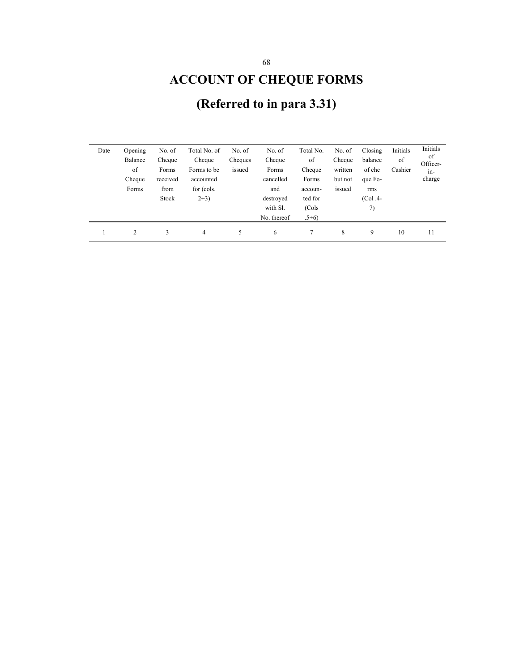# **ACCOUNT OF CHEQUE FORMS**

| Date | Opening        | No. of   | Total No. of | No. of  | No. of      | Total No. | No. of  | Closing   | Initials | Initials       |
|------|----------------|----------|--------------|---------|-------------|-----------|---------|-----------|----------|----------------|
|      | Balance        | Cheque   | Cheque       | Cheques | Cheque      | of        | Cheque  | balance   | of       | of<br>Officer- |
|      | of             | Forms    | Forms to be  | issued  | Forms       | Cheque    | written | of che    | Cashier  | in-            |
|      | Cheque         | received | accounted    |         | cancelled   | Forms     | but not | que Fo-   |          | charge         |
|      | Forms          | from     | for (cols.   |         | and         | accoun-   | issued  | rms       |          |                |
|      |                | Stock    | $2+3)$       |         | destroved   | ted for   |         | $(Col.4-$ |          |                |
|      |                |          |              |         | with Sl.    | (Cols     |         | 7)        |          |                |
|      |                |          |              |         | No. thereof | $.5+6)$   |         |           |          |                |
|      | $\overline{c}$ | 3        | 4            | 5       | 6           |           | 8       | 9         | 10       | 11             |

# **(Referred to in para 3.31)**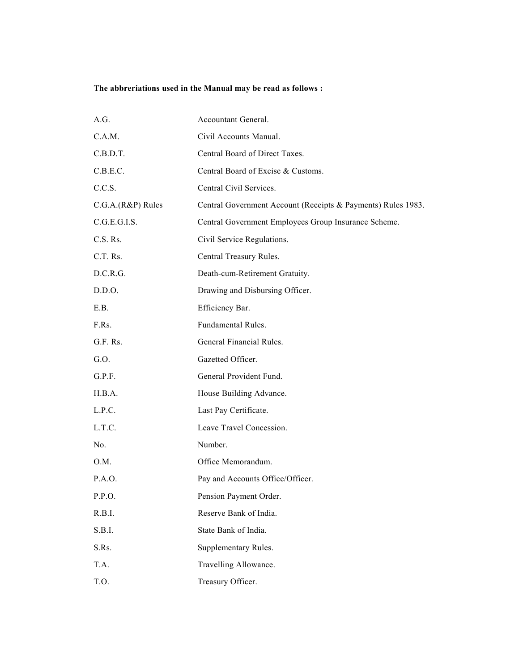#### **The abbreriations used in the Manual may be read as follows :**

| A.G.              | Accountant General.                                          |
|-------------------|--------------------------------------------------------------|
| C.A.M.            | Civil Accounts Manual.                                       |
| C.B.D.T.          | Central Board of Direct Taxes.                               |
| C.B.E.C.          | Central Board of Excise & Customs.                           |
| C.C.S.            | Central Civil Services.                                      |
| C.G.A.(R&P) Rules | Central Government Account (Receipts & Payments) Rules 1983. |
| C.G.E.G.I.S.      | Central Government Employees Group Insurance Scheme.         |
| C.S. Rs.          | Civil Service Regulations.                                   |
| C.T. Rs.          | Central Treasury Rules.                                      |
| D.C.R.G.          | Death-cum-Retirement Gratuity.                               |
| D.D.O.            | Drawing and Disbursing Officer.                              |
| E.B.              | Efficiency Bar.                                              |
| F.Rs.             | Fundamental Rules.                                           |
| G.F. Rs.          | General Financial Rules.                                     |
| G.O.              | Gazetted Officer.                                            |
| G.P.F.            | General Provident Fund.                                      |
| H.B.A.            | House Building Advance.                                      |
| L.P.C.            | Last Pay Certificate.                                        |
| L.T.C.            | Leave Travel Concession.                                     |
| No.               | Number.                                                      |
| O.M.              | Office Memorandum.                                           |
| P.A.O.            | Pay and Accounts Office/Officer.                             |
| P.P.O.            | Pension Payment Order.                                       |
| R.B.I.            | Reserve Bank of India.                                       |
| S.B.I.            | State Bank of India.                                         |
| S.Rs.             | Supplementary Rules.                                         |
| T.A.              | Travelling Allowance.                                        |
| T.O.              | Treasury Officer.                                            |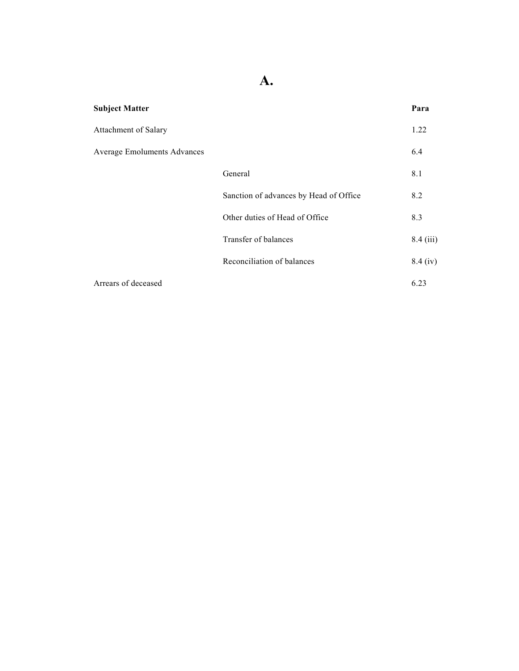**A.** 

| <b>Subject Matter</b>              |                                        | Para        |
|------------------------------------|----------------------------------------|-------------|
| Attachment of Salary               |                                        | 1.22        |
| <b>Average Emoluments Advances</b> |                                        | 6.4         |
|                                    | General                                | 8.1         |
|                                    | Sanction of advances by Head of Office | 8.2         |
|                                    | Other duties of Head of Office         | 8.3         |
|                                    | Transfer of balances                   | $8.4$ (iii) |
|                                    | Reconciliation of balances             | $8.4$ (iv)  |
| Arrears of deceased                |                                        | 6.23        |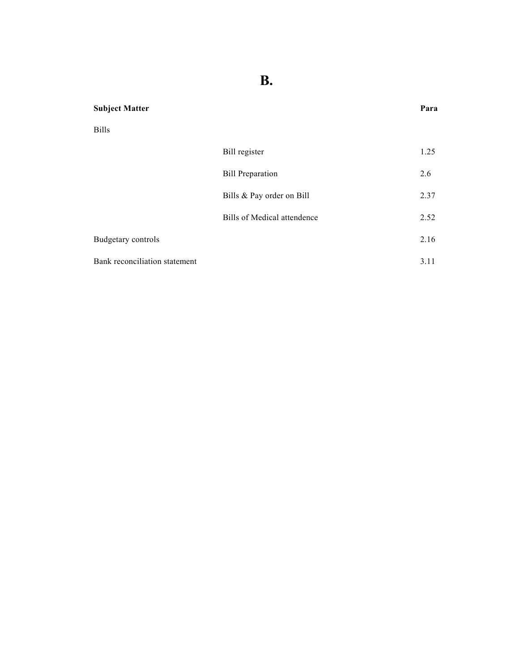**B.** 

#### **Subject Matter Para**

Bills

|                               | Bill register               | 1.25 |
|-------------------------------|-----------------------------|------|
|                               | <b>Bill Preparation</b>     | 2.6  |
|                               | Bills & Pay order on Bill   | 2.37 |
|                               | Bills of Medical attendence | 2.52 |
| <b>Budgetary controls</b>     |                             | 2.16 |
| Bank reconciliation statement |                             | 3.11 |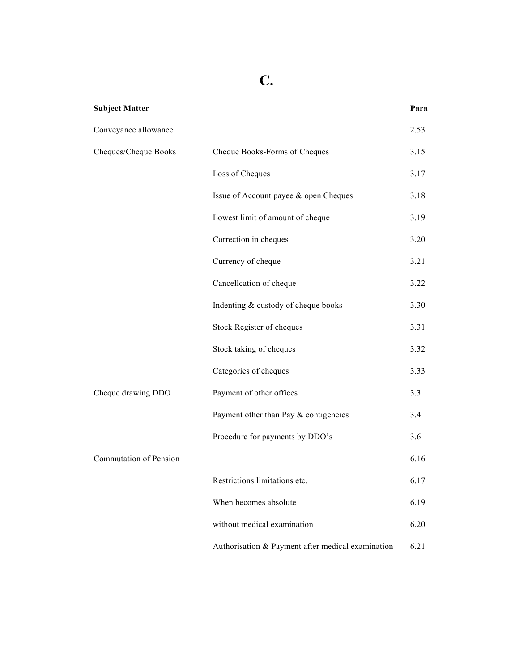# **C.**

| 2.53 |                                                                                                                                                                                                                                                                                                                                                                                                                                                                                            |
|------|--------------------------------------------------------------------------------------------------------------------------------------------------------------------------------------------------------------------------------------------------------------------------------------------------------------------------------------------------------------------------------------------------------------------------------------------------------------------------------------------|
| 3.15 |                                                                                                                                                                                                                                                                                                                                                                                                                                                                                            |
| 3.17 |                                                                                                                                                                                                                                                                                                                                                                                                                                                                                            |
| 3.18 |                                                                                                                                                                                                                                                                                                                                                                                                                                                                                            |
| 3.19 |                                                                                                                                                                                                                                                                                                                                                                                                                                                                                            |
| 3.20 |                                                                                                                                                                                                                                                                                                                                                                                                                                                                                            |
| 3.21 |                                                                                                                                                                                                                                                                                                                                                                                                                                                                                            |
| 3.22 |                                                                                                                                                                                                                                                                                                                                                                                                                                                                                            |
| 3.30 |                                                                                                                                                                                                                                                                                                                                                                                                                                                                                            |
| 3.31 |                                                                                                                                                                                                                                                                                                                                                                                                                                                                                            |
| 3.32 |                                                                                                                                                                                                                                                                                                                                                                                                                                                                                            |
| 3.33 |                                                                                                                                                                                                                                                                                                                                                                                                                                                                                            |
| 3.3  |                                                                                                                                                                                                                                                                                                                                                                                                                                                                                            |
| 3.4  |                                                                                                                                                                                                                                                                                                                                                                                                                                                                                            |
| 3.6  |                                                                                                                                                                                                                                                                                                                                                                                                                                                                                            |
| 6.16 |                                                                                                                                                                                                                                                                                                                                                                                                                                                                                            |
| 6.17 |                                                                                                                                                                                                                                                                                                                                                                                                                                                                                            |
| 6.19 |                                                                                                                                                                                                                                                                                                                                                                                                                                                                                            |
| 6.20 |                                                                                                                                                                                                                                                                                                                                                                                                                                                                                            |
| 6.21 |                                                                                                                                                                                                                                                                                                                                                                                                                                                                                            |
|      | Cheque Books-Forms of Cheques<br>Issue of Account payee & open Cheques<br>Lowest limit of amount of cheque<br>Cancellcation of cheque<br>Indenting & custody of cheque books<br>Stock Register of cheques<br>Stock taking of cheques<br>Payment of other offices<br>Payment other than Pay & contigencies<br>Procedure for payments by DDO's<br>Restrictions limitations etc.<br>When becomes absolute<br>without medical examination<br>Authorisation & Payment after medical examination |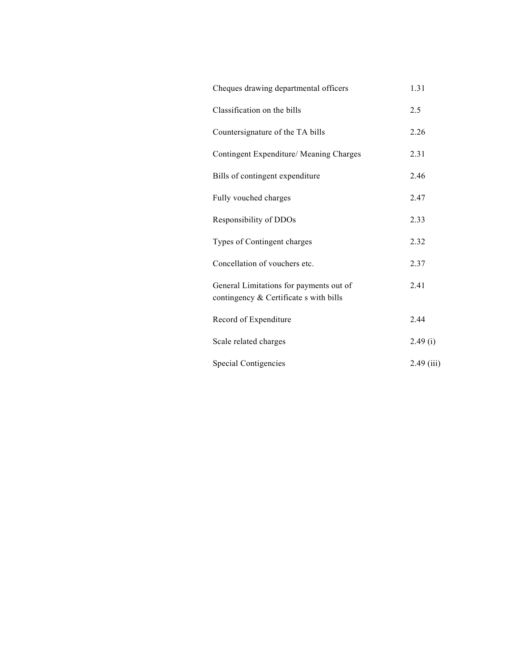| Cheques drawing departmental officers                                             | 1.31         |
|-----------------------------------------------------------------------------------|--------------|
| Classification on the bills                                                       | 2.5          |
| Countersignature of the TA bills                                                  | 2.26         |
| Contingent Expenditure/ Meaning Charges                                           | 2.31         |
| Bills of contingent expenditure                                                   | 2.46         |
| Fully vouched charges                                                             | 2.47         |
| Responsibility of DDOs                                                            | 2.33         |
| Types of Contingent charges                                                       | 2.32         |
| Concellation of vouchers etc.                                                     | 2.37         |
| General Limitations for payments out of<br>contingency & Certificate s with bills | 2.41         |
| Record of Expenditure                                                             | 2.44         |
| Scale related charges                                                             | 2.49(i)      |
| <b>Special Contigencies</b>                                                       | $2.49$ (iii) |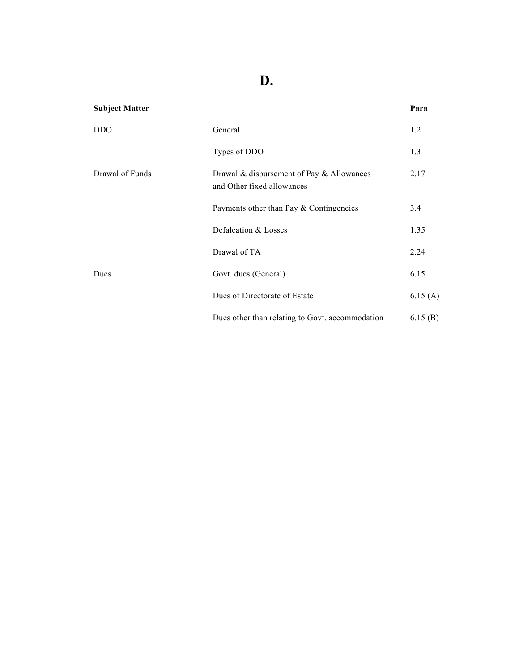### **D.**

| <b>Subject Matter</b> |                                                                         | Para    |
|-----------------------|-------------------------------------------------------------------------|---------|
| <b>DDO</b>            | General                                                                 | 1.2     |
|                       | Types of DDO                                                            | 1.3     |
| Drawal of Funds       | Drawal & disbursement of Pay & Allowances<br>and Other fixed allowances | 2.17    |
|                       | Payments other than Pay $&$ Contingencies                               | 3.4     |
|                       | Defalcation & Losses                                                    | 1.35    |
|                       | Drawal of TA                                                            | 2.24    |
| Dues                  | Govt. dues (General)                                                    | 6.15    |
|                       | Dues of Directorate of Estate                                           | 6.15(A) |
|                       | Dues other than relating to Govt. accommodation                         | 6.15(B) |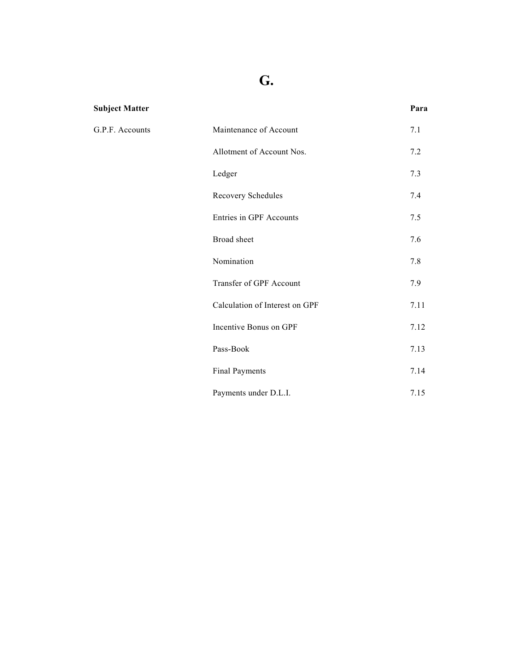### **G.**

| <b>Subject Matter</b> |                                | Para |
|-----------------------|--------------------------------|------|
| G.P.F. Accounts       | Maintenance of Account         | 7.1  |
|                       | Allotment of Account Nos.      | 7.2  |
|                       | Ledger                         | 7.3  |
|                       | Recovery Schedules             | 7.4  |
|                       | <b>Entries in GPF Accounts</b> | 7.5  |
|                       | Broad sheet                    | 7.6  |
|                       | Nomination                     | 7.8  |
|                       | Transfer of GPF Account        | 7.9  |
|                       | Calculation of Interest on GPF | 7.11 |
|                       | Incentive Bonus on GPF         | 7.12 |
|                       | Pass-Book                      | 7.13 |
|                       | <b>Final Payments</b>          | 7.14 |
|                       | Payments under D.L.I.          | 7.15 |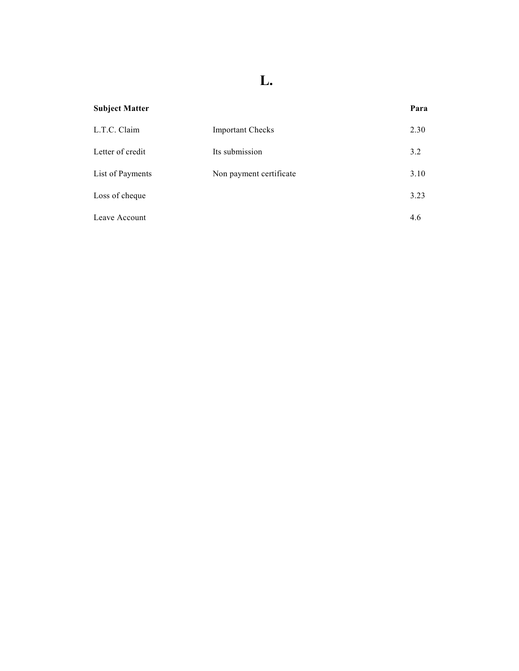## **L.**

| <b>Subject Matter</b> |                         | Para |
|-----------------------|-------------------------|------|
| L.T.C. Claim          | <b>Important Checks</b> | 2.30 |
| Letter of credit      | Its submission          | 3.2  |
| List of Payments      | Non payment certificate | 3.10 |
| Loss of cheque        |                         | 3.23 |
| Leave Account         |                         | 4.6  |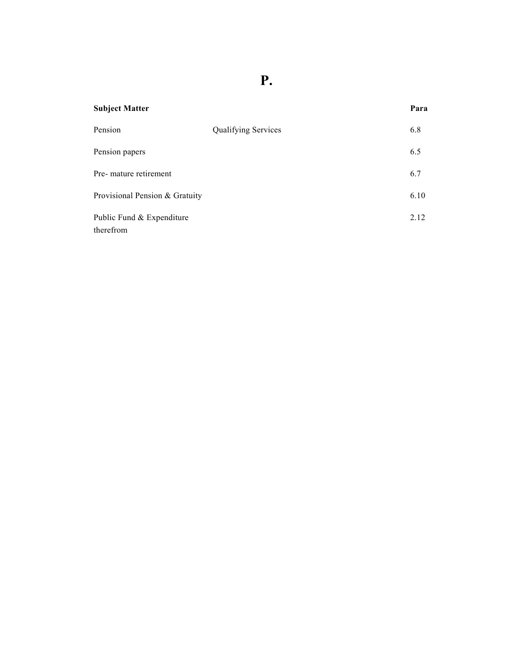**P.** 

| <b>Subject Matter</b>                  |                            | Para |
|----------------------------------------|----------------------------|------|
| Pension                                | <b>Qualifying Services</b> | 6.8  |
| Pension papers                         |                            | 6.5  |
| Pre- mature retirement                 |                            | 6.7  |
| Provisional Pension & Gratuity         |                            | 6.10 |
| Public Fund & Expenditure<br>therefrom |                            | 2.12 |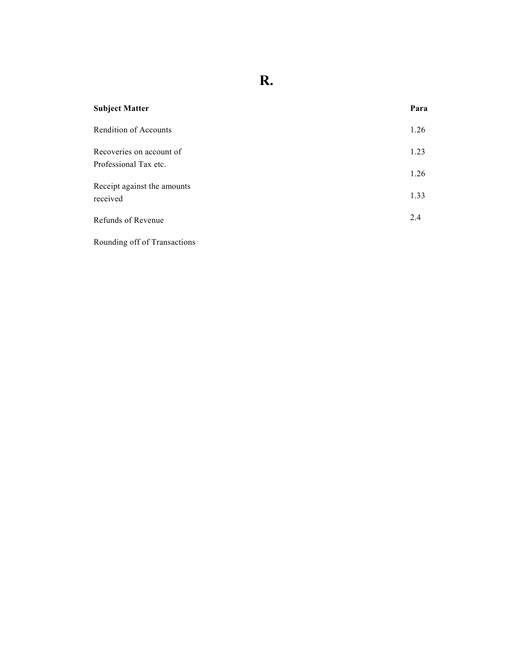**R.** 

| <b>Subject Matter</b>                   | Para |
|-----------------------------------------|------|
| <b>Rendition of Accounts</b>            | 1.26 |
| Recoveries on account of                | 1.23 |
| Professional Tax etc.                   | 1.26 |
| Receipt against the amounts<br>received | 1.33 |
| Refunds of Revenue                      | 2.4  |
| Rounding off of Transactions            |      |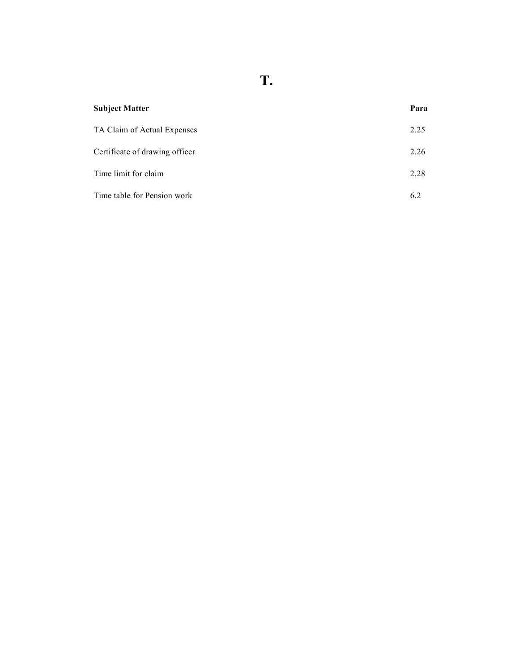**T.** 

| <b>Subject Matter</b>          | Para |
|--------------------------------|------|
| TA Claim of Actual Expenses    | 2.25 |
| Certificate of drawing officer | 2.26 |
| Time limit for claim           | 2.28 |
| Time table for Pension work    | 6.2  |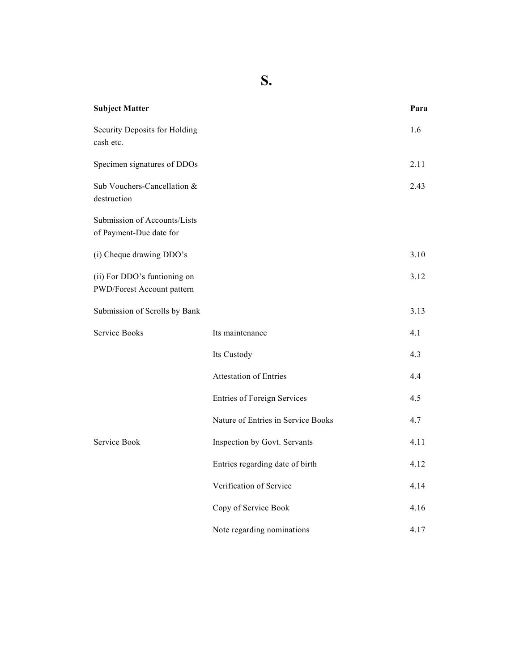**S.** 

| <b>Subject Matter</b>                                      |                                    | Para |
|------------------------------------------------------------|------------------------------------|------|
| Security Deposits for Holding<br>cash etc.                 |                                    | 1.6  |
| Specimen signatures of DDOs                                |                                    | 2.11 |
| Sub Vouchers-Cancellation &<br>destruction                 |                                    | 2.43 |
| Submission of Accounts/Lists<br>of Payment-Due date for    |                                    |      |
| (i) Cheque drawing DDO's                                   |                                    | 3.10 |
| (ii) For DDO's funtioning on<br>PWD/Forest Account pattern |                                    | 3.12 |
| Submission of Scrolls by Bank                              |                                    | 3.13 |
| <b>Service Books</b>                                       | Its maintenance                    | 4.1  |
|                                                            | Its Custody                        | 4.3  |
|                                                            | <b>Attestation of Entries</b>      | 4.4  |
|                                                            | <b>Entries of Foreign Services</b> | 4.5  |
|                                                            | Nature of Entries in Service Books | 4.7  |
| Service Book                                               | Inspection by Govt. Servants       | 4.11 |
|                                                            | Entries regarding date of birth    | 4.12 |
|                                                            | Verification of Service            | 4.14 |
|                                                            | Copy of Service Book               | 4.16 |
|                                                            | Note regarding nominations         | 4.17 |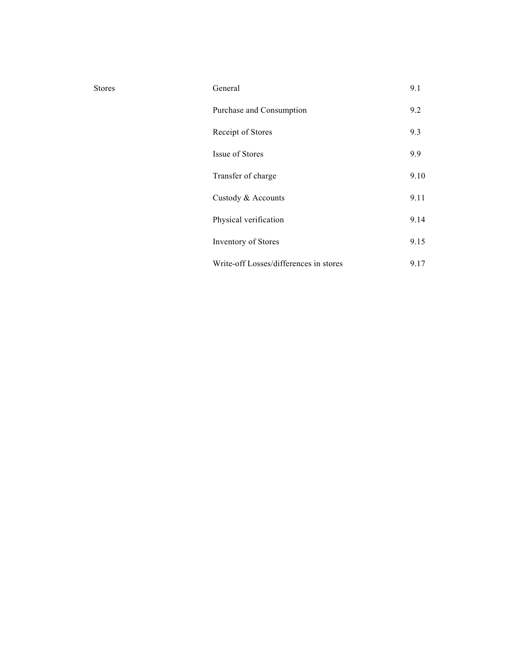| General                                | 9.1  |
|----------------------------------------|------|
| Purchase and Consumption               | 9.2  |
| Receipt of Stores                      | 9.3  |
| Issue of Stores                        | 9.9  |
| Transfer of charge                     | 9.10 |
| Custody & Accounts                     | 9.11 |
| Physical verification                  | 9.14 |
| <b>Inventory of Stores</b>             | 9.15 |
| Write-off Losses/differences in stores | 9.17 |

Stores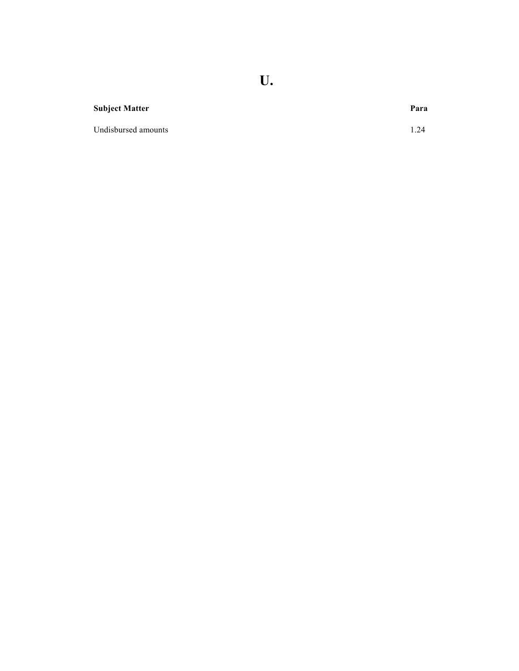**U.** 

#### **Subject Matter Para**

Undisbursed amounts 1.24